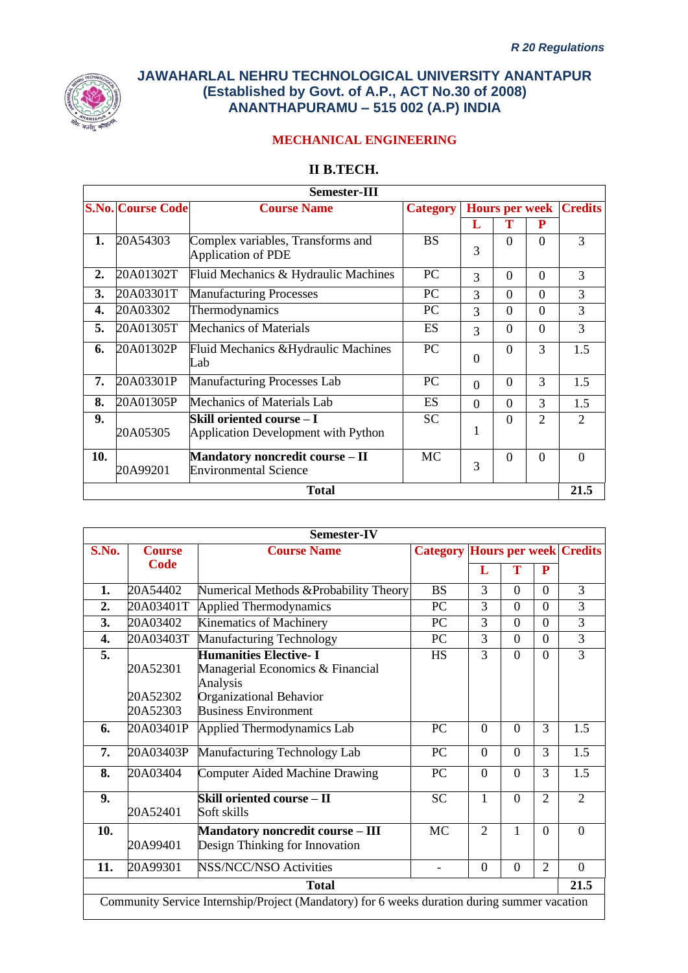

# **MECHANICAL ENGINEERING**

### **II B.TECH.**

| Semester-III |                          |                                                                  |                 |          |                       |          |                |
|--------------|--------------------------|------------------------------------------------------------------|-----------------|----------|-----------------------|----------|----------------|
|              | <b>S.No. Course Code</b> | <b>Course Name</b>                                               | <b>Category</b> |          | <b>Hours per week</b> |          | <b>Credits</b> |
|              |                          |                                                                  |                 | L        |                       | P        |                |
| 1.           | 20A54303                 | Complex variables, Transforms and<br>Application of PDE          | <b>BS</b>       | 3        | $\Omega$              | $\Omega$ | 3              |
| 2.           | 20A01302T                | Fluid Mechanics & Hydraulic Machines                             | PC              | 3        | $\Omega$              | $\Omega$ | 3              |
| 3.           | 20A03301T                | <b>Manufacturing Processes</b>                                   | <b>PC</b>       | 3        | $\Omega$              | $\Omega$ | 3              |
| 4.           | 20A03302                 | Thermodynamics                                                   | PC.             | 3        | $\Omega$              | $\Omega$ | 3              |
| 5.           | 20A01305T                | <b>Mechanics of Materials</b>                                    | ES              | 3        | $\theta$              | $\Omega$ | 3              |
| 6.           | 20A01302P                | Fluid Mechanics & Hydraulic Machines<br>Lab                      | PC              | $\theta$ | $\Omega$              | 3        | 1.5            |
| 7.           | 20A03301P                | Manufacturing Processes Lab                                      | <b>PC</b>       | $\Omega$ | $\Omega$              | 3        | 1.5            |
| 8.           | 20A01305P                | Mechanics of Materials Lab                                       | ES              | $\Omega$ | $\Omega$              | 3        | 1.5            |
| 9.           | 20A05305                 | Skill oriented course – I<br>Application Development with Python | <b>SC</b>       | 1        | $\Omega$              | 2        | $\overline{2}$ |
| 10.          | 20A99201                 | Mandatory noncredit course - II<br><b>Environmental Science</b>  | <b>MC</b>       | 3        | $\Omega$              | $\Omega$ | $\theta$       |
|              |                          | <b>Total</b>                                                     |                 |          |                       |          | 21.5           |

|       |                                                                                              | <b>Semester-IV</b>                                                                                                                     |                                        |                |                |                |                |
|-------|----------------------------------------------------------------------------------------------|----------------------------------------------------------------------------------------------------------------------------------------|----------------------------------------|----------------|----------------|----------------|----------------|
| S.No. | <b>Course</b>                                                                                | <b>Course Name</b>                                                                                                                     | <b>Category Hours per week Credits</b> |                |                |                |                |
|       | Code                                                                                         |                                                                                                                                        |                                        | L              | Т              | P              |                |
| 1.    | 20A54402                                                                                     | Numerical Methods & Probability Theory                                                                                                 | <b>BS</b>                              | 3              | $\Omega$       | $\Omega$       | 3              |
| 2.    | 20A03401T                                                                                    | <b>Applied Thermodynamics</b>                                                                                                          | PC                                     | 3              | $\overline{0}$ | $\overline{0}$ | $\overline{3}$ |
| 3.    | 20A03402                                                                                     | Kinematics of Machinery                                                                                                                | PC                                     | 3              | $\overline{0}$ | $\overline{0}$ | $\overline{3}$ |
| 4.    | 20A03403T                                                                                    | <b>Manufacturing Technology</b>                                                                                                        | PC                                     | 3              | $\theta$       | $\overline{0}$ | $\overline{3}$ |
| 5.    | 20A52301<br>20A52302<br>20A52303                                                             | <b>Humanities Elective-I</b><br>Managerial Economics & Financial<br>Analysis<br>Organizational Behavior<br><b>Business Environment</b> | <b>HS</b>                              | 3              | $\Omega$       | $\Omega$       | $\overline{3}$ |
| 6.    | 20A03401P                                                                                    | Applied Thermodynamics Lab                                                                                                             | PC                                     | $\Omega$       | $\Omega$       | 3              | 1.5            |
| 7.    | 20A03403P                                                                                    | Manufacturing Technology Lab                                                                                                           | PC                                     | $\Omega$       | $\Omega$       | 3              | 1.5            |
| 8.    | 20A03404                                                                                     | <b>Computer Aided Machine Drawing</b>                                                                                                  | PC                                     | $\Omega$       | $\Omega$       | 3              | 1.5            |
| 9.    | 20A52401                                                                                     | Skill oriented course – II<br>Soft skills                                                                                              | <b>SC</b>                              | $\mathbf{1}$   | $\Omega$       | $\overline{2}$ | $\overline{2}$ |
| 10.   | 20A99401                                                                                     | <b>Mandatory noncredit course - III</b><br>Design Thinking for Innovation                                                              | <b>MC</b>                              | $\overline{2}$ | 1              | $\theta$       | $\overline{0}$ |
| 11.   | 20A99301                                                                                     | <b>NSS/NCC/NSO Activities</b>                                                                                                          |                                        | $\overline{0}$ | $\mathbf{0}$   | $\overline{2}$ | $\Omega$       |
|       |                                                                                              | <b>Total</b>                                                                                                                           |                                        |                |                |                | 21.5           |
|       | Community Service Internship/Project (Mandatory) for 6 weeks duration during summer vacation |                                                                                                                                        |                                        |                |                |                |                |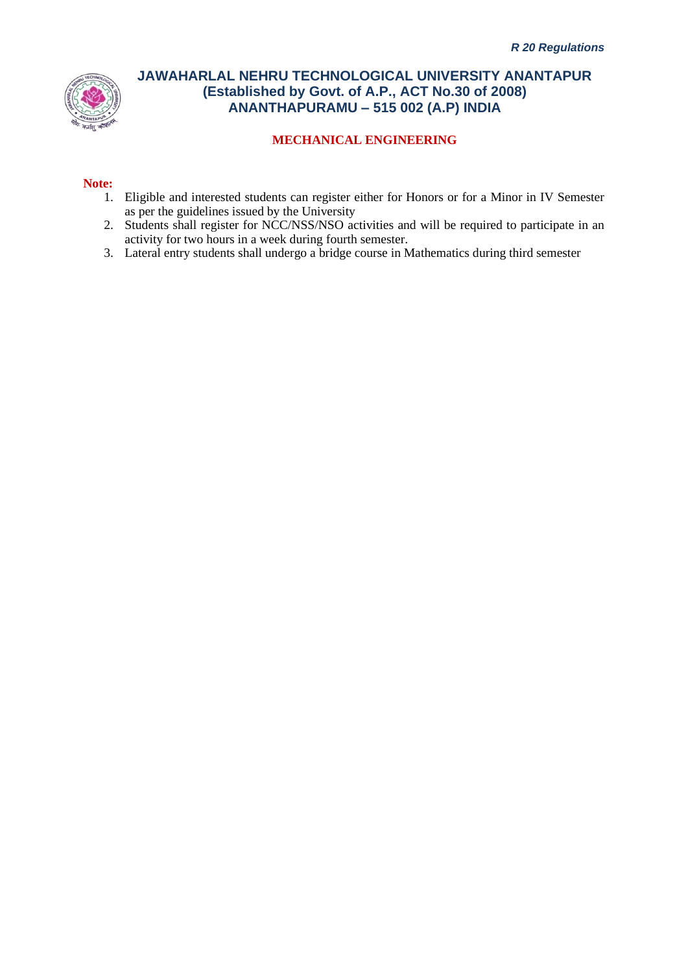

### **MECHANICAL ENGINEERING**

#### **Note:**

- 1. Eligible and interested students can register either for Honors or for a Minor in IV Semester as per the guidelines issued by the University
- 2. Students shall register for NCC/NSS/NSO activities and will be required to participate in an activity for two hours in a week during fourth semester.
- 3. Lateral entry students shall undergo a bridge course in Mathematics during third semester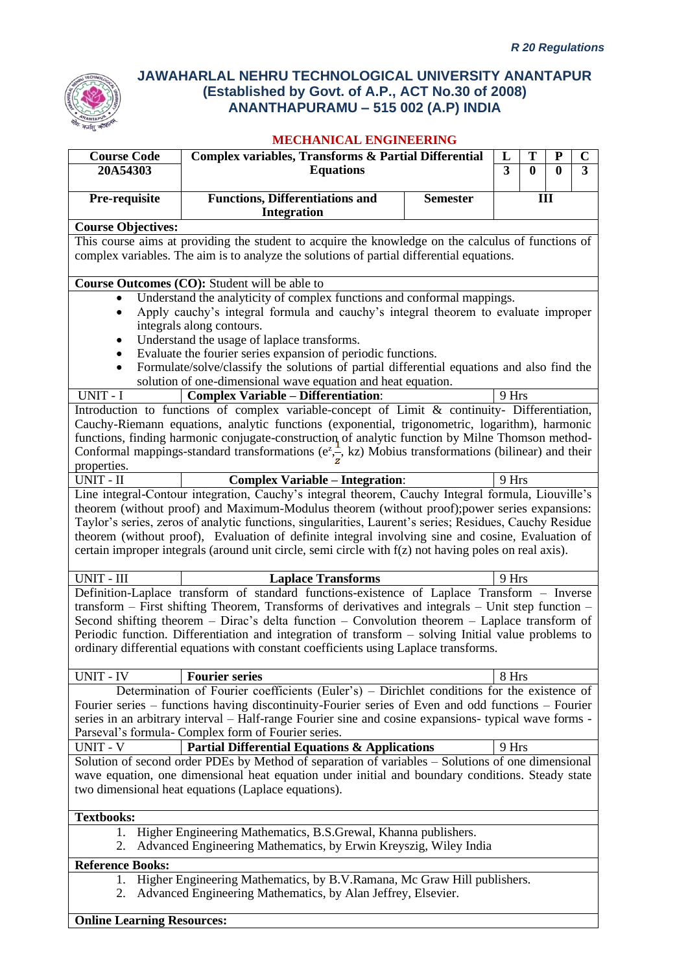

### **MECHANICAL ENGINEERING**

| <b>Course Code</b><br>20A54303 | Complex variables, Transforms & Partial Differential<br><b>Equations</b>                                                                                                                                                                                                                                                                                                                                                                                                                                                     |                 | L<br>3 | T<br>$\bf{0}$ | ${\bf P}$<br>$\mathbf{0}$ | $\mathbf C$<br>$\overline{3}$ |
|--------------------------------|------------------------------------------------------------------------------------------------------------------------------------------------------------------------------------------------------------------------------------------------------------------------------------------------------------------------------------------------------------------------------------------------------------------------------------------------------------------------------------------------------------------------------|-----------------|--------|---------------|---------------------------|-------------------------------|
|                                |                                                                                                                                                                                                                                                                                                                                                                                                                                                                                                                              |                 |        |               |                           |                               |
| Pre-requisite                  | <b>Functions, Differentiations and</b><br><b>Integration</b>                                                                                                                                                                                                                                                                                                                                                                                                                                                                 | <b>Semester</b> |        | III           |                           |                               |
| <b>Course Objectives:</b>      |                                                                                                                                                                                                                                                                                                                                                                                                                                                                                                                              |                 |        |               |                           |                               |
|                                | This course aims at providing the student to acquire the knowledge on the calculus of functions of                                                                                                                                                                                                                                                                                                                                                                                                                           |                 |        |               |                           |                               |
|                                | complex variables. The aim is to analyze the solutions of partial differential equations.                                                                                                                                                                                                                                                                                                                                                                                                                                    |                 |        |               |                           |                               |
|                                | Course Outcomes (CO): Student will be able to                                                                                                                                                                                                                                                                                                                                                                                                                                                                                |                 |        |               |                           |                               |
| ٠                              | Understand the analyticity of complex functions and conformal mappings.<br>Apply cauchy's integral formula and cauchy's integral theorem to evaluate improper<br>integrals along contours.<br>Understand the usage of laplace transforms.<br>Evaluate the fourier series expansion of periodic functions.                                                                                                                                                                                                                    |                 |        |               |                           |                               |
|                                | Formulate/solve/classify the solutions of partial differential equations and also find the                                                                                                                                                                                                                                                                                                                                                                                                                                   |                 |        |               |                           |                               |
| UNIT - I                       | solution of one-dimensional wave equation and heat equation.<br><b>Complex Variable - Differentiation:</b>                                                                                                                                                                                                                                                                                                                                                                                                                   |                 | 9 Hrs  |               |                           |                               |
|                                | Introduction to functions of complex variable-concept of Limit & continuity- Differentiation,                                                                                                                                                                                                                                                                                                                                                                                                                                |                 |        |               |                           |                               |
| properties.                    | Cauchy-Riemann equations, analytic functions (exponential, trigonometric, logarithm), harmonic<br>functions, finding harmonic conjugate-construction of analytic function by Milne Thomson method-<br>Conformal mappings-standard transformations ( $e^z$ , kz) Mobius transformations (bilinear) and their                                                                                                                                                                                                                  |                 |        |               |                           |                               |
| UNIT - II                      | <b>Complex Variable - Integration:</b>                                                                                                                                                                                                                                                                                                                                                                                                                                                                                       |                 | 9 Hrs  |               |                           |                               |
|                                | Line integral-Contour integration, Cauchy's integral theorem, Cauchy Integral formula, Liouville's<br>theorem (without proof) and Maximum-Modulus theorem (without proof); power series expansions:<br>Taylor's series, zeros of analytic functions, singularities, Laurent's series; Residues, Cauchy Residue<br>theorem (without proof), Evaluation of definite integral involving sine and cosine, Evaluation of<br>certain improper integrals (around unit circle, semi circle with f(z) not having poles on real axis). |                 |        |               |                           |                               |
| UNIT - III                     | <b>Laplace Transforms</b>                                                                                                                                                                                                                                                                                                                                                                                                                                                                                                    |                 | 9 Hrs  |               |                           |                               |
|                                | Definition-Laplace transform of standard functions-existence of Laplace Transform - Inverse<br>transform – First shifting Theorem, Transforms of derivatives and integrals – Unit step function –<br>Second shifting theorem $-$ Dirac's delta function $-$ Convolution theorem $-$ Laplace transform of<br>Periodic function. Differentiation and integration of transform - solving Initial value problems to<br>ordinary differential equations with constant coefficients using Laplace transforms.                      |                 |        |               |                           |                               |
| <b>UNIT - IV</b>               | <b>Fourier series</b>                                                                                                                                                                                                                                                                                                                                                                                                                                                                                                        |                 | 8 Hrs  |               |                           |                               |
|                                | Determination of Fourier coefficients (Euler's) – Dirichlet conditions for the existence of<br>Fourier series – functions having discontinuity-Fourier series of Even and odd functions – Fourier<br>series in an arbitrary interval - Half-range Fourier sine and cosine expansions- typical wave forms -<br>Parseval's formula- Complex form of Fourier series.                                                                                                                                                            |                 |        |               |                           |                               |
| <b>UNIT - V</b>                | <b>Partial Differential Equations &amp; Applications</b>                                                                                                                                                                                                                                                                                                                                                                                                                                                                     |                 | 9 Hrs  |               |                           |                               |
|                                | Solution of second order PDEs by Method of separation of variables - Solutions of one dimensional<br>wave equation, one dimensional heat equation under initial and boundary conditions. Steady state<br>two dimensional heat equations (Laplace equations).                                                                                                                                                                                                                                                                 |                 |        |               |                           |                               |
| <b>Textbooks:</b>              |                                                                                                                                                                                                                                                                                                                                                                                                                                                                                                                              |                 |        |               |                           |                               |
| 1.<br>2.                       | Higher Engineering Mathematics, B.S.Grewal, Khanna publishers.<br>Advanced Engineering Mathematics, by Erwin Kreyszig, Wiley India                                                                                                                                                                                                                                                                                                                                                                                           |                 |        |               |                           |                               |
| <b>Reference Books:</b>        |                                                                                                                                                                                                                                                                                                                                                                                                                                                                                                                              |                 |        |               |                           |                               |
| 1.<br>2.                       | Higher Engineering Mathematics, by B.V.Ramana, Mc Graw Hill publishers.<br>Advanced Engineering Mathematics, by Alan Jeffrey, Elsevier.                                                                                                                                                                                                                                                                                                                                                                                      |                 |        |               |                           |                               |

**Online Learning Resources:**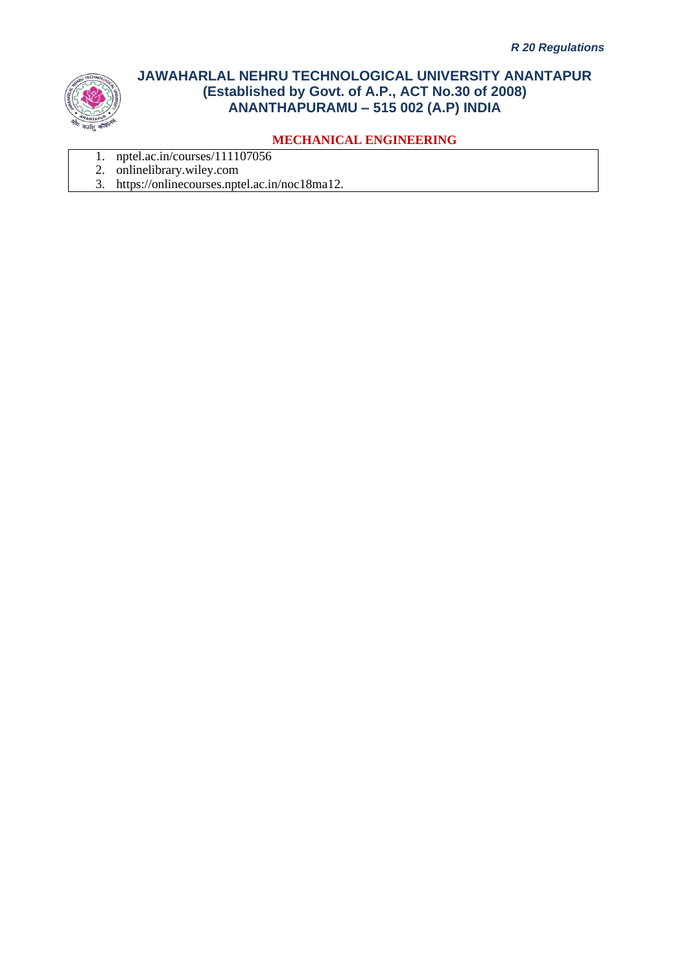

- 1. nptel.ac.in/courses/111107056
- 2. onlinelibrary.wiley.com
- 3. https://onlinecourses.nptel.ac.in/noc18ma12.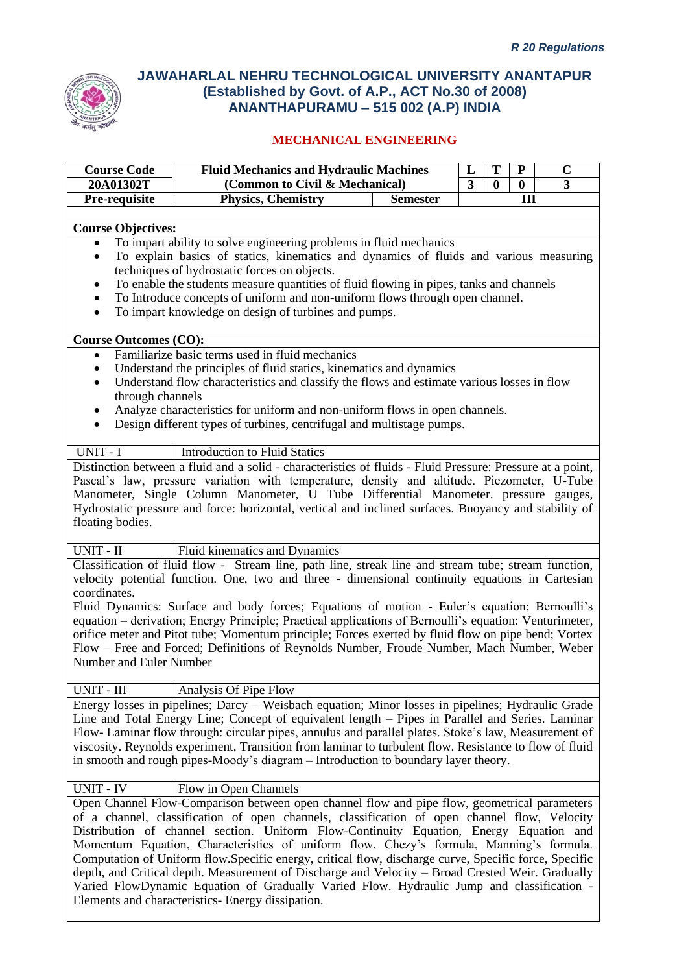

| <b>Course Code</b>           | <b>Fluid Mechanics and Hydraulic Machines</b>                                                                                                                                     | L | T            | ${\bf P}$ | $\mathbf C$ |  |  |
|------------------------------|-----------------------------------------------------------------------------------------------------------------------------------------------------------------------------------|---|--------------|-----------|-------------|--|--|
| 20A01302T                    | (Common to Civil & Mechanical)                                                                                                                                                    | 3 | $\mathbf{0}$ | $\bf{0}$  | 3           |  |  |
| Pre-requisite                | <b>Physics, Chemistry</b><br><b>Semester</b>                                                                                                                                      |   |              | III       |             |  |  |
|                              |                                                                                                                                                                                   |   |              |           |             |  |  |
| <b>Course Objectives:</b>    |                                                                                                                                                                                   |   |              |           |             |  |  |
| $\bullet$                    | To impart ability to solve engineering problems in fluid mechanics                                                                                                                |   |              |           |             |  |  |
| $\bullet$                    | To explain basics of statics, kinematics and dynamics of fluids and various measuring                                                                                             |   |              |           |             |  |  |
|                              | techniques of hydrostatic forces on objects.                                                                                                                                      |   |              |           |             |  |  |
| $\bullet$                    | To enable the students measure quantities of fluid flowing in pipes, tanks and channels                                                                                           |   |              |           |             |  |  |
| $\bullet$                    | To Introduce concepts of uniform and non-uniform flows through open channel.                                                                                                      |   |              |           |             |  |  |
| $\bullet$                    | To impart knowledge on design of turbines and pumps.                                                                                                                              |   |              |           |             |  |  |
| <b>Course Outcomes (CO):</b> |                                                                                                                                                                                   |   |              |           |             |  |  |
| $\bullet$                    | Familiarize basic terms used in fluid mechanics                                                                                                                                   |   |              |           |             |  |  |
| $\bullet$                    | Understand the principles of fluid statics, kinematics and dynamics                                                                                                               |   |              |           |             |  |  |
| $\bullet$                    | Understand flow characteristics and classify the flows and estimate various losses in flow                                                                                        |   |              |           |             |  |  |
| through channels             |                                                                                                                                                                                   |   |              |           |             |  |  |
| ٠                            | Analyze characteristics for uniform and non-uniform flows in open channels.                                                                                                       |   |              |           |             |  |  |
| $\bullet$                    | Design different types of turbines, centrifugal and multistage pumps.                                                                                                             |   |              |           |             |  |  |
|                              |                                                                                                                                                                                   |   |              |           |             |  |  |
| UNIT - I                     | <b>Introduction to Fluid Statics</b>                                                                                                                                              |   |              |           |             |  |  |
|                              | Distinction between a fluid and a solid - characteristics of fluids - Fluid Pressure: Pressure at a point,                                                                        |   |              |           |             |  |  |
|                              | Pascal's law, pressure variation with temperature, density and altitude. Piezometer, U-Tube                                                                                       |   |              |           |             |  |  |
|                              | Manometer, Single Column Manometer, U Tube Differential Manometer. pressure gauges,                                                                                               |   |              |           |             |  |  |
| floating bodies.             | Hydrostatic pressure and force: horizontal, vertical and inclined surfaces. Buoyancy and stability of                                                                             |   |              |           |             |  |  |
|                              |                                                                                                                                                                                   |   |              |           |             |  |  |
| UNIT - II                    | Fluid kinematics and Dynamics                                                                                                                                                     |   |              |           |             |  |  |
|                              | Classification of fluid flow - Stream line, path line, streak line and stream tube; stream function,                                                                              |   |              |           |             |  |  |
|                              | velocity potential function. One, two and three - dimensional continuity equations in Cartesian                                                                                   |   |              |           |             |  |  |
| coordinates.                 |                                                                                                                                                                                   |   |              |           |             |  |  |
|                              | Fluid Dynamics: Surface and body forces; Equations of motion - Euler's equation; Bernoulli's                                                                                      |   |              |           |             |  |  |
|                              | equation - derivation; Energy Principle; Practical applications of Bernoulli's equation: Venturimeter,                                                                            |   |              |           |             |  |  |
|                              | orifice meter and Pitot tube; Momentum principle; Forces exerted by fluid flow on pipe bend; Vortex                                                                               |   |              |           |             |  |  |
| Number and Euler Number      | Flow – Free and Forced; Definitions of Reynolds Number, Froude Number, Mach Number, Weber                                                                                         |   |              |           |             |  |  |
|                              |                                                                                                                                                                                   |   |              |           |             |  |  |
| UNIT - III                   | Analysis Of Pipe Flow                                                                                                                                                             |   |              |           |             |  |  |
|                              | Energy losses in pipelines; Darcy – Weisbach equation; Minor losses in pipelines; Hydraulic Grade                                                                                 |   |              |           |             |  |  |
|                              | Line and Total Energy Line; Concept of equivalent length – Pipes in Parallel and Series. Laminar                                                                                  |   |              |           |             |  |  |
|                              | Flow-Laminar flow through: circular pipes, annulus and parallel plates. Stoke's law, Measurement of                                                                               |   |              |           |             |  |  |
|                              | viscosity. Reynolds experiment, Transition from laminar to turbulent flow. Resistance to flow of fluid                                                                            |   |              |           |             |  |  |
|                              | in smooth and rough pipes-Moody's diagram – Introduction to boundary layer theory.                                                                                                |   |              |           |             |  |  |
|                              |                                                                                                                                                                                   |   |              |           |             |  |  |
| <b>UNIT - IV</b>             | Flow in Open Channels                                                                                                                                                             |   |              |           |             |  |  |
|                              | Open Channel Flow-Comparison between open channel flow and pipe flow, geometrical parameters                                                                                      |   |              |           |             |  |  |
|                              | of a channel, classification of open channels, classification of open channel flow, Velocity                                                                                      |   |              |           |             |  |  |
|                              | Distribution of channel section. Uniform Flow-Continuity Equation, Energy Equation and<br>Momentum Equation, Characteristics of uniform flow, Chezy's formula, Manning's formula. |   |              |           |             |  |  |
|                              | Computation of Uniform flow. Specific energy, critical flow, discharge curve, Specific force, Specific                                                                            |   |              |           |             |  |  |
|                              | depth, and Critical depth. Measurement of Discharge and Velocity - Broad Crested Weir. Gradually                                                                                  |   |              |           |             |  |  |
|                              | Varied FlowDynamic Equation of Gradually Varied Flow. Hydraulic Jump and classification -                                                                                         |   |              |           |             |  |  |
|                              | Elements and characteristics- Energy dissipation.                                                                                                                                 |   |              |           |             |  |  |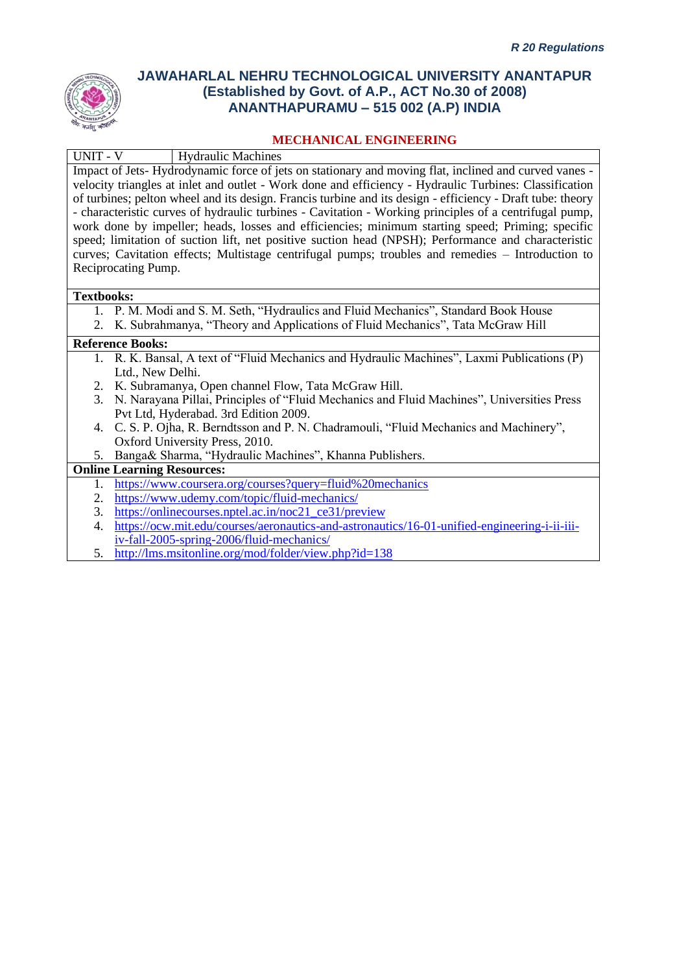

### **MECHANICAL ENGINEERING**

| UNIT - V<br><b>Hydraulic Machines</b>                                                                      |
|------------------------------------------------------------------------------------------------------------|
| Impact of Jets-Hydrodynamic force of jets on stationary and moving flat, inclined and curved vanes -       |
| velocity triangles at inlet and outlet - Work done and efficiency - Hydraulic Turbines: Classification     |
| of turbines; pelton wheel and its design. Francis turbine and its design - efficiency - Draft tube: theory |
| - characteristic curves of hydraulic turbines - Cavitation - Working principles of a centrifugal pump,     |
| work done by impeller; heads, losses and efficiencies; minimum starting speed; Priming; specific           |
| speed; limitation of suction lift, net positive suction head (NPSH); Performance and characteristic        |
| curves; Cavitation effects; Multistage centrifugal pumps; troubles and remedies – Introduction to          |
| Reciprocating Pump.                                                                                        |
|                                                                                                            |
| <b>Textbooks:</b>                                                                                          |
| 1. P. M. Modi and S. M. Seth, "Hydraulics and Fluid Mechanics", Standard Book House                        |
| K. Subrahmanya, "Theory and Applications of Fluid Mechanics", Tata McGraw Hill<br>2.                       |
| <b>Reference Books:</b>                                                                                    |
| 1. R. K. Bansal, A text of "Fluid Mechanics and Hydraulic Machines", Laxmi Publications (P)                |
| Ltd., New Delhi.                                                                                           |
| K. Subramanya, Open channel Flow, Tata McGraw Hill.<br>2.                                                  |
| N. Narayana Pillai, Principles of "Fluid Mechanics and Fluid Machines", Universities Press<br>3.           |
| Pvt Ltd, Hyderabad. 3rd Edition 2009.                                                                      |
| C. S. P. Ojha, R. Berndtsson and P. N. Chadramouli, "Fluid Mechanics and Machinery",<br>4.                 |
| Oxford University Press, 2010.                                                                             |
| Banga& Sharma, "Hydraulic Machines", Khanna Publishers.<br>5.                                              |
| <b>Online Learning Resources:</b>                                                                          |
| https://www.coursera.org/courses?query=fluid%20mechanics<br>1.                                             |
| https://www.udemy.com/topic/fluid-mechanics/<br>2.                                                         |
| https://onlinecourses.nptel.ac.in/noc21_ce31/preview<br>3.                                                 |
| https://ocw.mit.edu/courses/aeronautics-and-astronautics/16-01-unified-engineering-i-ii-iii-<br>4.         |
| iv-fall-2005-spring-2006/fluid-mechanics/                                                                  |

5. <http://lms.msitonline.org/mod/folder/view.php?id=138>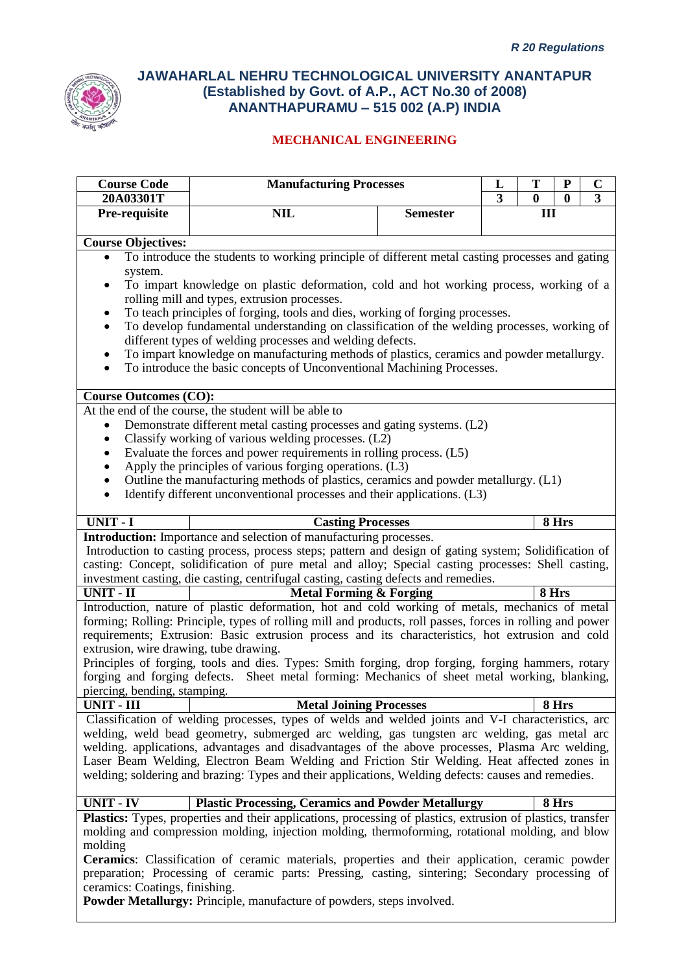

| <b>Course Code</b>                                                           | <b>Manufacturing Processes</b>                                                                                                                                                                     |                 | L                       | T        | ${\bf P}$    | $\mathbf C$ |
|------------------------------------------------------------------------------|----------------------------------------------------------------------------------------------------------------------------------------------------------------------------------------------------|-----------------|-------------------------|----------|--------------|-------------|
| 20A03301T                                                                    |                                                                                                                                                                                                    |                 | $\overline{\mathbf{3}}$ | $\bf{0}$ | $\mathbf{0}$ | 3           |
| Pre-requisite                                                                | <b>NIL</b>                                                                                                                                                                                         | <b>Semester</b> |                         | III      |              |             |
| <b>Course Objectives:</b>                                                    |                                                                                                                                                                                                    |                 |                         |          |              |             |
| $\bullet$                                                                    | To introduce the students to working principle of different metal casting processes and gating                                                                                                     |                 |                         |          |              |             |
| system.                                                                      |                                                                                                                                                                                                    |                 |                         |          |              |             |
| ٠                                                                            | To impart knowledge on plastic deformation, cold and hot working process, working of a                                                                                                             |                 |                         |          |              |             |
|                                                                              | rolling mill and types, extrusion processes.                                                                                                                                                       |                 |                         |          |              |             |
| ٠                                                                            | To teach principles of forging, tools and dies, working of forging processes.                                                                                                                      |                 |                         |          |              |             |
| $\bullet$                                                                    | To develop fundamental understanding on classification of the welding processes, working of                                                                                                        |                 |                         |          |              |             |
|                                                                              | different types of welding processes and welding defects.<br>To impart knowledge on manufacturing methods of plastics, ceramics and powder metallurgy.                                             |                 |                         |          |              |             |
| $\bullet$<br>$\bullet$                                                       | To introduce the basic concepts of Unconventional Machining Processes.                                                                                                                             |                 |                         |          |              |             |
|                                                                              |                                                                                                                                                                                                    |                 |                         |          |              |             |
| <b>Course Outcomes (CO):</b>                                                 |                                                                                                                                                                                                    |                 |                         |          |              |             |
|                                                                              | At the end of the course, the student will be able to                                                                                                                                              |                 |                         |          |              |             |
| $\bullet$                                                                    | Demonstrate different metal casting processes and gating systems. (L2)                                                                                                                             |                 |                         |          |              |             |
| $\bullet$                                                                    | Classify working of various welding processes. (L2)                                                                                                                                                |                 |                         |          |              |             |
| $\bullet$                                                                    | Evaluate the forces and power requirements in rolling process. (L5)                                                                                                                                |                 |                         |          |              |             |
| $\bullet$                                                                    | Apply the principles of various forging operations. (L3)<br>Outline the manufacturing methods of plastics, ceramics and powder metallurgy. (L1)                                                    |                 |                         |          |              |             |
| $\bullet$                                                                    | Identify different unconventional processes and their applications. (L3)                                                                                                                           |                 |                         |          |              |             |
|                                                                              |                                                                                                                                                                                                    |                 |                         |          |              |             |
| <b>UNIT - I</b>                                                              | <b>Casting Processes</b>                                                                                                                                                                           |                 |                         |          | 8 Hrs        |             |
|                                                                              | <b>Introduction:</b> Importance and selection of manufacturing processes.                                                                                                                          |                 |                         |          |              |             |
|                                                                              | Introduction to casting process, process steps; pattern and design of gating system; Solidification of                                                                                             |                 |                         |          |              |             |
|                                                                              | casting: Concept, solidification of pure metal and alloy; Special casting processes: Shell casting,                                                                                                |                 |                         |          |              |             |
| $UNIT - II$                                                                  | investment casting, die casting, centrifugal casting, casting defects and remedies.                                                                                                                |                 |                         | 8 Hrs    |              |             |
|                                                                              | <b>Metal Forming &amp; Forging</b><br>Introduction, nature of plastic deformation, hot and cold working of metals, mechanics of metal                                                              |                 |                         |          |              |             |
|                                                                              | forming; Rolling: Principle, types of rolling mill and products, roll passes, forces in rolling and power                                                                                          |                 |                         |          |              |             |
|                                                                              | requirements; Extrusion: Basic extrusion process and its characteristics, hot extrusion and cold                                                                                                   |                 |                         |          |              |             |
| extrusion, wire drawing, tube drawing.                                       |                                                                                                                                                                                                    |                 |                         |          |              |             |
|                                                                              | Principles of forging, tools and dies. Types: Smith forging, drop forging, forging hammers, rotary                                                                                                 |                 |                         |          |              |             |
|                                                                              | forging and forging defects. Sheet metal forming: Mechanics of sheet metal working, blanking,                                                                                                      |                 |                         |          |              |             |
| piercing, bending, stamping.                                                 |                                                                                                                                                                                                    |                 |                         |          |              |             |
| <b>UNIT - III</b>                                                            | <b>Metal Joining Processes</b>                                                                                                                                                                     |                 |                         |          | 8 Hrs        |             |
|                                                                              | Classification of welding processes, types of welds and welded joints and V-I characteristics, arc                                                                                                 |                 |                         |          |              |             |
|                                                                              | welding, weld bead geometry, submerged arc welding, gas tungsten arc welding, gas metal arc                                                                                                        |                 |                         |          |              |             |
|                                                                              | welding. applications, advantages and disadvantages of the above processes, Plasma Arc welding,                                                                                                    |                 |                         |          |              |             |
|                                                                              | Laser Beam Welding, Electron Beam Welding and Friction Stir Welding. Heat affected zones in<br>welding; soldering and brazing: Types and their applications, Welding defects: causes and remedies. |                 |                         |          |              |             |
|                                                                              |                                                                                                                                                                                                    |                 |                         |          |              |             |
| <b>UNIT - IV</b>                                                             | <b>Plastic Processing, Ceramics and Powder Metallurgy</b>                                                                                                                                          |                 |                         |          | 8 Hrs        |             |
|                                                                              | <b>Plastics:</b> Types, properties and their applications, processing of plastics, extrusion of plastics, transfer                                                                                 |                 |                         |          |              |             |
|                                                                              | molding and compression molding, injection molding, thermoforming, rotational molding, and blow                                                                                                    |                 |                         |          |              |             |
| molding                                                                      |                                                                                                                                                                                                    |                 |                         |          |              |             |
|                                                                              | <b>Ceramics:</b> Classification of ceramic materials, properties and their application, ceramic powder                                                                                             |                 |                         |          |              |             |
|                                                                              | preparation; Processing of ceramic parts: Pressing, casting, sintering; Secondary processing of                                                                                                    |                 |                         |          |              |             |
| ceramics: Coatings, finishing.                                               |                                                                                                                                                                                                    |                 |                         |          |              |             |
| <b>Powder Metallurgy:</b> Principle, manufacture of powders, steps involved. |                                                                                                                                                                                                    |                 |                         |          |              |             |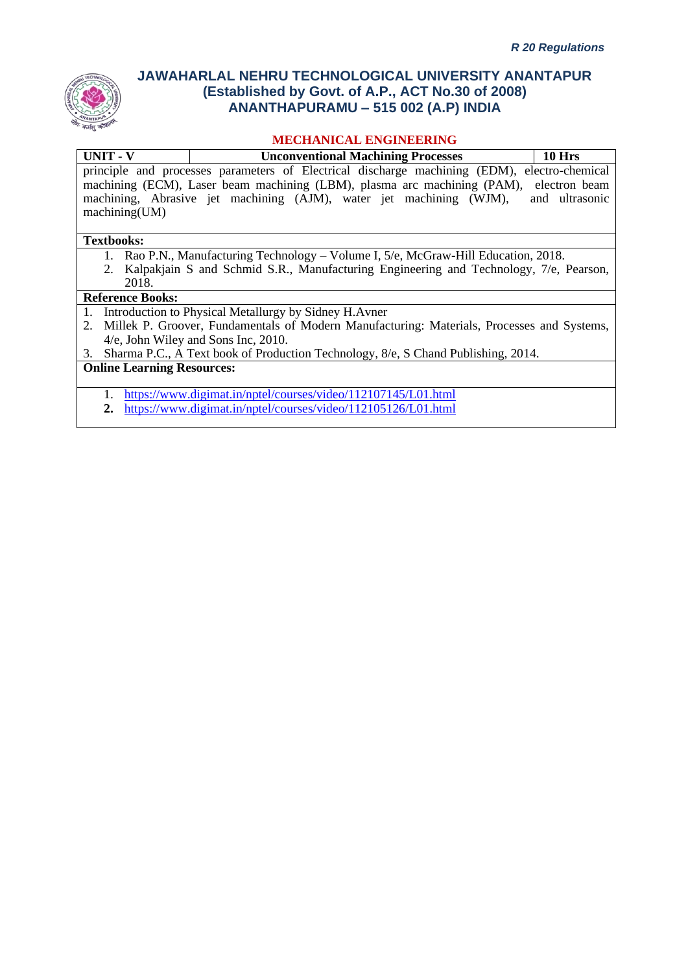

### **MECHANICAL ENGINEERING**

| <b>UNIT - V</b>           | <b>Unconventional Machining Processes</b>                                                       | 10 Hrs         |  |  |  |  |  |  |
|---------------------------|-------------------------------------------------------------------------------------------------|----------------|--|--|--|--|--|--|
|                           | electro-chemical<br>principle and processes parameters of Electrical discharge machining (EDM), |                |  |  |  |  |  |  |
|                           | machining (ECM), Laser beam machining (LBM), plasma arc machining (PAM), electron beam          |                |  |  |  |  |  |  |
|                           | machining, Abrasive jet machining (AJM), water jet machining (WJM),                             | and ultrasonic |  |  |  |  |  |  |
| machine(UM)               |                                                                                                 |                |  |  |  |  |  |  |
|                           |                                                                                                 |                |  |  |  |  |  |  |
| <b>Textbooks:</b>         |                                                                                                 |                |  |  |  |  |  |  |
|                           | 1. Rao P.N., Manufacturing Technology – Volume I, 5/e, McGraw-Hill Education, 2018.             |                |  |  |  |  |  |  |
|                           | 2. Kalpakjain S and Schmid S.R., Manufacturing Engineering and Technology, 7/e, Pearson,        |                |  |  |  |  |  |  |
| 2018.                     |                                                                                                 |                |  |  |  |  |  |  |
| <b>Reference Books:</b>   |                                                                                                 |                |  |  |  |  |  |  |
|                           | 1. Introduction to Physical Metallurgy by Sidney H. Avner                                       |                |  |  |  |  |  |  |
|                           | 2. Millek P. Groover, Fundamentals of Modern Manufacturing: Materials, Processes and Systems,   |                |  |  |  |  |  |  |
|                           | 4/e, John Wiley and Sons Inc, 2010.                                                             |                |  |  |  |  |  |  |
| 3.                        | Sharma P.C., A Text book of Production Technology, 8/e, S Chand Publishing, 2014.               |                |  |  |  |  |  |  |
| Online Loopping Decourage |                                                                                                 |                |  |  |  |  |  |  |

**Online Learning Resources:**

1. <https://www.digimat.in/nptel/courses/video/112107145/L01.html>

**2.** <https://www.digimat.in/nptel/courses/video/112105126/L01.html>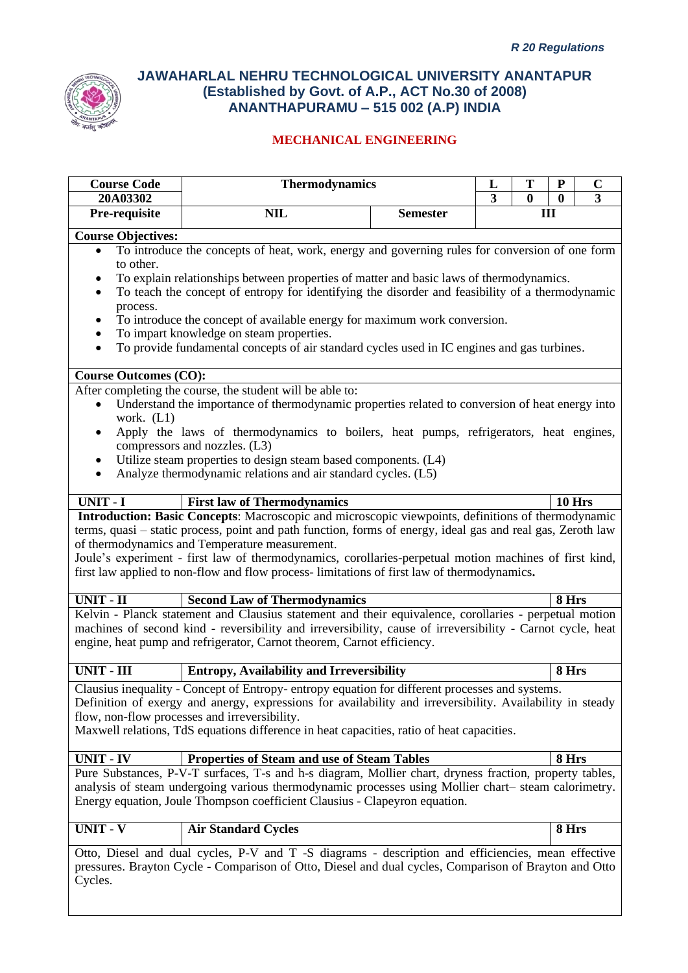

| <b>Course Code</b>                                                                                    | <b>Thermodynamics</b>                                                                                       |                 | L<br>3 | T        | ${\bf P}$     | $\mathbf C$<br>3 |  |  |
|-------------------------------------------------------------------------------------------------------|-------------------------------------------------------------------------------------------------------------|-----------------|--------|----------|---------------|------------------|--|--|
| 20A03302<br>Pre-requisite                                                                             | <b>NIL</b>                                                                                                  | <b>Semester</b> |        | $\bf{0}$ | $\bf{0}$      |                  |  |  |
| III                                                                                                   |                                                                                                             |                 |        |          |               |                  |  |  |
| <b>Course Objectives:</b>                                                                             |                                                                                                             |                 |        |          |               |                  |  |  |
| $\bullet$                                                                                             | To introduce the concepts of heat, work, energy and governing rules for conversion of one form              |                 |        |          |               |                  |  |  |
| to other.                                                                                             |                                                                                                             |                 |        |          |               |                  |  |  |
|                                                                                                       | To explain relationships between properties of matter and basic laws of thermodynamics.                     |                 |        |          |               |                  |  |  |
|                                                                                                       | To teach the concept of entropy for identifying the disorder and feasibility of a thermodynamic             |                 |        |          |               |                  |  |  |
| process.                                                                                              |                                                                                                             |                 |        |          |               |                  |  |  |
|                                                                                                       | To introduce the concept of available energy for maximum work conversion.                                   |                 |        |          |               |                  |  |  |
|                                                                                                       | To impart knowledge on steam properties.                                                                    |                 |        |          |               |                  |  |  |
| $\bullet$                                                                                             | To provide fundamental concepts of air standard cycles used in IC engines and gas turbines.                 |                 |        |          |               |                  |  |  |
| <b>Course Outcomes (CO):</b>                                                                          |                                                                                                             |                 |        |          |               |                  |  |  |
|                                                                                                       | After completing the course, the student will be able to:                                                   |                 |        |          |               |                  |  |  |
|                                                                                                       | Understand the importance of thermodynamic properties related to conversion of heat energy into             |                 |        |          |               |                  |  |  |
| work. $(L1)$                                                                                          |                                                                                                             |                 |        |          |               |                  |  |  |
|                                                                                                       | Apply the laws of thermodynamics to boilers, heat pumps, refrigerators, heat engines,                       |                 |        |          |               |                  |  |  |
|                                                                                                       | compressors and nozzles. (L3)                                                                               |                 |        |          |               |                  |  |  |
| ٠                                                                                                     | Utilize steam properties to design steam based components. (L4)                                             |                 |        |          |               |                  |  |  |
| ٠                                                                                                     | Analyze thermodynamic relations and air standard cycles. (L5)                                               |                 |        |          |               |                  |  |  |
|                                                                                                       |                                                                                                             |                 |        |          |               |                  |  |  |
| UNIT - I                                                                                              | <b>First law of Thermodynamics</b>                                                                          |                 |        |          | <b>10 Hrs</b> |                  |  |  |
|                                                                                                       | Introduction: Basic Concepts: Macroscopic and microscopic viewpoints, definitions of thermodynamic          |                 |        |          |               |                  |  |  |
|                                                                                                       | terms, quasi - static process, point and path function, forms of energy, ideal gas and real gas, Zeroth law |                 |        |          |               |                  |  |  |
|                                                                                                       | of thermodynamics and Temperature measurement.                                                              |                 |        |          |               |                  |  |  |
|                                                                                                       | Joule's experiment - first law of thermodynamics, corollaries-perpetual motion machines of first kind,      |                 |        |          |               |                  |  |  |
|                                                                                                       | first law applied to non-flow and flow process-limitations of first law of thermodynamics.                  |                 |        |          |               |                  |  |  |
| <b>UNIT - II</b>                                                                                      | <b>Second Law of Thermodynamics</b>                                                                         |                 |        |          | 8 Hrs         |                  |  |  |
|                                                                                                       | Kelvin - Planck statement and Clausius statement and their equivalence, corollaries - perpetual motion      |                 |        |          |               |                  |  |  |
|                                                                                                       | machines of second kind - reversibility and irreversibility, cause of irreversibility - Carnot cycle, heat  |                 |        |          |               |                  |  |  |
|                                                                                                       | engine, heat pump and refrigerator, Carnot theorem, Carnot efficiency.                                      |                 |        |          |               |                  |  |  |
| <b>UNIT - III</b>                                                                                     | <b>Entropy, Availability and Irreversibility</b>                                                            |                 |        |          | 8 Hrs         |                  |  |  |
|                                                                                                       |                                                                                                             |                 |        |          |               |                  |  |  |
|                                                                                                       | Clausius inequality - Concept of Entropy-entropy equation for different processes and systems.              |                 |        |          |               |                  |  |  |
|                                                                                                       | Definition of exergy and anergy, expressions for availability and irreversibility. Availability in steady   |                 |        |          |               |                  |  |  |
|                                                                                                       | flow, non-flow processes and irreversibility.                                                               |                 |        |          |               |                  |  |  |
|                                                                                                       | Maxwell relations, TdS equations difference in heat capacities, ratio of heat capacities.                   |                 |        |          |               |                  |  |  |
| UNIT - IV                                                                                             | <b>Properties of Steam and use of Steam Tables</b>                                                          |                 |        |          | 8 Hrs         |                  |  |  |
|                                                                                                       | Pure Substances, P-V-T surfaces, T-s and h-s diagram, Mollier chart, dryness fraction, property tables,     |                 |        |          |               |                  |  |  |
|                                                                                                       | analysis of steam undergoing various thermodynamic processes using Mollier chart-steam calorimetry.         |                 |        |          |               |                  |  |  |
|                                                                                                       | Energy equation, Joule Thompson coefficient Clausius - Clapeyron equation.                                  |                 |        |          |               |                  |  |  |
|                                                                                                       |                                                                                                             |                 |        |          |               |                  |  |  |
| UNIT - V                                                                                              | <b>Air Standard Cycles</b>                                                                                  |                 |        |          | 8 Hrs         |                  |  |  |
|                                                                                                       |                                                                                                             |                 |        |          |               |                  |  |  |
|                                                                                                       | Otto, Diesel and dual cycles, P-V and T-S diagrams - description and efficiencies, mean effective           |                 |        |          |               |                  |  |  |
| pressures. Brayton Cycle - Comparison of Otto, Diesel and dual cycles, Comparison of Brayton and Otto |                                                                                                             |                 |        |          |               |                  |  |  |
| Cycles.                                                                                               |                                                                                                             |                 |        |          |               |                  |  |  |
|                                                                                                       |                                                                                                             |                 |        |          |               |                  |  |  |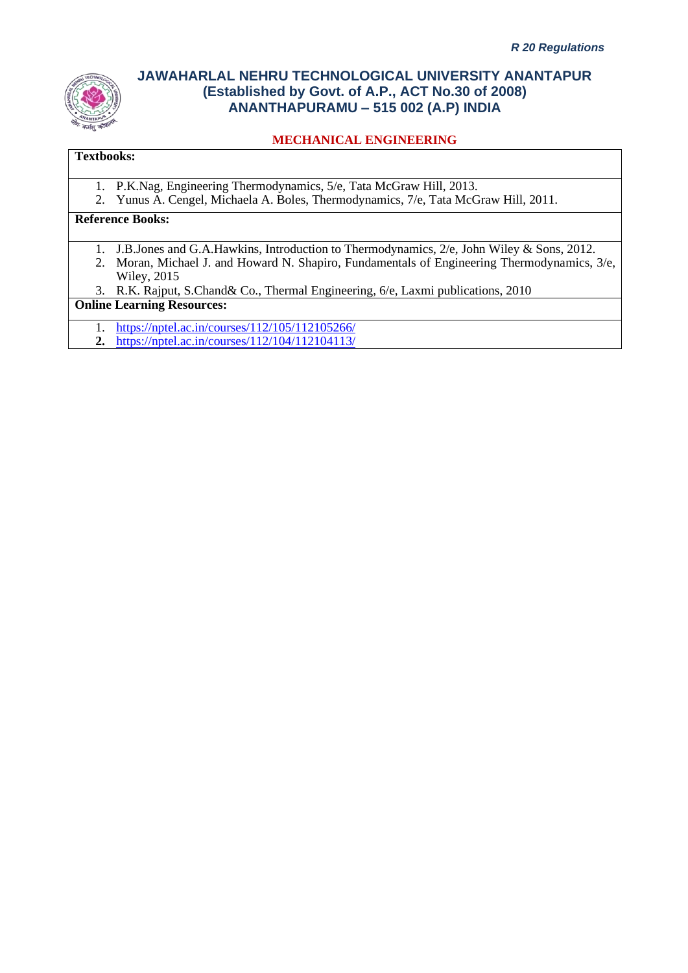

# **MECHANICAL ENGINEERING**

# **Textbooks:**

- 1. P.K.Nag, Engineering Thermodynamics, 5/e, Tata McGraw Hill, 2013.
- 2. Yunus A. Cengel, Michaela A. Boles, Thermodynamics, 7/e, Tata McGraw Hill, 2011.

# **Reference Books:**

- 1. J.B.Jones and G.A.Hawkins, Introduction to Thermodynamics, 2/e, John Wiley & Sons, 2012.
- 2. Moran, Michael J. and Howard N. Shapiro, Fundamentals of Engineering Thermodynamics, 3/e, Wiley, 2015
- 3. R.K. Rajput, S.Chand& Co., Thermal Engineering, 6/e, Laxmi publications, 2010

#### **Online Learning Resources:**

- 1. <https://nptel.ac.in/courses/112/105/112105266/>
- **2.** <https://nptel.ac.in/courses/112/104/112104113/>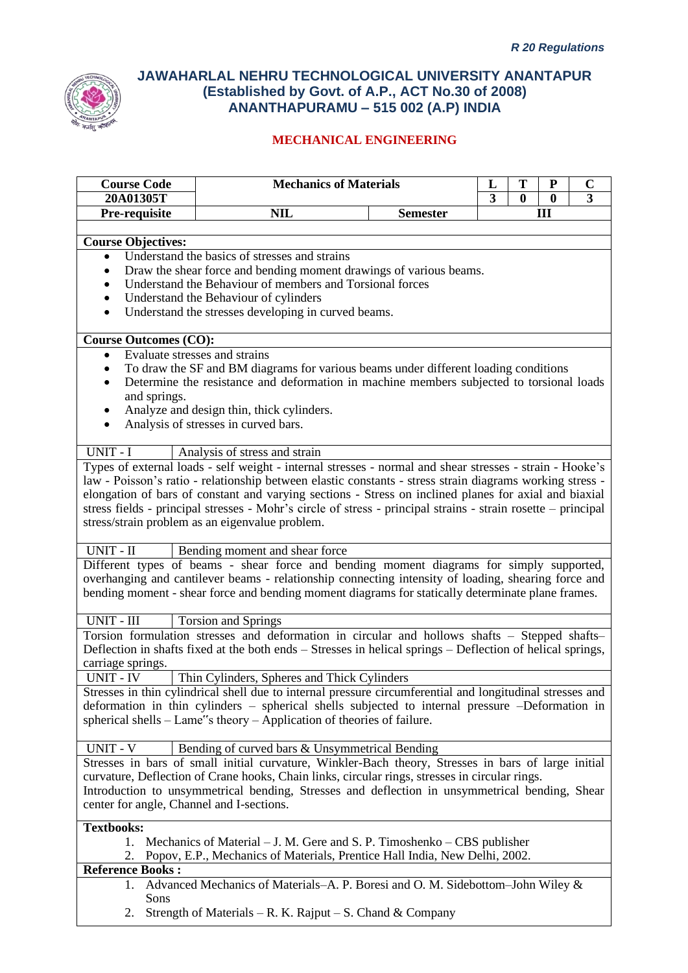

| <b>Course Code</b>                        |                                                                                                                                                                                 | <b>Mechanics of Materials</b><br>T<br>${\bf P}$<br>$\mathbf C$<br>L |   |          |          |   |  |  |
|-------------------------------------------|---------------------------------------------------------------------------------------------------------------------------------------------------------------------------------|---------------------------------------------------------------------|---|----------|----------|---|--|--|
| 20A01305T                                 |                                                                                                                                                                                 |                                                                     | 3 | $\bf{0}$ | $\bf{0}$ | 3 |  |  |
| Pre-requisite                             | <b>NIL</b>                                                                                                                                                                      | <b>Semester</b>                                                     |   |          | Ш        |   |  |  |
|                                           |                                                                                                                                                                                 |                                                                     |   |          |          |   |  |  |
| <b>Course Objectives:</b><br>$\bullet$    | Understand the basics of stresses and strains                                                                                                                                   |                                                                     |   |          |          |   |  |  |
| $\bullet$                                 | Draw the shear force and bending moment drawings of various beams.                                                                                                              |                                                                     |   |          |          |   |  |  |
| $\bullet$                                 | Understand the Behaviour of members and Torsional forces                                                                                                                        |                                                                     |   |          |          |   |  |  |
| $\bullet$                                 | Understand the Behaviour of cylinders                                                                                                                                           |                                                                     |   |          |          |   |  |  |
| $\bullet$                                 | Understand the stresses developing in curved beams.                                                                                                                             |                                                                     |   |          |          |   |  |  |
|                                           |                                                                                                                                                                                 |                                                                     |   |          |          |   |  |  |
| <b>Course Outcomes (CO):</b>              |                                                                                                                                                                                 |                                                                     |   |          |          |   |  |  |
| $\bullet$                                 | Evaluate stresses and strains                                                                                                                                                   |                                                                     |   |          |          |   |  |  |
|                                           | To draw the SF and BM diagrams for various beams under different loading conditions<br>Determine the resistance and deformation in machine members subjected to torsional loads |                                                                     |   |          |          |   |  |  |
| and springs.                              |                                                                                                                                                                                 |                                                                     |   |          |          |   |  |  |
| $\bullet$                                 | Analyze and design thin, thick cylinders.                                                                                                                                       |                                                                     |   |          |          |   |  |  |
| $\bullet$                                 | Analysis of stresses in curved bars.                                                                                                                                            |                                                                     |   |          |          |   |  |  |
|                                           |                                                                                                                                                                                 |                                                                     |   |          |          |   |  |  |
| UNIT - I                                  | Analysis of stress and strain                                                                                                                                                   |                                                                     |   |          |          |   |  |  |
|                                           | Types of external loads - self weight - internal stresses - normal and shear stresses - strain - Hooke's                                                                        |                                                                     |   |          |          |   |  |  |
|                                           | law - Poisson's ratio - relationship between elastic constants - stress strain diagrams working stress -                                                                        |                                                                     |   |          |          |   |  |  |
|                                           | elongation of bars of constant and varying sections - Stress on inclined planes for axial and biaxial                                                                           |                                                                     |   |          |          |   |  |  |
|                                           | stress fields - principal stresses - Mohr's circle of stress - principal strains - strain rosette - principal                                                                   |                                                                     |   |          |          |   |  |  |
|                                           | stress/strain problem as an eigenvalue problem.                                                                                                                                 |                                                                     |   |          |          |   |  |  |
| UNIT - II                                 | Bending moment and shear force                                                                                                                                                  |                                                                     |   |          |          |   |  |  |
|                                           | Different types of beams - shear force and bending moment diagrams for simply supported,                                                                                        |                                                                     |   |          |          |   |  |  |
|                                           | overhanging and cantilever beams - relationship connecting intensity of loading, shearing force and                                                                             |                                                                     |   |          |          |   |  |  |
|                                           | bending moment - shear force and bending moment diagrams for statically determinate plane frames.                                                                               |                                                                     |   |          |          |   |  |  |
|                                           |                                                                                                                                                                                 |                                                                     |   |          |          |   |  |  |
| UNIT - III                                | <b>Torsion and Springs</b>                                                                                                                                                      |                                                                     |   |          |          |   |  |  |
|                                           | Torsion formulation stresses and deformation in circular and hollows shafts - Stepped shafts-                                                                                   |                                                                     |   |          |          |   |  |  |
|                                           | Deflection in shafts fixed at the both ends – Stresses in helical springs – Deflection of helical springs,                                                                      |                                                                     |   |          |          |   |  |  |
| carriage springs.                         |                                                                                                                                                                                 |                                                                     |   |          |          |   |  |  |
| <b>UNIT - IV</b>                          | Thin Cylinders, Spheres and Thick Cylinders                                                                                                                                     |                                                                     |   |          |          |   |  |  |
|                                           | Stresses in thin cylindrical shell due to internal pressure circumferential and longitudinal stresses and                                                                       |                                                                     |   |          |          |   |  |  |
|                                           | deformation in thin cylinders – spherical shells subjected to internal pressure –Deformation in<br>spherical shells – Lame"s theory – Application of theories of failure.       |                                                                     |   |          |          |   |  |  |
|                                           |                                                                                                                                                                                 |                                                                     |   |          |          |   |  |  |
| UNIT - V                                  | Bending of curved bars & Unsymmetrical Bending                                                                                                                                  |                                                                     |   |          |          |   |  |  |
|                                           | Stresses in bars of small initial curvature, Winkler-Bach theory, Stresses in bars of large initial                                                                             |                                                                     |   |          |          |   |  |  |
|                                           | curvature, Deflection of Crane hooks, Chain links, circular rings, stresses in circular rings.                                                                                  |                                                                     |   |          |          |   |  |  |
|                                           | Introduction to unsymmetrical bending, Stresses and deflection in unsymmetrical bending, Shear                                                                                  |                                                                     |   |          |          |   |  |  |
| center for angle, Channel and I-sections. |                                                                                                                                                                                 |                                                                     |   |          |          |   |  |  |
| <b>Textbooks:</b>                         |                                                                                                                                                                                 |                                                                     |   |          |          |   |  |  |
|                                           | 1. Mechanics of Material – J. M. Gere and S. P. Timoshenko – CBS publisher                                                                                                      |                                                                     |   |          |          |   |  |  |
| 2.                                        | Popov, E.P., Mechanics of Materials, Prentice Hall India, New Delhi, 2002.                                                                                                      |                                                                     |   |          |          |   |  |  |
| <b>Reference Books:</b>                   |                                                                                                                                                                                 |                                                                     |   |          |          |   |  |  |
| 1.                                        | Advanced Mechanics of Materials–A. P. Boresi and O. M. Sidebottom–John Wiley &                                                                                                  |                                                                     |   |          |          |   |  |  |
| Sons                                      |                                                                                                                                                                                 |                                                                     |   |          |          |   |  |  |
| 2.                                        | Strength of Materials – R. K. Rajput – S. Chand & Company                                                                                                                       |                                                                     |   |          |          |   |  |  |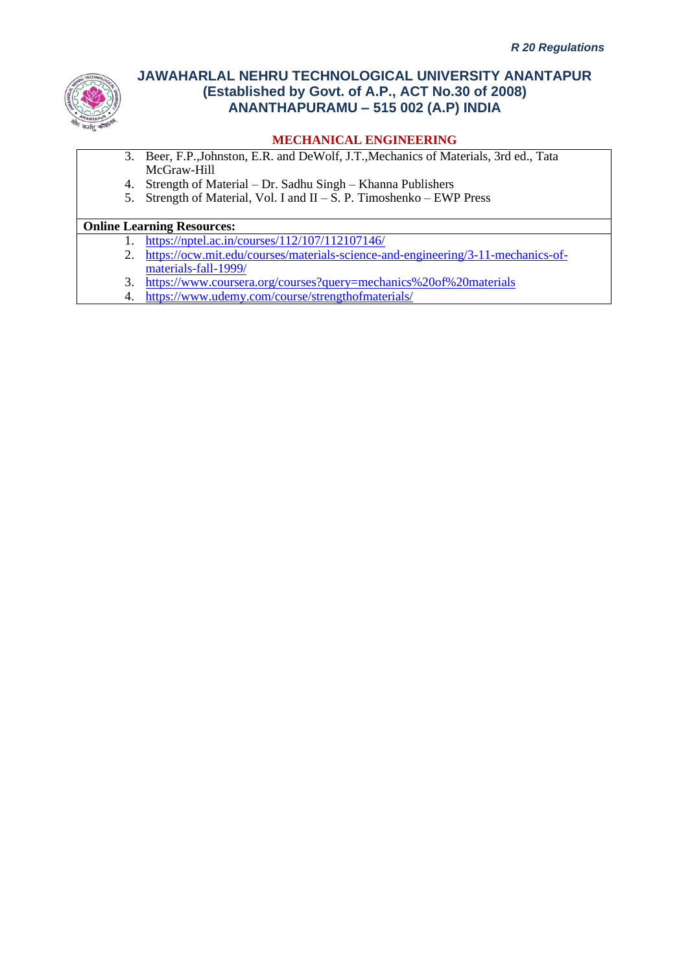

### **MECHANICAL ENGINEERING**

- 3. Beer, F.P.,Johnston, E.R. and DeWolf, J.T.,Mechanics of Materials, 3rd ed., Tata McGraw-Hill
- 4. Strength of Material Dr. Sadhu Singh Khanna Publishers
- 5. Strength of Material, Vol. I and  $II S$ . P. Timoshenko EWP Press

### **Online Learning Resources:**

- 1. <https://nptel.ac.in/courses/112/107/112107146/>
- 2. [https://ocw.mit.edu/courses/materials-science-and-engineering/3-11-mechanics-of](https://ocw.mit.edu/courses/materials-science-and-engineering/3-11-mechanics-of-materials-fall-1999/)[materials-fall-1999/](https://ocw.mit.edu/courses/materials-science-and-engineering/3-11-mechanics-of-materials-fall-1999/)
- 3. <https://www.coursera.org/courses?query=mechanics%20of%20materials>
- 4. <https://www.udemy.com/course/strengthofmaterials/>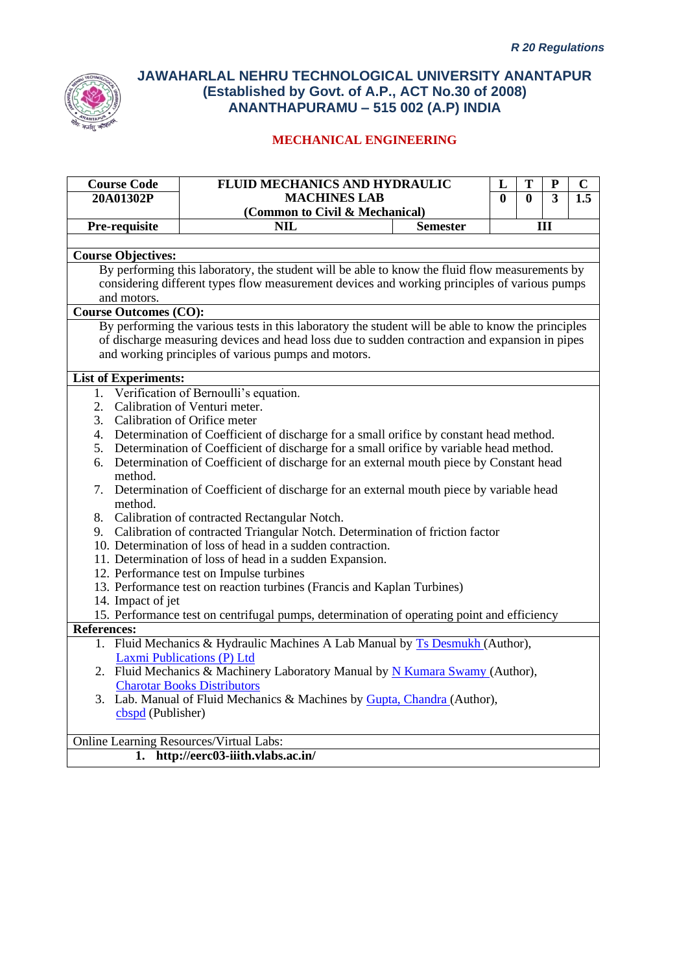

| <b>Course Code</b>                      | FLUID MECHANICS AND HYDRAULIC                                                                        |                 | L | T                                      | ${\bf P}$ | C |
|-----------------------------------------|------------------------------------------------------------------------------------------------------|-----------------|---|----------------------------------------|-----------|---|
| 20A01302P                               | <b>MACHINES LAB</b>                                                                                  |                 |   | $\overline{3}$<br>$\bf{0}$<br>$\bf{0}$ |           |   |
|                                         | (Common to Civil & Mechanical)                                                                       |                 |   |                                        |           |   |
| Pre-requisite                           | <b>NIL</b>                                                                                           | <b>Semester</b> |   |                                        | Ш         |   |
| <b>Course Objectives:</b>               |                                                                                                      |                 |   |                                        |           |   |
|                                         | By performing this laboratory, the student will be able to know the fluid flow measurements by       |                 |   |                                        |           |   |
|                                         | considering different types flow measurement devices and working principles of various pumps         |                 |   |                                        |           |   |
| and motors.                             |                                                                                                      |                 |   |                                        |           |   |
| <b>Course Outcomes (CO):</b>            |                                                                                                      |                 |   |                                        |           |   |
|                                         | By performing the various tests in this laboratory the student will be able to know the principles   |                 |   |                                        |           |   |
|                                         | of discharge measuring devices and head loss due to sudden contraction and expansion in pipes        |                 |   |                                        |           |   |
|                                         | and working principles of various pumps and motors.                                                  |                 |   |                                        |           |   |
| <b>List of Experiments:</b>             |                                                                                                      |                 |   |                                        |           |   |
|                                         | 1. Verification of Bernoulli's equation.                                                             |                 |   |                                        |           |   |
| 2. Calibration of Venturi meter.        |                                                                                                      |                 |   |                                        |           |   |
| 3. Calibration of Orifice meter         |                                                                                                      |                 |   |                                        |           |   |
|                                         | 4. Determination of Coefficient of discharge for a small orifice by constant head method.            |                 |   |                                        |           |   |
|                                         | 5. Determination of Coefficient of discharge for a small orifice by variable head method.            |                 |   |                                        |           |   |
|                                         | 6. Determination of Coefficient of discharge for an external mouth piece by Constant head            |                 |   |                                        |           |   |
| method.                                 |                                                                                                      |                 |   |                                        |           |   |
|                                         | 7. Determination of Coefficient of discharge for an external mouth piece by variable head            |                 |   |                                        |           |   |
| method.                                 |                                                                                                      |                 |   |                                        |           |   |
|                                         | 8. Calibration of contracted Rectangular Notch.                                                      |                 |   |                                        |           |   |
|                                         | 9. Calibration of contracted Triangular Notch. Determination of friction factor                      |                 |   |                                        |           |   |
|                                         | 10. Determination of loss of head in a sudden contraction.                                           |                 |   |                                        |           |   |
|                                         | 11. Determination of loss of head in a sudden Expansion.<br>12. Performance test on Impulse turbines |                 |   |                                        |           |   |
|                                         | 13. Performance test on reaction turbines (Francis and Kaplan Turbines)                              |                 |   |                                        |           |   |
| 14. Impact of jet                       |                                                                                                      |                 |   |                                        |           |   |
|                                         | 15. Performance test on centrifugal pumps, determination of operating point and efficiency           |                 |   |                                        |           |   |
| <b>References:</b>                      |                                                                                                      |                 |   |                                        |           |   |
|                                         | 1. Fluid Mechanics & Hydraulic Machines A Lab Manual by Ts Desmukh (Author),                         |                 |   |                                        |           |   |
|                                         | Laxmi Publications (P) Ltd                                                                           |                 |   |                                        |           |   |
|                                         | 2. Fluid Mechanics & Machinery Laboratory Manual by N Kumara Swamy (Author),                         |                 |   |                                        |           |   |
|                                         | <b>Charotar Books Distributors</b>                                                                   |                 |   |                                        |           |   |
|                                         | 3. Lab. Manual of Fluid Mechanics & Machines by Gupta, Chandra (Author),                             |                 |   |                                        |           |   |
| cbspd (Publisher)                       |                                                                                                      |                 |   |                                        |           |   |
| Online Learning Resources/Virtual Labs: |                                                                                                      |                 |   |                                        |           |   |
|                                         | 1. http://eerc03-iiith.vlabs.ac.in/                                                                  |                 |   |                                        |           |   |
|                                         |                                                                                                      |                 |   |                                        |           |   |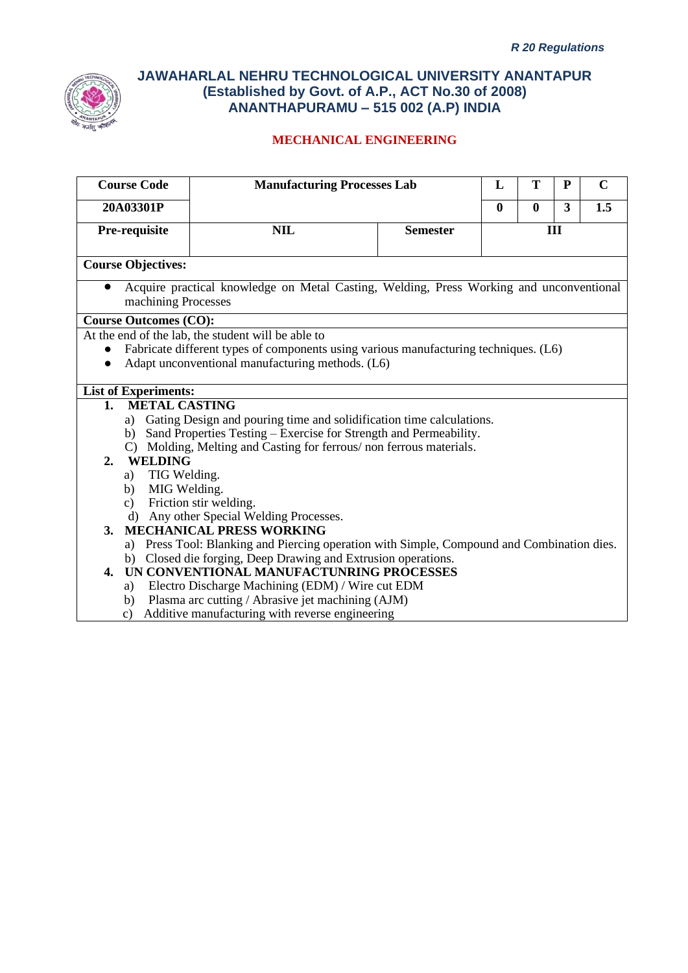

| <b>Course Code</b>           |                      | <b>Manufacturing Processes Lab</b>                                                         |                 | L        | T                                          | P | $\mathbf C$ |  |
|------------------------------|----------------------|--------------------------------------------------------------------------------------------|-----------------|----------|--------------------------------------------|---|-------------|--|
| 20A03301P                    |                      |                                                                                            |                 | $\bf{0}$ | $\overline{\mathbf{3}}$<br>1.5<br>$\bf{0}$ |   |             |  |
| Pre-requisite                |                      | <b>NIL</b>                                                                                 | <b>Semester</b> | Ш        |                                            |   |             |  |
| <b>Course Objectives:</b>    |                      |                                                                                            |                 |          |                                            |   |             |  |
|                              | machining Processes  | Acquire practical knowledge on Metal Casting, Welding, Press Working and unconventional    |                 |          |                                            |   |             |  |
| <b>Course Outcomes (CO):</b> |                      |                                                                                            |                 |          |                                            |   |             |  |
|                              |                      | At the end of the lab, the student will be able to                                         |                 |          |                                            |   |             |  |
| $\bullet$                    |                      | Fabricate different types of components using various manufacturing techniques. (L6)       |                 |          |                                            |   |             |  |
|                              |                      | Adapt unconventional manufacturing methods. (L6)                                           |                 |          |                                            |   |             |  |
|                              |                      |                                                                                            |                 |          |                                            |   |             |  |
| <b>List of Experiments:</b>  |                      |                                                                                            |                 |          |                                            |   |             |  |
| 1.                           | <b>METAL CASTING</b> |                                                                                            |                 |          |                                            |   |             |  |
| a)                           |                      | Gating Design and pouring time and solidification time calculations.                       |                 |          |                                            |   |             |  |
|                              |                      | b) Sand Properties Testing – Exercise for Strength and Permeability.                       |                 |          |                                            |   |             |  |
|                              |                      | C) Molding, Melting and Casting for ferrous/non ferrous materials.                         |                 |          |                                            |   |             |  |
| 2.                           | <b>WELDING</b>       |                                                                                            |                 |          |                                            |   |             |  |
| a)                           | TIG Welding.         |                                                                                            |                 |          |                                            |   |             |  |
| b)                           | MIG Welding.         |                                                                                            |                 |          |                                            |   |             |  |
| $\mathbf{c}$ )<br>$\rm d$    |                      | Friction stir welding.                                                                     |                 |          |                                            |   |             |  |
| $\mathbf{3}$ .               |                      | Any other Special Welding Processes.<br><b>MECHANICAL PRESS WORKING</b>                    |                 |          |                                            |   |             |  |
|                              |                      | a) Press Tool: Blanking and Piercing operation with Simple, Compound and Combination dies. |                 |          |                                            |   |             |  |
|                              |                      | b) Closed die forging, Deep Drawing and Extrusion operations.                              |                 |          |                                            |   |             |  |
| 4.                           |                      | UN CONVENTIONAL MANUFACTUNRING PROCESSES                                                   |                 |          |                                            |   |             |  |
| a)                           |                      | Electro Discharge Machining (EDM) / Wire cut EDM                                           |                 |          |                                            |   |             |  |
| b)                           |                      | Plasma arc cutting / Abrasive jet machining (AJM)                                          |                 |          |                                            |   |             |  |
| $\mathcal{C}$ )              |                      | Additive manufacturing with reverse engineering                                            |                 |          |                                            |   |             |  |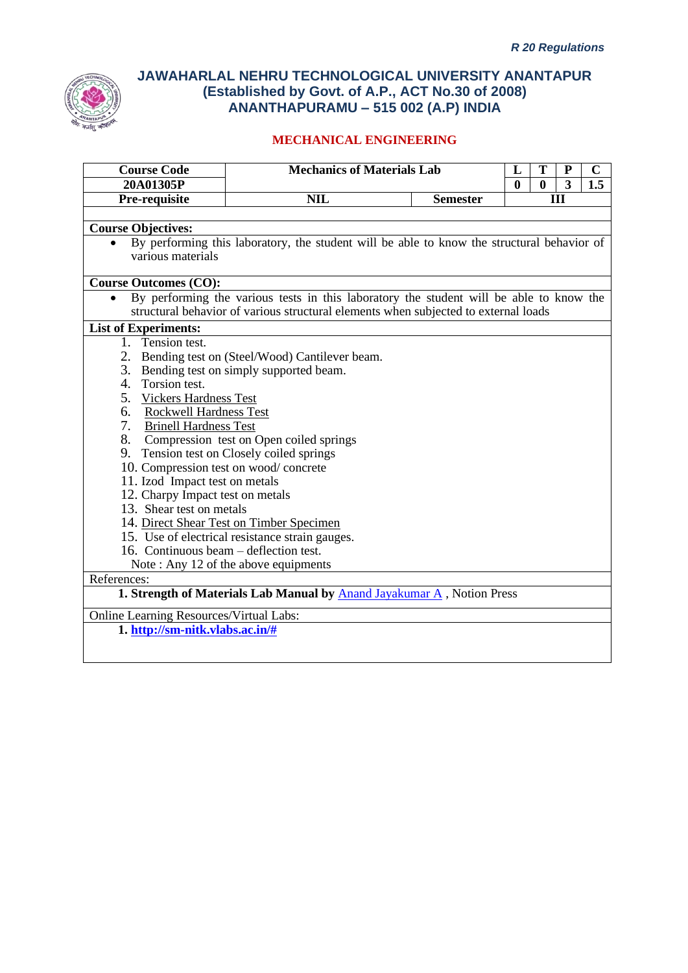

| <b>Course Code</b>                      | <b>Mechanics of Materials Lab</b>                                                          |                 | L        | T            | ${\bf P}$      | $\mathbf C$ |
|-----------------------------------------|--------------------------------------------------------------------------------------------|-----------------|----------|--------------|----------------|-------------|
| 20A01305P                               |                                                                                            |                 | $\bf{0}$ | $\mathbf{0}$ | $\overline{3}$ | 1.5         |
| Pre-requisite                           | <b>NIL</b>                                                                                 | <b>Semester</b> |          |              | Ш              |             |
|                                         |                                                                                            |                 |          |              |                |             |
| <b>Course Objectives:</b>               |                                                                                            |                 |          |              |                |             |
|                                         | By performing this laboratory, the student will be able to know the structural behavior of |                 |          |              |                |             |
| various materials                       |                                                                                            |                 |          |              |                |             |
| <b>Course Outcomes (CO):</b>            |                                                                                            |                 |          |              |                |             |
| $\bullet$                               | By performing the various tests in this laboratory the student will be able to know the    |                 |          |              |                |             |
|                                         | structural behavior of various structural elements when subjected to external loads        |                 |          |              |                |             |
| <b>List of Experiments:</b>             |                                                                                            |                 |          |              |                |             |
| 1. Tension test.                        |                                                                                            |                 |          |              |                |             |
|                                         | 2. Bending test on (Steel/Wood) Cantilever beam.                                           |                 |          |              |                |             |
|                                         | 3. Bending test on simply supported beam.                                                  |                 |          |              |                |             |
| 4. Torsion test.                        |                                                                                            |                 |          |              |                |             |
| 5. Vickers Hardness Test                |                                                                                            |                 |          |              |                |             |
| 6. Rockwell Hardness Test               |                                                                                            |                 |          |              |                |             |
| 7.<br><b>Brinell Hardness Test</b>      |                                                                                            |                 |          |              |                |             |
|                                         | 8. Compression test on Open coiled springs                                                 |                 |          |              |                |             |
|                                         | 9. Tension test on Closely coiled springs                                                  |                 |          |              |                |             |
| 10. Compression test on wood/concrete   |                                                                                            |                 |          |              |                |             |
| 11. Izod Impact test on metals          |                                                                                            |                 |          |              |                |             |
| 12. Charpy Impact test on metals        |                                                                                            |                 |          |              |                |             |
| 13. Shear test on metals                |                                                                                            |                 |          |              |                |             |
|                                         | 14. Direct Shear Test on Timber Specimen                                                   |                 |          |              |                |             |
|                                         | 15. Use of electrical resistance strain gauges.                                            |                 |          |              |                |             |
| 16. Continuous beam – deflection test.  |                                                                                            |                 |          |              |                |             |
|                                         | Note: Any 12 of the above equipments                                                       |                 |          |              |                |             |
| References:                             |                                                                                            |                 |          |              |                |             |
|                                         | 1. Strength of Materials Lab Manual by <b>Anand Jayakumar A</b> , Notion Press             |                 |          |              |                |             |
| Online Learning Resources/Virtual Labs: |                                                                                            |                 |          |              |                |             |
| 1. http://sm-nitk.vlabs.ac.in/#         |                                                                                            |                 |          |              |                |             |
|                                         |                                                                                            |                 |          |              |                |             |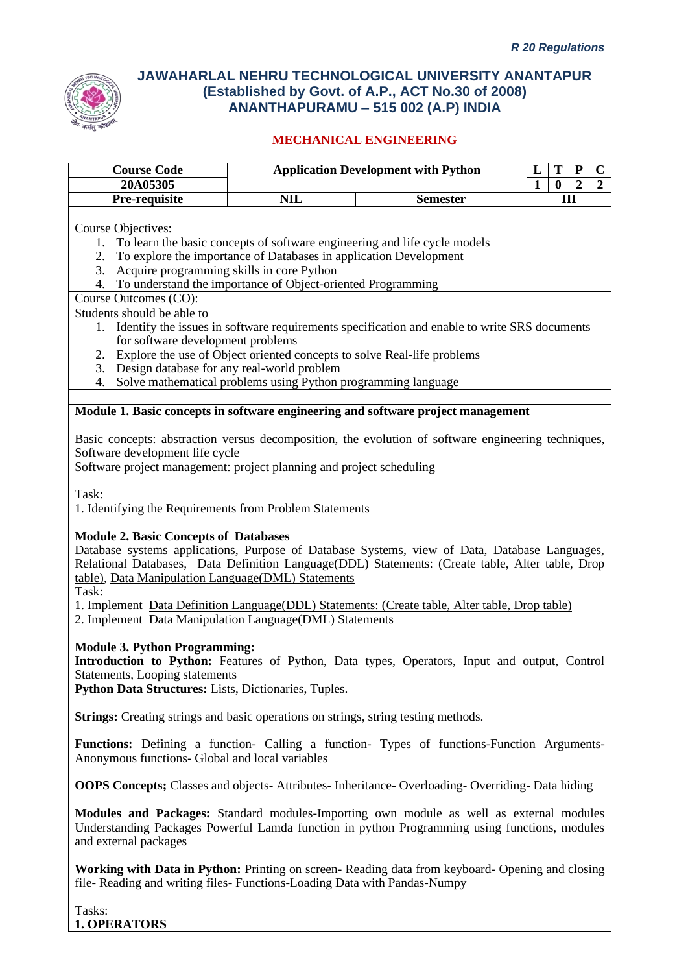

### **MECHANICAL ENGINEERING**

| <b>Course Code</b>                                                                        |                                                               | <b>Application Development with Python</b>                                                          | T<br>${\bf P}$<br>$\mathbf C$<br>L                                   |
|-------------------------------------------------------------------------------------------|---------------------------------------------------------------|-----------------------------------------------------------------------------------------------------|----------------------------------------------------------------------|
| 20A05305                                                                                  |                                                               |                                                                                                     | $\mathbf{1}$<br>$\boldsymbol{2}$<br>$\boldsymbol{2}$<br>$\mathbf{0}$ |
| Pre-requisite                                                                             | <b>NIL</b>                                                    | <b>Semester</b>                                                                                     | III                                                                  |
| Course Objectives:                                                                        |                                                               |                                                                                                     |                                                                      |
|                                                                                           |                                                               | 1. To learn the basic concepts of software engineering and life cycle models                        |                                                                      |
| 2. To explore the importance of Databases in application Development                      |                                                               |                                                                                                     |                                                                      |
| 3. Acquire programming skills in core Python                                              |                                                               |                                                                                                     |                                                                      |
| 4. To understand the importance of Object-oriented Programming                            |                                                               |                                                                                                     |                                                                      |
| Course Outcomes (CO):                                                                     |                                                               |                                                                                                     |                                                                      |
| Students should be able to                                                                |                                                               |                                                                                                     |                                                                      |
|                                                                                           |                                                               | 1. Identify the issues in software requirements specification and enable to write SRS documents     |                                                                      |
| for software development problems                                                         |                                                               |                                                                                                     |                                                                      |
| 2. Explore the use of Object oriented concepts to solve Real-life problems                |                                                               |                                                                                                     |                                                                      |
| 3. Design database for any real-world problem                                             |                                                               |                                                                                                     |                                                                      |
| 4.                                                                                        | Solve mathematical problems using Python programming language |                                                                                                     |                                                                      |
|                                                                                           |                                                               |                                                                                                     |                                                                      |
|                                                                                           |                                                               | Module 1. Basic concepts in software engineering and software project management                    |                                                                      |
|                                                                                           |                                                               | Basic concepts: abstraction versus decomposition, the evolution of software engineering techniques, |                                                                      |
| Software development life cycle                                                           |                                                               |                                                                                                     |                                                                      |
| Software project management: project planning and project scheduling                      |                                                               |                                                                                                     |                                                                      |
|                                                                                           |                                                               |                                                                                                     |                                                                      |
| Task:                                                                                     |                                                               |                                                                                                     |                                                                      |
| 1. Identifying the Requirements from Problem Statements                                   |                                                               |                                                                                                     |                                                                      |
|                                                                                           |                                                               |                                                                                                     |                                                                      |
| <b>Module 2. Basic Concepts of Databases</b>                                              |                                                               |                                                                                                     |                                                                      |
|                                                                                           |                                                               | Database systems applications, Purpose of Database Systems, view of Data, Database Languages,       |                                                                      |
|                                                                                           |                                                               | Relational Databases, Data Definition Language(DDL) Statements: (Create table, Alter table, Drop    |                                                                      |
| table), Data Manipulation Language(DML) Statements                                        |                                                               |                                                                                                     |                                                                      |
| Task:                                                                                     |                                                               |                                                                                                     |                                                                      |
|                                                                                           |                                                               | 1. Implement Data Definition Language (DDL) Statements: (Create table, Alter table, Drop table)     |                                                                      |
| 2. Implement Data Manipulation Language(DML) Statements                                   |                                                               |                                                                                                     |                                                                      |
| <b>Module 3. Python Programming:</b>                                                      |                                                               |                                                                                                     |                                                                      |
|                                                                                           |                                                               | Introduction to Python: Features of Python, Data types, Operators, Input and output, Control        |                                                                      |
| Statements, Looping statements                                                            |                                                               |                                                                                                     |                                                                      |
| Python Data Structures: Lists, Dictionaries, Tuples.                                      |                                                               |                                                                                                     |                                                                      |
|                                                                                           |                                                               |                                                                                                     |                                                                      |
| <b>Strings:</b> Creating strings and basic operations on strings, string testing methods. |                                                               |                                                                                                     |                                                                      |
|                                                                                           |                                                               |                                                                                                     |                                                                      |
|                                                                                           |                                                               | <b>Functions:</b> Defining a function- Calling a function- Types of functions-Function Arguments-   |                                                                      |
| Anonymous functions- Global and local variables                                           |                                                               |                                                                                                     |                                                                      |
|                                                                                           |                                                               |                                                                                                     |                                                                      |
|                                                                                           |                                                               | <b>OOPS Concepts;</b> Classes and objects-Attributes-Inheritance-Overloading-Overriding-Data hiding |                                                                      |
|                                                                                           |                                                               | <b>Modules and Packages:</b> Standard modules-Importing own module as well as external modules      |                                                                      |
|                                                                                           |                                                               | Understanding Packages Powerful Lamda function in python Programming using functions, modules       |                                                                      |
| and external packages                                                                     |                                                               |                                                                                                     |                                                                      |
|                                                                                           |                                                               |                                                                                                     |                                                                      |
|                                                                                           |                                                               |                                                                                                     |                                                                      |

**Working with Data in Python:** Printing on screen- Reading data from keyboard- Opening and closing file- Reading and writing files- Functions-Loading Data with Pandas-Numpy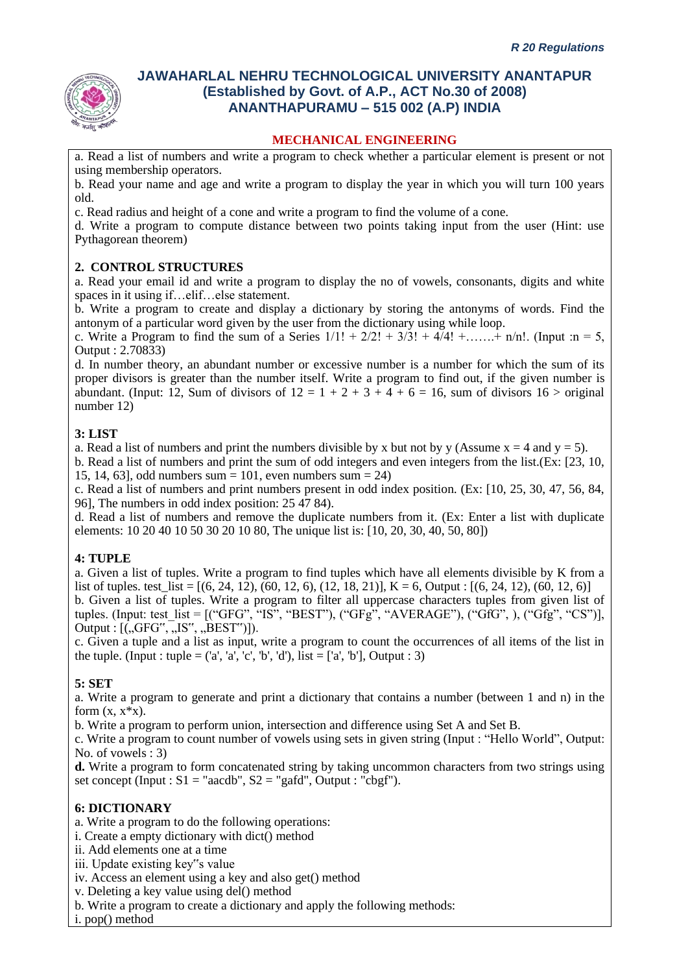

#### **MECHANICAL ENGINEERING**

a. Read a list of numbers and write a program to check whether a particular element is present or not using membership operators.

b. Read your name and age and write a program to display the year in which you will turn 100 years old.

c. Read radius and height of a cone and write a program to find the volume of a cone.

d. Write a program to compute distance between two points taking input from the user (Hint: use Pythagorean theorem)

#### **2. CONTROL STRUCTURES**

a. Read your email id and write a program to display the no of vowels, consonants, digits and white spaces in it using if…elif…else statement.

b. Write a program to create and display a dictionary by storing the antonyms of words. Find the antonym of a particular word given by the user from the dictionary using while loop.

c. Write a Program to find the sum of a Series  $1/1! + 2/2! + 3/3! + 4/4! + \dots + n/n!$ . (Input :n = 5, Output : 2.70833)

d. In number theory, an abundant number or excessive number is a number for which the sum of its proper divisors is greater than the number itself. Write a program to find out, if the given number is abundant. (Input: 12, Sum of divisors of  $12 = 1 + 2 + 3 + 4 + 6 = 16$ , sum of divisors  $16 >$  original number 12)

#### **3: LIST**

a. Read a list of numbers and print the numbers divisible by x but not by y (Assume  $x = 4$  and  $y = 5$ ).

b. Read a list of numbers and print the sum of odd integers and even integers from the list.(Ex: [23, 10, 15, 14, 63], odd numbers sum = 101, even numbers sum = 24)

c. Read a list of numbers and print numbers present in odd index position. (Ex: [10, 25, 30, 47, 56, 84, 96], The numbers in odd index position: 25 47 84).

d. Read a list of numbers and remove the duplicate numbers from it. (Ex: Enter a list with duplicate elements: 10 20 40 10 50 30 20 10 80, The unique list is: [10, 20, 30, 40, 50, 80])

#### **4: TUPLE**

a. Given a list of tuples. Write a program to find tuples which have all elements divisible by K from a list of tuples. test  $list = [(6, 24, 12), (60, 12, 6), (12, 18, 21)]$ , K = 6, Output :  $[(6, 24, 12), (60, 12, 6)]$ b. Given a list of tuples. Write a program to filter all uppercase characters tuples from given list of tuples. (Input: test\_list =  $[(``GFG", ``IS", "BEST"), ("GFG", "AVERAGE"), ("GFG", ), ("Gfg", "CS"]],$ Output :  $[(,GFG",-,IS",-,BEST$ ]).

c. Given a tuple and a list as input, write a program to count the occurrences of all items of the list in the tuple. (Input : tuple =  $(a', 'a', 'c', 'b', 'd'),$  list = ['a', 'b'], Output : 3)

#### **5: SET**

a. Write a program to generate and print a dictionary that contains a number (between 1 and n) in the form  $(x, x^*x)$ .

b. Write a program to perform union, intersection and difference using Set A and Set B.

c. Write a program to count number of vowels using sets in given string (Input : "Hello World", Output: No. of vowels : 3)

**d.** Write a program to form concatenated string by taking uncommon characters from two strings using set concept (Input :  $S1 = "aacdb", S2 = "gafd", Output : "cbgf").$ 

#### **6: DICTIONARY**

a. Write a program to do the following operations:

- i. Create a empty dictionary with dict() method
- ii. Add elements one at a time
- iii. Update existing key"s value

iv. Access an element using a key and also get() method

v. Deleting a key value using del() method

b. Write a program to create a dictionary and apply the following methods:

i. pop() method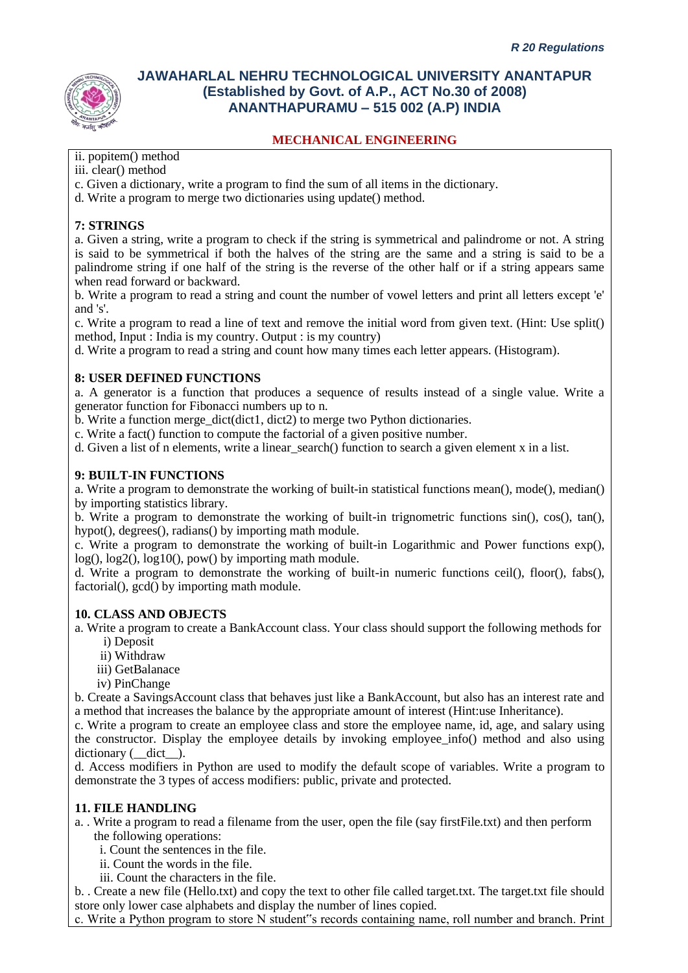# **MECHANICAL ENGINEERING**

ii. popitem() method

iii. clear() method

- c. Given a dictionary, write a program to find the sum of all items in the dictionary.
- d. Write a program to merge two dictionaries using update() method.

### **7: STRINGS**

a. Given a string, write a program to check if the string is symmetrical and palindrome or not. A string is said to be symmetrical if both the halves of the string are the same and a string is said to be a palindrome string if one half of the string is the reverse of the other half or if a string appears same when read forward or backward.

b. Write a program to read a string and count the number of vowel letters and print all letters except 'e' and 's'.

c. Write a program to read a line of text and remove the initial word from given text. (Hint: Use split() method, Input : India is my country. Output : is my country)

d. Write a program to read a string and count how many times each letter appears. (Histogram).

#### **8: USER DEFINED FUNCTIONS**

a. A generator is a function that produces a sequence of results instead of a single value. Write a generator function for Fibonacci numbers up to n.

b. Write a function merge\_dict(dict1, dict2) to merge two Python dictionaries.

c. Write a fact() function to compute the factorial of a given positive number.

d. Given a list of n elements, write a linear\_search() function to search a given element x in a list.

#### **9: BUILT-IN FUNCTIONS**

a. Write a program to demonstrate the working of built-in statistical functions mean(), mode(), median() by importing statistics library.

b. Write a program to demonstrate the working of built-in trignometric functions sin(), cos(), tan(), hypot(), degrees(), radians() by importing math module.

c. Write a program to demonstrate the working of built-in Logarithmic and Power functions exp(), log(),  $log2()$ ,  $log10()$ , pow() by importing math module.

d. Write a program to demonstrate the working of built-in numeric functions ceil(), floor(), fabs(), factorial(), gcd() by importing math module.

#### **10. CLASS AND OBJECTS**

a. Write a program to create a BankAccount class. Your class should support the following methods for i) Deposit

- ii) Withdraw
- iii) GetBalanace
- iv) PinChange

b. Create a SavingsAccount class that behaves just like a BankAccount, but also has an interest rate and a method that increases the balance by the appropriate amount of interest (Hint:use Inheritance).

c. Write a program to create an employee class and store the employee name, id, age, and salary using the constructor. Display the employee details by invoking employee\_info() method and also using dictionary ( $idict$ ).

d. Access modifiers in Python are used to modify the default scope of variables. Write a program to demonstrate the 3 types of access modifiers: public, private and protected.

#### **11. FILE HANDLING**

- a. . Write a program to read a filename from the user, open the file (say firstFile.txt) and then perform the following operations:
	- i. Count the sentences in the file.
	- ii. Count the words in the file.

iii. Count the characters in the file.

b. . Create a new file (Hello.txt) and copy the text to other file called target.txt. The target.txt file should store only lower case alphabets and display the number of lines copied.

c. Write a Python program to store N student"s records containing name, roll number and branch. Print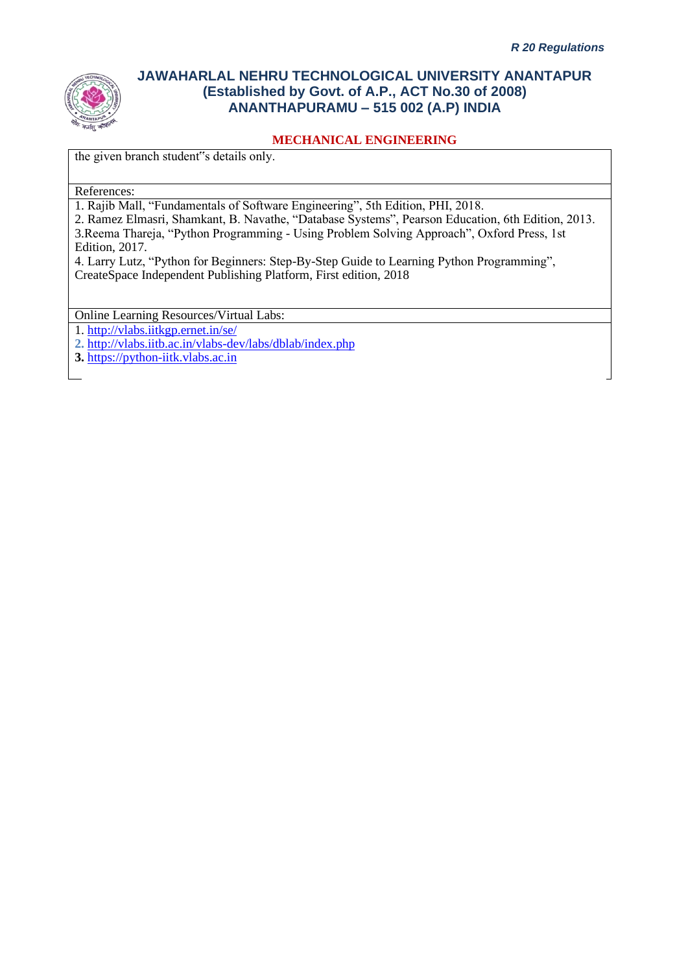

### **MECHANICAL ENGINEERING**

the given branch student"s details only.

References:

1. Rajib Mall, "Fundamentals of Software Engineering", 5th Edition, PHI, 2018.

2. Ramez Elmasri, Shamkant, B. Navathe, "Database Systems", Pearson Education, 6th Edition, 2013. 3.Reema Thareja, "Python Programming - Using Problem Solving Approach", Oxford Press, 1st Edition, 2017.

4. Larry Lutz, "Python for Beginners: Step-By-Step Guide to Learning Python Programming", CreateSpace Independent Publishing Platform, First edition, 2018

Online Learning Resources/Virtual Labs:

1.<http://vlabs.iitkgp.ernet.in/se/>

**2.** <http://vlabs.iitb.ac.in/vlabs-dev/labs/dblab/index.php>

**3.** [https://python-iitk.vlabs.ac.in](https://python-iitk.vlabs.ac.in/)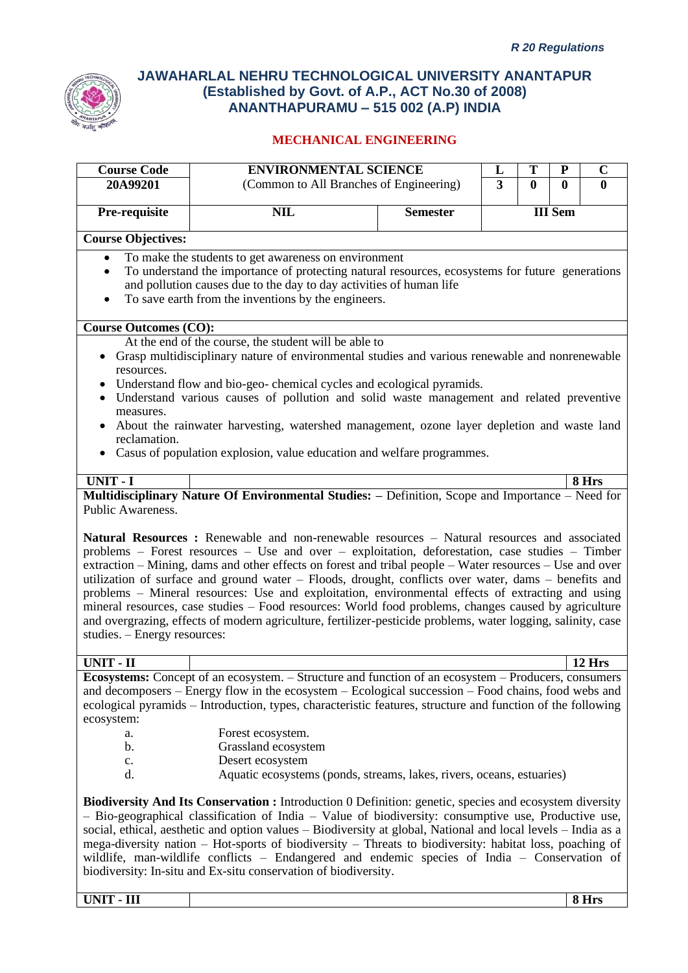

# **MECHANICAL ENGINEERING**

| <b>Course Code</b>                                              | <b>ENVIRONMENTAL SCIENCE</b>                                                                                                                                                                                                                                                                                                                                                                                                                                                                                                                                                                                                                     |                 | L              | Т | P              | $\mathbf C$  |
|-----------------------------------------------------------------|--------------------------------------------------------------------------------------------------------------------------------------------------------------------------------------------------------------------------------------------------------------------------------------------------------------------------------------------------------------------------------------------------------------------------------------------------------------------------------------------------------------------------------------------------------------------------------------------------------------------------------------------------|-----------------|----------------|---|----------------|--------------|
| 20A99201                                                        | (Common to All Branches of Engineering)                                                                                                                                                                                                                                                                                                                                                                                                                                                                                                                                                                                                          |                 | $\overline{3}$ | 0 | $\mathbf{0}$   | $\mathbf{0}$ |
| Pre-requisite                                                   | <b>NIL</b>                                                                                                                                                                                                                                                                                                                                                                                                                                                                                                                                                                                                                                       | <b>Semester</b> |                |   | <b>III</b> Sem |              |
|                                                                 |                                                                                                                                                                                                                                                                                                                                                                                                                                                                                                                                                                                                                                                  |                 |                |   |                |              |
| <b>Course Objectives:</b>                                       |                                                                                                                                                                                                                                                                                                                                                                                                                                                                                                                                                                                                                                                  |                 |                |   |                |              |
| $\bullet$<br>$\bullet$<br>$\bullet$                             | To make the students to get awareness on environment<br>To understand the importance of protecting natural resources, ecosystems for future generations<br>and pollution causes due to the day to day activities of human life<br>To save earth from the inventions by the engineers.                                                                                                                                                                                                                                                                                                                                                            |                 |                |   |                |              |
| <b>Course Outcomes (CO):</b>                                    |                                                                                                                                                                                                                                                                                                                                                                                                                                                                                                                                                                                                                                                  |                 |                |   |                |              |
|                                                                 | At the end of the course, the student will be able to                                                                                                                                                                                                                                                                                                                                                                                                                                                                                                                                                                                            |                 |                |   |                |              |
| resources.                                                      | • Grasp multidisciplinary nature of environmental studies and various renewable and nonrenewable<br>Understand flow and bio-geo-chemical cycles and ecological pyramids.<br>Understand various causes of pollution and solid waste management and related preventive                                                                                                                                                                                                                                                                                                                                                                             |                 |                |   |                |              |
| measures.<br>reclamation.                                       | About the rainwater harvesting, watershed management, ozone layer depletion and waste land                                                                                                                                                                                                                                                                                                                                                                                                                                                                                                                                                       |                 |                |   |                |              |
|                                                                 | Casus of population explosion, value education and welfare programmes.                                                                                                                                                                                                                                                                                                                                                                                                                                                                                                                                                                           |                 |                |   |                |              |
| <b>UNIT - I</b>                                                 |                                                                                                                                                                                                                                                                                                                                                                                                                                                                                                                                                                                                                                                  |                 |                |   |                | 8 Hrs        |
| Public Awareness.                                               | Multidisciplinary Nature Of Environmental Studies: - Definition, Scope and Importance - Need for                                                                                                                                                                                                                                                                                                                                                                                                                                                                                                                                                 |                 |                |   |                |              |
| studies. - Energy resources:                                    | problems - Forest resources - Use and over - exploitation, deforestation, case studies - Timber<br>extraction – Mining, dams and other effects on forest and tribal people – Water resources – Use and over<br>utilization of surface and ground water - Floods, drought, conflicts over water, dams - benefits and<br>problems - Mineral resources: Use and exploitation, environmental effects of extracting and using<br>mineral resources, case studies – Food resources: World food problems, changes caused by agriculture<br>and overgrazing, effects of modern agriculture, fertilizer-pesticide problems, water logging, salinity, case |                 |                |   |                |              |
|                                                                 |                                                                                                                                                                                                                                                                                                                                                                                                                                                                                                                                                                                                                                                  |                 |                |   |                |              |
| UNIT - II                                                       | Ecosystems: Concept of an ecosystem. - Structure and function of an ecosystem - Producers, consumers                                                                                                                                                                                                                                                                                                                                                                                                                                                                                                                                             |                 |                |   |                | 12 Hrs       |
| ecosystem:                                                      | and decomposers – Energy flow in the ecosystem – Ecological succession – Food chains, food webs and<br>ecological pyramids – Introduction, types, characteristic features, structure and function of the following                                                                                                                                                                                                                                                                                                                                                                                                                               |                 |                |   |                |              |
| a.                                                              | Forest ecosystem.                                                                                                                                                                                                                                                                                                                                                                                                                                                                                                                                                                                                                                |                 |                |   |                |              |
| b.                                                              | Grassland ecosystem                                                                                                                                                                                                                                                                                                                                                                                                                                                                                                                                                                                                                              |                 |                |   |                |              |
| c.<br>d.                                                        | Desert ecosystem<br>Aquatic ecosystems (ponds, streams, lakes, rivers, oceans, estuaries)                                                                                                                                                                                                                                                                                                                                                                                                                                                                                                                                                        |                 |                |   |                |              |
| biodiversity: In-situ and Ex-situ conservation of biodiversity. | <b>Biodiversity And Its Conservation :</b> Introduction 0 Definition: genetic, species and ecosystem diversity<br>$-$ Bio-geographical classification of India $-$ Value of biodiversity: consumptive use, Productive use,<br>social, ethical, aesthetic and option values – Biodiversity at global, National and local levels – India as a<br>mega-diversity nation – Hot-sports of biodiversity – Threats to biodiversity: habitat loss, poaching of<br>wildlife, man-wildlife conflicts – Endangered and endemic species of India – Conservation of                                                                                           |                 |                |   |                |              |

**UNIT - III 8 Hrs**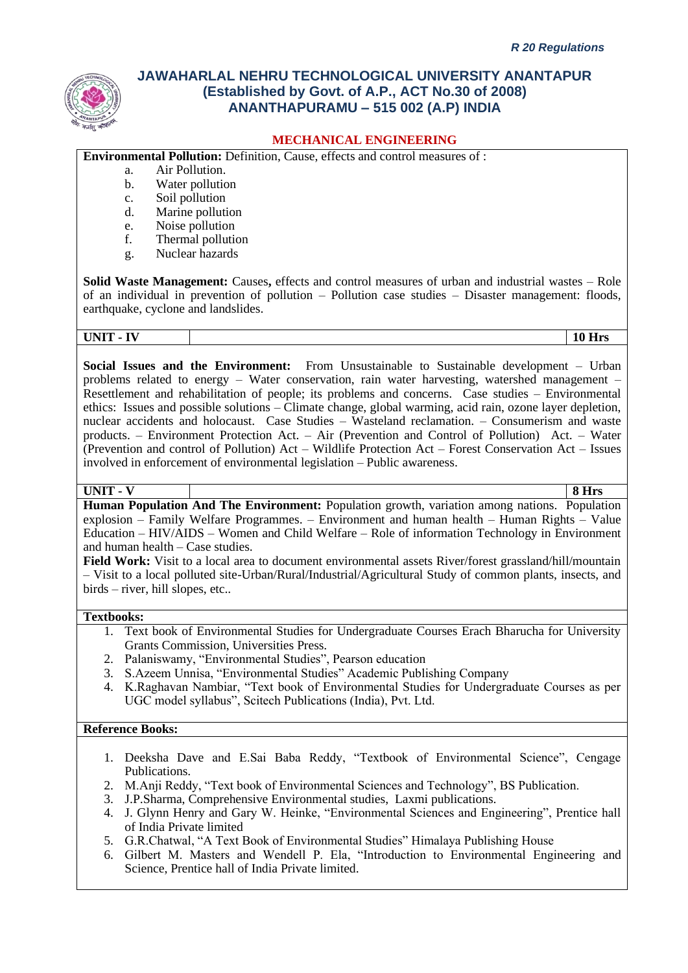

#### **MECHANICAL ENGINEERING**

**Environmental Pollution:** Definition, Cause, effects and control measures of :

- a. Air Pollution.
- b. Water pollution
- c. Soil pollution
- d. Marine pollution
- e. Noise pollution
- f. Thermal pollution
- g. Nuclear hazards

**Solid Waste Management:** Causes**,** effects and control measures of urban and industrial wastes – Role of an individual in prevention of pollution – Pollution case studies – Disaster management: floods, earthquake, cyclone and landslides.

**UNIT - IV 10 Hrs**

**Social Issues and the Environment:** From Unsustainable to Sustainable development – Urban problems related to energy – Water conservation, rain water harvesting, watershed management – Resettlement and rehabilitation of people; its problems and concerns. Case studies – Environmental ethics: Issues and possible solutions – Climate change, global warming, acid rain, ozone layer depletion, nuclear accidents and holocaust. Case Studies – Wasteland reclamation. – Consumerism and waste products. – Environment Protection Act. – Air (Prevention and Control of Pollution) Act. – Water (Prevention and control of Pollution) Act – Wildlife Protection Act – Forest Conservation Act – Issues involved in enforcement of environmental legislation – Public awareness.

#### **UNIT - V 8 Hrs**

**Human Population And The Environment:** Population growth, variation among nations. Population explosion – Family Welfare Programmes. – Environment and human health – Human Rights – Value Education – HIV/AIDS – Women and Child Welfare – Role of information Technology in Environment and human health – Case studies.

**Field Work:** Visit to a local area to document environmental assets River/forest grassland/hill/mountain – Visit to a local polluted site-Urban/Rural/Industrial/Agricultural Study of common plants, insects, and birds – river, hill slopes, etc..

#### **Textbooks:**

- 1. Text book of Environmental Studies for Undergraduate Courses Erach Bharucha for University Grants Commission, Universities Press.
- 2. Palaniswamy, "Environmental Studies", Pearson education
- 3. S.Azeem Unnisa, "Environmental Studies" Academic Publishing Company
- 4. K.Raghavan Nambiar, "Text book of Environmental Studies for Undergraduate Courses as per UGC model syllabus", Scitech Publications (India), Pvt. Ltd.

#### **Reference Books:**

- 1. Deeksha Dave and E.Sai Baba Reddy, "Textbook of Environmental Science", Cengage Publications.
- 2. M.Anji Reddy, "Text book of Environmental Sciences and Technology", BS Publication.
- 3. J.P.Sharma, Comprehensive Environmental studies, Laxmi publications.
- 4. J. Glynn Henry and Gary W. Heinke, "Environmental Sciences and Engineering", Prentice hall of India Private limited
- 5. G.R.Chatwal, "A Text Book of Environmental Studies" Himalaya Publishing House
- 6. Gilbert M. Masters and Wendell P. Ela, "Introduction to Environmental Engineering and Science, Prentice hall of India Private limited.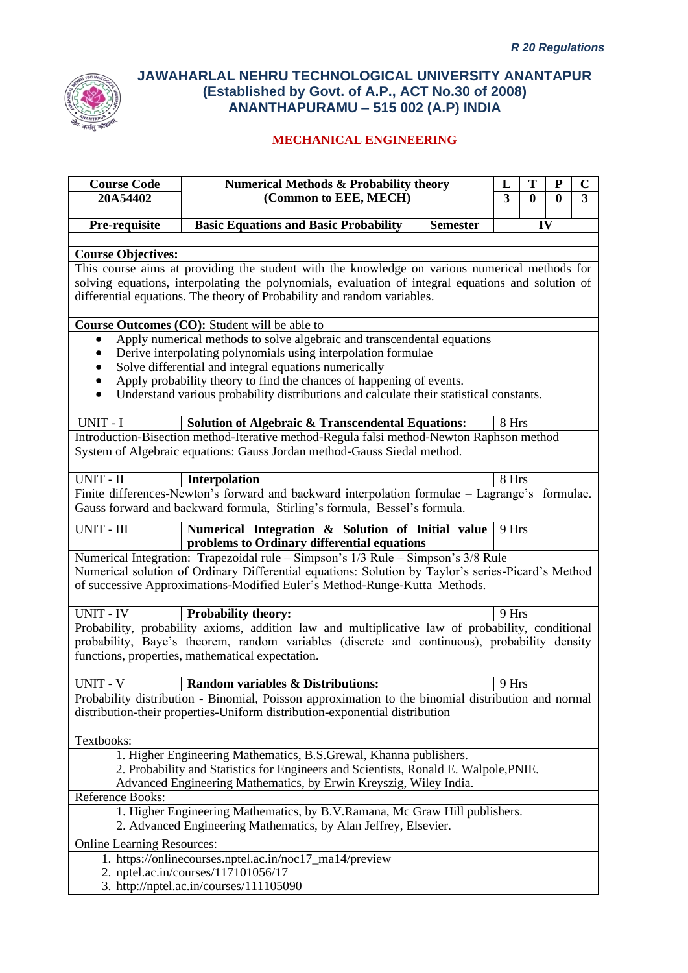

| <b>Course Code</b><br>20A54402    | Numerical Methods $\overline{\mathbf{x}}$ Probability theory                                                                                                                                                                                                                                                                                                         | L<br>3 | T<br>$\mathbf{0}$ | ${\bf P}$ | $\mathbf C$<br>$\overline{\mathbf{3}}$ |
|-----------------------------------|----------------------------------------------------------------------------------------------------------------------------------------------------------------------------------------------------------------------------------------------------------------------------------------------------------------------------------------------------------------------|--------|-------------------|-----------|----------------------------------------|
|                                   | (Common to EEE, MECH)                                                                                                                                                                                                                                                                                                                                                |        |                   | $\bf{0}$  |                                        |
| Pre-requisite                     | <b>Basic Equations and Basic Probability</b><br><b>Semester</b>                                                                                                                                                                                                                                                                                                      |        |                   | IV        |                                        |
|                                   |                                                                                                                                                                                                                                                                                                                                                                      |        |                   |           |                                        |
| <b>Course Objectives:</b>         | This course aims at providing the student with the knowledge on various numerical methods for                                                                                                                                                                                                                                                                        |        |                   |           |                                        |
|                                   | solving equations, interpolating the polynomials, evaluation of integral equations and solution of<br>differential equations. The theory of Probability and random variables.                                                                                                                                                                                        |        |                   |           |                                        |
|                                   | Course Outcomes (CO): Student will be able to                                                                                                                                                                                                                                                                                                                        |        |                   |           |                                        |
| $\bullet$<br>$\bullet$            | Apply numerical methods to solve algebraic and transcendental equations<br>Derive interpolating polynomials using interpolation formulae<br>Solve differential and integral equations numerically<br>Apply probability theory to find the chances of happening of events.<br>Understand various probability distributions and calculate their statistical constants. |        |                   |           |                                        |
| UNIT - I                          | <b>Solution of Algebraic &amp; Transcendental Equations:</b>                                                                                                                                                                                                                                                                                                         | 8 Hrs  |                   |           |                                        |
|                                   | Introduction-Bisection method-Iterative method-Regula falsi method-Newton Raphson method<br>System of Algebraic equations: Gauss Jordan method-Gauss Siedal method.                                                                                                                                                                                                  |        |                   |           |                                        |
| UNIT - II                         | Interpolation                                                                                                                                                                                                                                                                                                                                                        | 8 Hrs  |                   |           |                                        |
|                                   | Finite differences-Newton's forward and backward interpolation formulae - Lagrange's formulae.<br>Gauss forward and backward formula, Stirling's formula, Bessel's formula.                                                                                                                                                                                          |        |                   |           |                                        |
| UNIT - III                        | Numerical Integration & Solution of Initial value                                                                                                                                                                                                                                                                                                                    | 9 Hrs  |                   |           |                                        |
|                                   | problems to Ordinary differential equations                                                                                                                                                                                                                                                                                                                          |        |                   |           |                                        |
|                                   | Numerical Integration: Trapezoidal rule – Simpson's 1/3 Rule – Simpson's 3/8 Rule<br>Numerical solution of Ordinary Differential equations: Solution by Taylor's series-Picard's Method<br>of successive Approximations-Modified Euler's Method-Runge-Kutta Methods.                                                                                                 |        |                   |           |                                        |
| <b>UNIT - IV</b>                  | Probability theory:                                                                                                                                                                                                                                                                                                                                                  | 9 Hrs  |                   |           |                                        |
|                                   | Probability, probability axioms, addition law and multiplicative law of probability, conditional<br>probability, Baye's theorem, random variables (discrete and continuous), probability density<br>functions, properties, mathematical expectation.                                                                                                                 |        |                   |           |                                        |
| <b>UNIT - V</b>                   | Random variables & Distributions:                                                                                                                                                                                                                                                                                                                                    | 9 Hrs  |                   |           |                                        |
|                                   | Probability distribution - Binomial, Poisson approximation to the binomial distribution and normal<br>distribution-their properties-Uniform distribution-exponential distribution                                                                                                                                                                                    |        |                   |           |                                        |
| Textbooks:                        |                                                                                                                                                                                                                                                                                                                                                                      |        |                   |           |                                        |
|                                   | 1. Higher Engineering Mathematics, B.S.Grewal, Khanna publishers.<br>2. Probability and Statistics for Engineers and Scientists, Ronald E. Walpole, PNIE.<br>Advanced Engineering Mathematics, by Erwin Kreyszig, Wiley India.                                                                                                                                       |        |                   |           |                                        |
| Reference Books:                  |                                                                                                                                                                                                                                                                                                                                                                      |        |                   |           |                                        |
|                                   | 1. Higher Engineering Mathematics, by B.V.Ramana, Mc Graw Hill publishers.<br>2. Advanced Engineering Mathematics, by Alan Jeffrey, Elsevier.                                                                                                                                                                                                                        |        |                   |           |                                        |
| <b>Online Learning Resources:</b> |                                                                                                                                                                                                                                                                                                                                                                      |        |                   |           |                                        |
|                                   | 1. https://onlinecourses.nptel.ac.in/noc17_ma14/preview                                                                                                                                                                                                                                                                                                              |        |                   |           |                                        |
|                                   | 2. nptel.ac.in/courses/117101056/17<br>3. http://nptel.ac.in/courses/111105090                                                                                                                                                                                                                                                                                       |        |                   |           |                                        |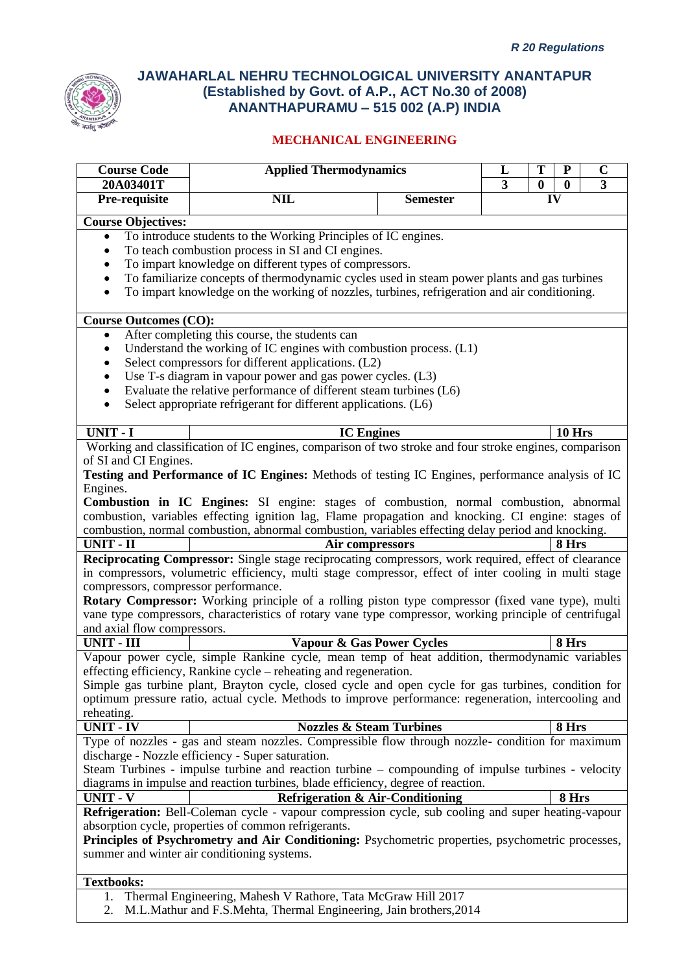

| <b>Course Code</b>                   | <b>Applied Thermodynamics</b>                                                                           |                 | L              | T                | ${\bf P}$        | $\mathbf C$    |
|--------------------------------------|---------------------------------------------------------------------------------------------------------|-----------------|----------------|------------------|------------------|----------------|
| 20A03401T                            |                                                                                                         |                 | $\overline{3}$ | $\boldsymbol{0}$ | $\boldsymbol{0}$ | $\overline{3}$ |
| Pre-requisite                        | <b>NIL</b>                                                                                              | <b>Semester</b> |                | IV               |                  |                |
| <b>Course Objectives:</b>            |                                                                                                         |                 |                |                  |                  |                |
| $\bullet$                            | To introduce students to the Working Principles of IC engines.                                          |                 |                |                  |                  |                |
|                                      | To teach combustion process in SI and CI engines.                                                       |                 |                |                  |                  |                |
|                                      | To impart knowledge on different types of compressors.                                                  |                 |                |                  |                  |                |
|                                      | To familiarize concepts of thermodynamic cycles used in steam power plants and gas turbines             |                 |                |                  |                  |                |
| $\bullet$                            | To impart knowledge on the working of nozzles, turbines, refrigeration and air conditioning.            |                 |                |                  |                  |                |
| <b>Course Outcomes (CO):</b>         |                                                                                                         |                 |                |                  |                  |                |
| ٠                                    | After completing this course, the students can                                                          |                 |                |                  |                  |                |
| $\bullet$                            | Understand the working of IC engines with combustion process. (L1)                                      |                 |                |                  |                  |                |
| $\bullet$                            | Select compressors for different applications. (L2)                                                     |                 |                |                  |                  |                |
| $\bullet$                            | Use T-s diagram in vapour power and gas power cycles. (L3)                                              |                 |                |                  |                  |                |
| $\bullet$                            | Evaluate the relative performance of different steam turbines (L6)                                      |                 |                |                  |                  |                |
| $\bullet$                            | Select appropriate refrigerant for different applications. (L6)                                         |                 |                |                  |                  |                |
|                                      |                                                                                                         |                 |                |                  |                  |                |
| <b>UNIT - I</b>                      | <b>IC Engines</b>                                                                                       |                 |                |                  | 10 Hrs           |                |
|                                      | Working and classification of IC engines, comparison of two stroke and four stroke engines, comparison  |                 |                |                  |                  |                |
| of SI and CI Engines.                |                                                                                                         |                 |                |                  |                  |                |
|                                      | Testing and Performance of IC Engines: Methods of testing IC Engines, performance analysis of IC        |                 |                |                  |                  |                |
| Engines.                             |                                                                                                         |                 |                |                  |                  |                |
|                                      | Combustion in IC Engines: SI engine: stages of combustion, normal combustion, abnormal                  |                 |                |                  |                  |                |
|                                      | combustion, variables effecting ignition lag, Flame propagation and knocking. CI engine: stages of      |                 |                |                  |                  |                |
|                                      | combustion, normal combustion, abnormal combustion, variables effecting delay period and knocking.      |                 |                |                  |                  |                |
| <b>UNIT - II</b>                     | Air compressors                                                                                         |                 |                |                  | 8 Hrs            |                |
|                                      | Reciprocating Compressor: Single stage reciprocating compressors, work required, effect of clearance    |                 |                |                  |                  |                |
|                                      | in compressors, volumetric efficiency, multi stage compressor, effect of inter cooling in multi stage   |                 |                |                  |                  |                |
| compressors, compressor performance. |                                                                                                         |                 |                |                  |                  |                |
|                                      | Rotary Compressor: Working principle of a rolling piston type compressor (fixed vane type), multi       |                 |                |                  |                  |                |
|                                      | vane type compressors, characteristics of rotary vane type compressor, working principle of centrifugal |                 |                |                  |                  |                |
| and axial flow compressors.          |                                                                                                         |                 |                |                  |                  |                |
| <b>UNIT - III</b>                    | Vapour & Gas Power Cycles                                                                               |                 |                |                  | 8 Hrs            |                |
|                                      | Vapour power cycle, simple Rankine cycle, mean temp of heat addition, thermodynamic variables           |                 |                |                  |                  |                |
|                                      | effecting efficiency, Rankine cycle - reheating and regeneration.                                       |                 |                |                  |                  |                |
|                                      | Simple gas turbine plant, Brayton cycle, closed cycle and open cycle for gas turbines, condition for    |                 |                |                  |                  |                |
|                                      | optimum pressure ratio, actual cycle. Methods to improve performance: regeneration, intercooling and    |                 |                |                  |                  |                |
| reheating.                           |                                                                                                         |                 |                |                  |                  |                |
| <b>UNIT - IV</b>                     | <b>Nozzles &amp; Steam Turbines</b>                                                                     |                 |                |                  | 8 Hrs            |                |
|                                      | Type of nozzles - gas and steam nozzles. Compressible flow through nozzle- condition for maximum        |                 |                |                  |                  |                |
|                                      | discharge - Nozzle efficiency - Super saturation.                                                       |                 |                |                  |                  |                |
|                                      | Steam Turbines - impulse turbine and reaction turbine – compounding of impulse turbines - velocity      |                 |                |                  |                  |                |
|                                      | diagrams in impulse and reaction turbines, blade efficiency, degree of reaction.                        |                 |                |                  |                  |                |
| <b>UNIT - V</b>                      | <b>Refrigeration &amp; Air-Conditioning</b>                                                             |                 |                |                  | 8 Hrs            |                |
|                                      | Refrigeration: Bell-Coleman cycle - vapour compression cycle, sub cooling and super heating-vapour      |                 |                |                  |                  |                |
|                                      | absorption cycle, properties of common refrigerants.                                                    |                 |                |                  |                  |                |
|                                      | Principles of Psychrometry and Air Conditioning: Psychometric properties, psychometric processes,       |                 |                |                  |                  |                |
|                                      |                                                                                                         |                 |                |                  |                  |                |
|                                      | summer and winter air conditioning systems.                                                             |                 |                |                  |                  |                |
| <b>Textbooks:</b>                    |                                                                                                         |                 |                |                  |                  |                |
|                                      | Thermal Engineering Mahesh V Rathore, Tata McGraw Hill 2017                                             |                 |                |                  |                  |                |

- 1. Thermal Engineering, Mahesh V Rathore, Tata McGraw Hill 2017
- 2. M.L.Mathur and F.S.Mehta, Thermal Engineering, Jain brothers,2014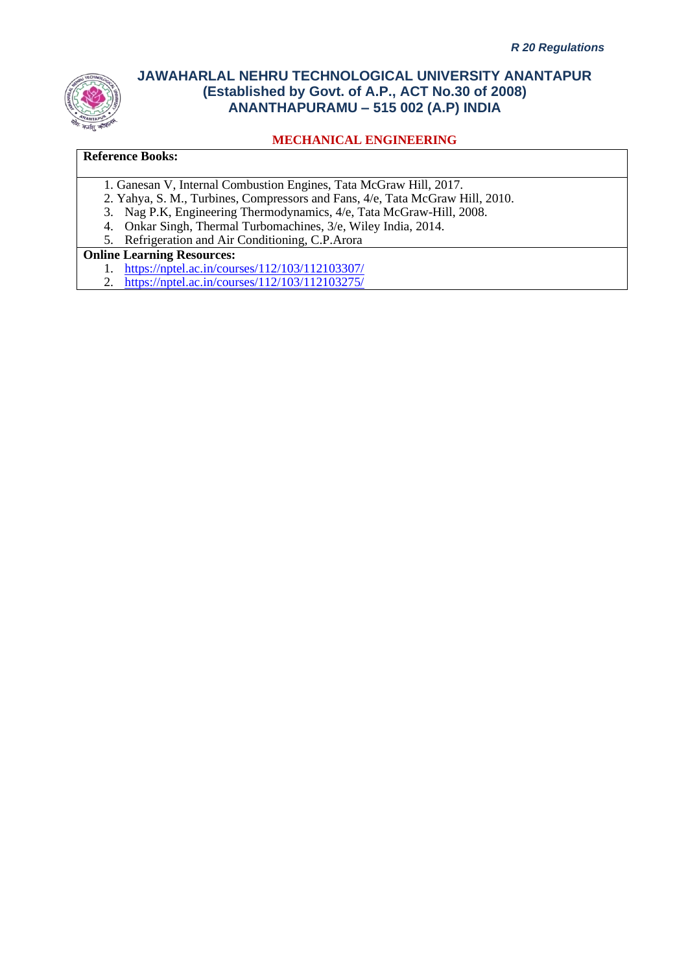

### **MECHANICAL ENGINEERING**

#### **Reference Books:**

- 1. Ganesan V, Internal Combustion Engines, Tata McGraw Hill, 2017.
- 2. Yahya, S. M., Turbines, Compressors and Fans, 4/e, Tata McGraw Hill, 2010.
- 3. Nag P.K, Engineering Thermodynamics, 4/e, Tata McGraw-Hill, 2008.
- 4. Onkar Singh, Thermal Turbomachines, 3/e, Wiley India, 2014.
- 5. Refrigeration and Air Conditioning, C.P.Arora

### **Online Learning Resources:**

- 1. <https://nptel.ac.in/courses/112/103/112103307/>
- 2. <https://nptel.ac.in/courses/112/103/112103275/>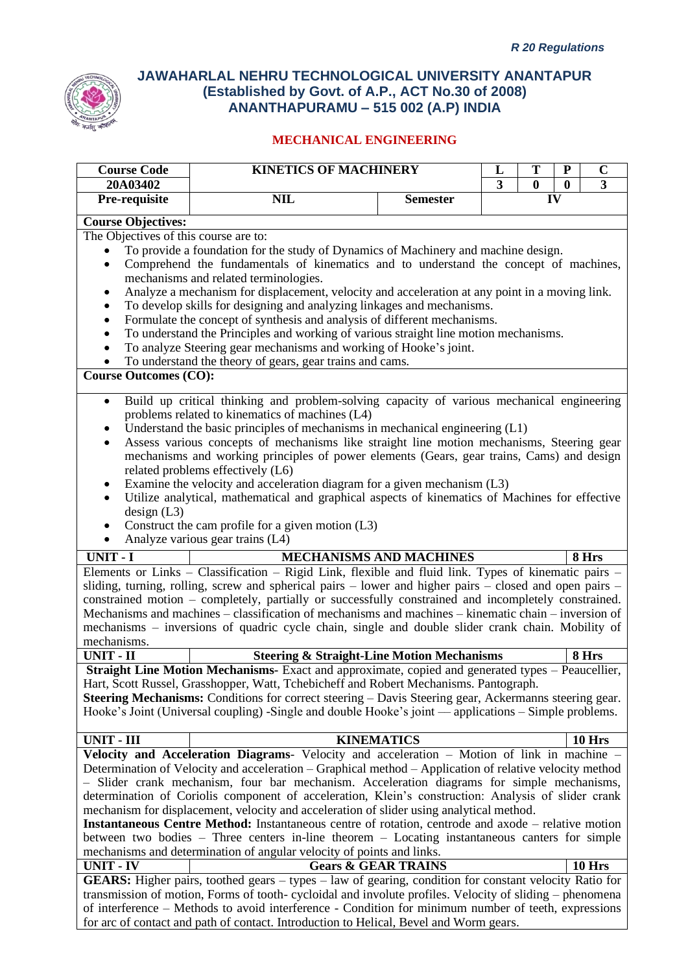

| 20A03402<br>$\overline{\mathbf{3}}$<br>3<br>$\boldsymbol{0}$<br>$\bf{0}$<br>IV<br>Pre-requisite<br><b>NIL</b><br><b>Semester</b><br><b>Course Objectives:</b><br>The Objectives of this course are to:<br>To provide a foundation for the study of Dynamics of Machinery and machine design.<br>Comprehend the fundamentals of kinematics and to understand the concept of machines,<br>$\bullet$<br>mechanisms and related terminologies.<br>Analyze a mechanism for displacement, velocity and acceleration at any point in a moving link.<br>٠<br>To develop skills for designing and analyzing linkages and mechanisms.<br>$\bullet$<br>Formulate the concept of synthesis and analysis of different mechanisms.<br>$\bullet$<br>To understand the Principles and working of various straight line motion mechanisms.<br>$\bullet$<br>To analyze Steering gear mechanisms and working of Hooke's joint.<br>$\bullet$<br>To understand the theory of gears, gear trains and cams.<br>$\bullet$<br><b>Course Outcomes (CO):</b><br>Build up critical thinking and problem-solving capacity of various mechanical engineering<br>$\bullet$<br>problems related to kinematics of machines (L4)<br>Understand the basic principles of mechanisms in mechanical engineering (L1)<br>Assess various concepts of mechanisms like straight line motion mechanisms, Steering gear<br>$\bullet$<br>mechanisms and working principles of power elements (Gears, gear trains, Cams) and design<br>related problems effectively (L6)<br>Examine the velocity and acceleration diagram for a given mechanism (L3)<br>Utilize analytical, mathematical and graphical aspects of kinematics of Machines for effective<br>$\bullet$<br>design (L3)<br>Construct the cam profile for a given motion $(L3)$<br>Analyze various gear trains (L4)<br>$\bullet$<br><b>UNIT - I</b><br><b>MECHANISMS AND MACHINES</b><br>8 Hrs<br>Elements or Links - Classification - Rigid Link, flexible and fluid link. Types of kinematic pairs -<br>sliding, turning, rolling, screw and spherical pairs – lower and higher pairs – closed and open pairs –<br>constrained motion – completely, partially or successfully constrained and incompletely constrained.<br>Mechanisms and machines – classification of mechanisms and machines – kinematic chain – inversion of<br>mechanisms – inversions of quadric cycle chain, single and double slider crank chain. Mobility of<br>mechanisms.<br><b>UNIT - II</b><br><b>Steering &amp; Straight-Line Motion Mechanisms</b><br>8 Hrs<br>Straight Line Motion Mechanisms- Exact and approximate, copied and generated types - Peaucellier,<br>Hart, Scott Russel, Grasshopper, Watt, Tchebicheff and Robert Mechanisms. Pantograph.<br><b>Steering Mechanisms:</b> Conditions for correct steering – Davis Steering gear, Ackermanns steering gear.<br>Hooke's Joint (Universal coupling) -Single and double Hooke's joint — applications – Simple problems.<br>UNIT - III<br><b>KINEMATICS</b><br><b>10 Hrs</b><br><b>Velocity and Acceleration Diagrams-</b> Velocity and acceleration $-$ Motion of link in machine $-$<br>Determination of Velocity and acceleration – Graphical method – Application of relative velocity method<br>- Slider crank mechanism, four bar mechanism. Acceleration diagrams for simple mechanisms,<br>determination of Coriolis component of acceleration, Klein's construction: Analysis of slider crank<br>mechanism for displacement, velocity and acceleration of slider using analytical method.<br>Instantaneous Centre Method: Instantaneous centre of rotation, centrode and axode - relative motion<br>between two bodies – Three centers in-line theorem – Locating instantaneous canters for simple<br>mechanisms and determination of angular velocity of points and links.<br><b>UNIT - IV</b><br>10 Hrs<br><b>Gears &amp; GEAR TRAINS</b><br><b>GEARS:</b> Higher pairs, toothed gears $-$ types $-$ law of gearing, condition for constant velocity Ratio for<br>transmission of motion, Forms of tooth-cycloidal and involute profiles. Velocity of sliding – phenomena<br>of interference – Methods to avoid interference - Condition for minimum number of teeth, expressions<br>for arc of contact and path of contact. Introduction to Helical, Bevel and Worm gears. | <b>Course Code</b> | <b>KINETICS OF MACHINERY</b> |  |  | T<br>$\mathbf C$<br>${\bf P}$<br>L |  |  |  |  |
|----------------------------------------------------------------------------------------------------------------------------------------------------------------------------------------------------------------------------------------------------------------------------------------------------------------------------------------------------------------------------------------------------------------------------------------------------------------------------------------------------------------------------------------------------------------------------------------------------------------------------------------------------------------------------------------------------------------------------------------------------------------------------------------------------------------------------------------------------------------------------------------------------------------------------------------------------------------------------------------------------------------------------------------------------------------------------------------------------------------------------------------------------------------------------------------------------------------------------------------------------------------------------------------------------------------------------------------------------------------------------------------------------------------------------------------------------------------------------------------------------------------------------------------------------------------------------------------------------------------------------------------------------------------------------------------------------------------------------------------------------------------------------------------------------------------------------------------------------------------------------------------------------------------------------------------------------------------------------------------------------------------------------------------------------------------------------------------------------------------------------------------------------------------------------------------------------------------------------------------------------------------------------------------------------------------------------------------------------------------------------------------------------------------------------------------------------------------------------------------------------------------------------------------------------------------------------------------------------------------------------------------------------------------------------------------------------------------------------------------------------------------------------------------------------------------------------------------------------------------------------------------------------------------------------------------------------------------------------------------------------------------------------------------------------------------------------------------------------------------------------------------------------------------------------------------------------------------------------------------------------------------------------------------------------------------------------------------------------------------------------------------------------------------------------------------------------------------------------------------------------------------------------------------------------------------------------------------------------------------------------------------------------------------------------------------------------------------------------------------------------------------------------------------------------------------------------------------------------------------------------------------------------------------------------------------------------------------------------------------------------------------------------------------------------------------------------------------------------------------------------------------------------------------------------------------------------------------------------------------------------------------------------------------------------------------------------------------------|--------------------|------------------------------|--|--|------------------------------------|--|--|--|--|
|                                                                                                                                                                                                                                                                                                                                                                                                                                                                                                                                                                                                                                                                                                                                                                                                                                                                                                                                                                                                                                                                                                                                                                                                                                                                                                                                                                                                                                                                                                                                                                                                                                                                                                                                                                                                                                                                                                                                                                                                                                                                                                                                                                                                                                                                                                                                                                                                                                                                                                                                                                                                                                                                                                                                                                                                                                                                                                                                                                                                                                                                                                                                                                                                                                                                                                                                                                                                                                                                                                                                                                                                                                                                                                                                                                                                                                                                                                                                                                                                                                                                                                                                                                                                                                                                                                                                              |                    |                              |  |  |                                    |  |  |  |  |
|                                                                                                                                                                                                                                                                                                                                                                                                                                                                                                                                                                                                                                                                                                                                                                                                                                                                                                                                                                                                                                                                                                                                                                                                                                                                                                                                                                                                                                                                                                                                                                                                                                                                                                                                                                                                                                                                                                                                                                                                                                                                                                                                                                                                                                                                                                                                                                                                                                                                                                                                                                                                                                                                                                                                                                                                                                                                                                                                                                                                                                                                                                                                                                                                                                                                                                                                                                                                                                                                                                                                                                                                                                                                                                                                                                                                                                                                                                                                                                                                                                                                                                                                                                                                                                                                                                                                              |                    |                              |  |  |                                    |  |  |  |  |
|                                                                                                                                                                                                                                                                                                                                                                                                                                                                                                                                                                                                                                                                                                                                                                                                                                                                                                                                                                                                                                                                                                                                                                                                                                                                                                                                                                                                                                                                                                                                                                                                                                                                                                                                                                                                                                                                                                                                                                                                                                                                                                                                                                                                                                                                                                                                                                                                                                                                                                                                                                                                                                                                                                                                                                                                                                                                                                                                                                                                                                                                                                                                                                                                                                                                                                                                                                                                                                                                                                                                                                                                                                                                                                                                                                                                                                                                                                                                                                                                                                                                                                                                                                                                                                                                                                                                              |                    |                              |  |  |                                    |  |  |  |  |
|                                                                                                                                                                                                                                                                                                                                                                                                                                                                                                                                                                                                                                                                                                                                                                                                                                                                                                                                                                                                                                                                                                                                                                                                                                                                                                                                                                                                                                                                                                                                                                                                                                                                                                                                                                                                                                                                                                                                                                                                                                                                                                                                                                                                                                                                                                                                                                                                                                                                                                                                                                                                                                                                                                                                                                                                                                                                                                                                                                                                                                                                                                                                                                                                                                                                                                                                                                                                                                                                                                                                                                                                                                                                                                                                                                                                                                                                                                                                                                                                                                                                                                                                                                                                                                                                                                                                              |                    |                              |  |  |                                    |  |  |  |  |
|                                                                                                                                                                                                                                                                                                                                                                                                                                                                                                                                                                                                                                                                                                                                                                                                                                                                                                                                                                                                                                                                                                                                                                                                                                                                                                                                                                                                                                                                                                                                                                                                                                                                                                                                                                                                                                                                                                                                                                                                                                                                                                                                                                                                                                                                                                                                                                                                                                                                                                                                                                                                                                                                                                                                                                                                                                                                                                                                                                                                                                                                                                                                                                                                                                                                                                                                                                                                                                                                                                                                                                                                                                                                                                                                                                                                                                                                                                                                                                                                                                                                                                                                                                                                                                                                                                                                              |                    |                              |  |  |                                    |  |  |  |  |
|                                                                                                                                                                                                                                                                                                                                                                                                                                                                                                                                                                                                                                                                                                                                                                                                                                                                                                                                                                                                                                                                                                                                                                                                                                                                                                                                                                                                                                                                                                                                                                                                                                                                                                                                                                                                                                                                                                                                                                                                                                                                                                                                                                                                                                                                                                                                                                                                                                                                                                                                                                                                                                                                                                                                                                                                                                                                                                                                                                                                                                                                                                                                                                                                                                                                                                                                                                                                                                                                                                                                                                                                                                                                                                                                                                                                                                                                                                                                                                                                                                                                                                                                                                                                                                                                                                                                              |                    |                              |  |  |                                    |  |  |  |  |
|                                                                                                                                                                                                                                                                                                                                                                                                                                                                                                                                                                                                                                                                                                                                                                                                                                                                                                                                                                                                                                                                                                                                                                                                                                                                                                                                                                                                                                                                                                                                                                                                                                                                                                                                                                                                                                                                                                                                                                                                                                                                                                                                                                                                                                                                                                                                                                                                                                                                                                                                                                                                                                                                                                                                                                                                                                                                                                                                                                                                                                                                                                                                                                                                                                                                                                                                                                                                                                                                                                                                                                                                                                                                                                                                                                                                                                                                                                                                                                                                                                                                                                                                                                                                                                                                                                                                              |                    |                              |  |  |                                    |  |  |  |  |
|                                                                                                                                                                                                                                                                                                                                                                                                                                                                                                                                                                                                                                                                                                                                                                                                                                                                                                                                                                                                                                                                                                                                                                                                                                                                                                                                                                                                                                                                                                                                                                                                                                                                                                                                                                                                                                                                                                                                                                                                                                                                                                                                                                                                                                                                                                                                                                                                                                                                                                                                                                                                                                                                                                                                                                                                                                                                                                                                                                                                                                                                                                                                                                                                                                                                                                                                                                                                                                                                                                                                                                                                                                                                                                                                                                                                                                                                                                                                                                                                                                                                                                                                                                                                                                                                                                                                              |                    |                              |  |  |                                    |  |  |  |  |
|                                                                                                                                                                                                                                                                                                                                                                                                                                                                                                                                                                                                                                                                                                                                                                                                                                                                                                                                                                                                                                                                                                                                                                                                                                                                                                                                                                                                                                                                                                                                                                                                                                                                                                                                                                                                                                                                                                                                                                                                                                                                                                                                                                                                                                                                                                                                                                                                                                                                                                                                                                                                                                                                                                                                                                                                                                                                                                                                                                                                                                                                                                                                                                                                                                                                                                                                                                                                                                                                                                                                                                                                                                                                                                                                                                                                                                                                                                                                                                                                                                                                                                                                                                                                                                                                                                                                              |                    |                              |  |  |                                    |  |  |  |  |
|                                                                                                                                                                                                                                                                                                                                                                                                                                                                                                                                                                                                                                                                                                                                                                                                                                                                                                                                                                                                                                                                                                                                                                                                                                                                                                                                                                                                                                                                                                                                                                                                                                                                                                                                                                                                                                                                                                                                                                                                                                                                                                                                                                                                                                                                                                                                                                                                                                                                                                                                                                                                                                                                                                                                                                                                                                                                                                                                                                                                                                                                                                                                                                                                                                                                                                                                                                                                                                                                                                                                                                                                                                                                                                                                                                                                                                                                                                                                                                                                                                                                                                                                                                                                                                                                                                                                              |                    |                              |  |  |                                    |  |  |  |  |
|                                                                                                                                                                                                                                                                                                                                                                                                                                                                                                                                                                                                                                                                                                                                                                                                                                                                                                                                                                                                                                                                                                                                                                                                                                                                                                                                                                                                                                                                                                                                                                                                                                                                                                                                                                                                                                                                                                                                                                                                                                                                                                                                                                                                                                                                                                                                                                                                                                                                                                                                                                                                                                                                                                                                                                                                                                                                                                                                                                                                                                                                                                                                                                                                                                                                                                                                                                                                                                                                                                                                                                                                                                                                                                                                                                                                                                                                                                                                                                                                                                                                                                                                                                                                                                                                                                                                              |                    |                              |  |  |                                    |  |  |  |  |
|                                                                                                                                                                                                                                                                                                                                                                                                                                                                                                                                                                                                                                                                                                                                                                                                                                                                                                                                                                                                                                                                                                                                                                                                                                                                                                                                                                                                                                                                                                                                                                                                                                                                                                                                                                                                                                                                                                                                                                                                                                                                                                                                                                                                                                                                                                                                                                                                                                                                                                                                                                                                                                                                                                                                                                                                                                                                                                                                                                                                                                                                                                                                                                                                                                                                                                                                                                                                                                                                                                                                                                                                                                                                                                                                                                                                                                                                                                                                                                                                                                                                                                                                                                                                                                                                                                                                              |                    |                              |  |  |                                    |  |  |  |  |
|                                                                                                                                                                                                                                                                                                                                                                                                                                                                                                                                                                                                                                                                                                                                                                                                                                                                                                                                                                                                                                                                                                                                                                                                                                                                                                                                                                                                                                                                                                                                                                                                                                                                                                                                                                                                                                                                                                                                                                                                                                                                                                                                                                                                                                                                                                                                                                                                                                                                                                                                                                                                                                                                                                                                                                                                                                                                                                                                                                                                                                                                                                                                                                                                                                                                                                                                                                                                                                                                                                                                                                                                                                                                                                                                                                                                                                                                                                                                                                                                                                                                                                                                                                                                                                                                                                                                              |                    |                              |  |  |                                    |  |  |  |  |
|                                                                                                                                                                                                                                                                                                                                                                                                                                                                                                                                                                                                                                                                                                                                                                                                                                                                                                                                                                                                                                                                                                                                                                                                                                                                                                                                                                                                                                                                                                                                                                                                                                                                                                                                                                                                                                                                                                                                                                                                                                                                                                                                                                                                                                                                                                                                                                                                                                                                                                                                                                                                                                                                                                                                                                                                                                                                                                                                                                                                                                                                                                                                                                                                                                                                                                                                                                                                                                                                                                                                                                                                                                                                                                                                                                                                                                                                                                                                                                                                                                                                                                                                                                                                                                                                                                                                              |                    |                              |  |  |                                    |  |  |  |  |
|                                                                                                                                                                                                                                                                                                                                                                                                                                                                                                                                                                                                                                                                                                                                                                                                                                                                                                                                                                                                                                                                                                                                                                                                                                                                                                                                                                                                                                                                                                                                                                                                                                                                                                                                                                                                                                                                                                                                                                                                                                                                                                                                                                                                                                                                                                                                                                                                                                                                                                                                                                                                                                                                                                                                                                                                                                                                                                                                                                                                                                                                                                                                                                                                                                                                                                                                                                                                                                                                                                                                                                                                                                                                                                                                                                                                                                                                                                                                                                                                                                                                                                                                                                                                                                                                                                                                              |                    |                              |  |  |                                    |  |  |  |  |
|                                                                                                                                                                                                                                                                                                                                                                                                                                                                                                                                                                                                                                                                                                                                                                                                                                                                                                                                                                                                                                                                                                                                                                                                                                                                                                                                                                                                                                                                                                                                                                                                                                                                                                                                                                                                                                                                                                                                                                                                                                                                                                                                                                                                                                                                                                                                                                                                                                                                                                                                                                                                                                                                                                                                                                                                                                                                                                                                                                                                                                                                                                                                                                                                                                                                                                                                                                                                                                                                                                                                                                                                                                                                                                                                                                                                                                                                                                                                                                                                                                                                                                                                                                                                                                                                                                                                              |                    |                              |  |  |                                    |  |  |  |  |
|                                                                                                                                                                                                                                                                                                                                                                                                                                                                                                                                                                                                                                                                                                                                                                                                                                                                                                                                                                                                                                                                                                                                                                                                                                                                                                                                                                                                                                                                                                                                                                                                                                                                                                                                                                                                                                                                                                                                                                                                                                                                                                                                                                                                                                                                                                                                                                                                                                                                                                                                                                                                                                                                                                                                                                                                                                                                                                                                                                                                                                                                                                                                                                                                                                                                                                                                                                                                                                                                                                                                                                                                                                                                                                                                                                                                                                                                                                                                                                                                                                                                                                                                                                                                                                                                                                                                              |                    |                              |  |  |                                    |  |  |  |  |
|                                                                                                                                                                                                                                                                                                                                                                                                                                                                                                                                                                                                                                                                                                                                                                                                                                                                                                                                                                                                                                                                                                                                                                                                                                                                                                                                                                                                                                                                                                                                                                                                                                                                                                                                                                                                                                                                                                                                                                                                                                                                                                                                                                                                                                                                                                                                                                                                                                                                                                                                                                                                                                                                                                                                                                                                                                                                                                                                                                                                                                                                                                                                                                                                                                                                                                                                                                                                                                                                                                                                                                                                                                                                                                                                                                                                                                                                                                                                                                                                                                                                                                                                                                                                                                                                                                                                              |                    |                              |  |  |                                    |  |  |  |  |
|                                                                                                                                                                                                                                                                                                                                                                                                                                                                                                                                                                                                                                                                                                                                                                                                                                                                                                                                                                                                                                                                                                                                                                                                                                                                                                                                                                                                                                                                                                                                                                                                                                                                                                                                                                                                                                                                                                                                                                                                                                                                                                                                                                                                                                                                                                                                                                                                                                                                                                                                                                                                                                                                                                                                                                                                                                                                                                                                                                                                                                                                                                                                                                                                                                                                                                                                                                                                                                                                                                                                                                                                                                                                                                                                                                                                                                                                                                                                                                                                                                                                                                                                                                                                                                                                                                                                              |                    |                              |  |  |                                    |  |  |  |  |
|                                                                                                                                                                                                                                                                                                                                                                                                                                                                                                                                                                                                                                                                                                                                                                                                                                                                                                                                                                                                                                                                                                                                                                                                                                                                                                                                                                                                                                                                                                                                                                                                                                                                                                                                                                                                                                                                                                                                                                                                                                                                                                                                                                                                                                                                                                                                                                                                                                                                                                                                                                                                                                                                                                                                                                                                                                                                                                                                                                                                                                                                                                                                                                                                                                                                                                                                                                                                                                                                                                                                                                                                                                                                                                                                                                                                                                                                                                                                                                                                                                                                                                                                                                                                                                                                                                                                              |                    |                              |  |  |                                    |  |  |  |  |
|                                                                                                                                                                                                                                                                                                                                                                                                                                                                                                                                                                                                                                                                                                                                                                                                                                                                                                                                                                                                                                                                                                                                                                                                                                                                                                                                                                                                                                                                                                                                                                                                                                                                                                                                                                                                                                                                                                                                                                                                                                                                                                                                                                                                                                                                                                                                                                                                                                                                                                                                                                                                                                                                                                                                                                                                                                                                                                                                                                                                                                                                                                                                                                                                                                                                                                                                                                                                                                                                                                                                                                                                                                                                                                                                                                                                                                                                                                                                                                                                                                                                                                                                                                                                                                                                                                                                              |                    |                              |  |  |                                    |  |  |  |  |
|                                                                                                                                                                                                                                                                                                                                                                                                                                                                                                                                                                                                                                                                                                                                                                                                                                                                                                                                                                                                                                                                                                                                                                                                                                                                                                                                                                                                                                                                                                                                                                                                                                                                                                                                                                                                                                                                                                                                                                                                                                                                                                                                                                                                                                                                                                                                                                                                                                                                                                                                                                                                                                                                                                                                                                                                                                                                                                                                                                                                                                                                                                                                                                                                                                                                                                                                                                                                                                                                                                                                                                                                                                                                                                                                                                                                                                                                                                                                                                                                                                                                                                                                                                                                                                                                                                                                              |                    |                              |  |  |                                    |  |  |  |  |
|                                                                                                                                                                                                                                                                                                                                                                                                                                                                                                                                                                                                                                                                                                                                                                                                                                                                                                                                                                                                                                                                                                                                                                                                                                                                                                                                                                                                                                                                                                                                                                                                                                                                                                                                                                                                                                                                                                                                                                                                                                                                                                                                                                                                                                                                                                                                                                                                                                                                                                                                                                                                                                                                                                                                                                                                                                                                                                                                                                                                                                                                                                                                                                                                                                                                                                                                                                                                                                                                                                                                                                                                                                                                                                                                                                                                                                                                                                                                                                                                                                                                                                                                                                                                                                                                                                                                              |                    |                              |  |  |                                    |  |  |  |  |
|                                                                                                                                                                                                                                                                                                                                                                                                                                                                                                                                                                                                                                                                                                                                                                                                                                                                                                                                                                                                                                                                                                                                                                                                                                                                                                                                                                                                                                                                                                                                                                                                                                                                                                                                                                                                                                                                                                                                                                                                                                                                                                                                                                                                                                                                                                                                                                                                                                                                                                                                                                                                                                                                                                                                                                                                                                                                                                                                                                                                                                                                                                                                                                                                                                                                                                                                                                                                                                                                                                                                                                                                                                                                                                                                                                                                                                                                                                                                                                                                                                                                                                                                                                                                                                                                                                                                              |                    |                              |  |  |                                    |  |  |  |  |
|                                                                                                                                                                                                                                                                                                                                                                                                                                                                                                                                                                                                                                                                                                                                                                                                                                                                                                                                                                                                                                                                                                                                                                                                                                                                                                                                                                                                                                                                                                                                                                                                                                                                                                                                                                                                                                                                                                                                                                                                                                                                                                                                                                                                                                                                                                                                                                                                                                                                                                                                                                                                                                                                                                                                                                                                                                                                                                                                                                                                                                                                                                                                                                                                                                                                                                                                                                                                                                                                                                                                                                                                                                                                                                                                                                                                                                                                                                                                                                                                                                                                                                                                                                                                                                                                                                                                              |                    |                              |  |  |                                    |  |  |  |  |
|                                                                                                                                                                                                                                                                                                                                                                                                                                                                                                                                                                                                                                                                                                                                                                                                                                                                                                                                                                                                                                                                                                                                                                                                                                                                                                                                                                                                                                                                                                                                                                                                                                                                                                                                                                                                                                                                                                                                                                                                                                                                                                                                                                                                                                                                                                                                                                                                                                                                                                                                                                                                                                                                                                                                                                                                                                                                                                                                                                                                                                                                                                                                                                                                                                                                                                                                                                                                                                                                                                                                                                                                                                                                                                                                                                                                                                                                                                                                                                                                                                                                                                                                                                                                                                                                                                                                              |                    |                              |  |  |                                    |  |  |  |  |
|                                                                                                                                                                                                                                                                                                                                                                                                                                                                                                                                                                                                                                                                                                                                                                                                                                                                                                                                                                                                                                                                                                                                                                                                                                                                                                                                                                                                                                                                                                                                                                                                                                                                                                                                                                                                                                                                                                                                                                                                                                                                                                                                                                                                                                                                                                                                                                                                                                                                                                                                                                                                                                                                                                                                                                                                                                                                                                                                                                                                                                                                                                                                                                                                                                                                                                                                                                                                                                                                                                                                                                                                                                                                                                                                                                                                                                                                                                                                                                                                                                                                                                                                                                                                                                                                                                                                              |                    |                              |  |  |                                    |  |  |  |  |
|                                                                                                                                                                                                                                                                                                                                                                                                                                                                                                                                                                                                                                                                                                                                                                                                                                                                                                                                                                                                                                                                                                                                                                                                                                                                                                                                                                                                                                                                                                                                                                                                                                                                                                                                                                                                                                                                                                                                                                                                                                                                                                                                                                                                                                                                                                                                                                                                                                                                                                                                                                                                                                                                                                                                                                                                                                                                                                                                                                                                                                                                                                                                                                                                                                                                                                                                                                                                                                                                                                                                                                                                                                                                                                                                                                                                                                                                                                                                                                                                                                                                                                                                                                                                                                                                                                                                              |                    |                              |  |  |                                    |  |  |  |  |
|                                                                                                                                                                                                                                                                                                                                                                                                                                                                                                                                                                                                                                                                                                                                                                                                                                                                                                                                                                                                                                                                                                                                                                                                                                                                                                                                                                                                                                                                                                                                                                                                                                                                                                                                                                                                                                                                                                                                                                                                                                                                                                                                                                                                                                                                                                                                                                                                                                                                                                                                                                                                                                                                                                                                                                                                                                                                                                                                                                                                                                                                                                                                                                                                                                                                                                                                                                                                                                                                                                                                                                                                                                                                                                                                                                                                                                                                                                                                                                                                                                                                                                                                                                                                                                                                                                                                              |                    |                              |  |  |                                    |  |  |  |  |
|                                                                                                                                                                                                                                                                                                                                                                                                                                                                                                                                                                                                                                                                                                                                                                                                                                                                                                                                                                                                                                                                                                                                                                                                                                                                                                                                                                                                                                                                                                                                                                                                                                                                                                                                                                                                                                                                                                                                                                                                                                                                                                                                                                                                                                                                                                                                                                                                                                                                                                                                                                                                                                                                                                                                                                                                                                                                                                                                                                                                                                                                                                                                                                                                                                                                                                                                                                                                                                                                                                                                                                                                                                                                                                                                                                                                                                                                                                                                                                                                                                                                                                                                                                                                                                                                                                                                              |                    |                              |  |  |                                    |  |  |  |  |
|                                                                                                                                                                                                                                                                                                                                                                                                                                                                                                                                                                                                                                                                                                                                                                                                                                                                                                                                                                                                                                                                                                                                                                                                                                                                                                                                                                                                                                                                                                                                                                                                                                                                                                                                                                                                                                                                                                                                                                                                                                                                                                                                                                                                                                                                                                                                                                                                                                                                                                                                                                                                                                                                                                                                                                                                                                                                                                                                                                                                                                                                                                                                                                                                                                                                                                                                                                                                                                                                                                                                                                                                                                                                                                                                                                                                                                                                                                                                                                                                                                                                                                                                                                                                                                                                                                                                              |                    |                              |  |  |                                    |  |  |  |  |
|                                                                                                                                                                                                                                                                                                                                                                                                                                                                                                                                                                                                                                                                                                                                                                                                                                                                                                                                                                                                                                                                                                                                                                                                                                                                                                                                                                                                                                                                                                                                                                                                                                                                                                                                                                                                                                                                                                                                                                                                                                                                                                                                                                                                                                                                                                                                                                                                                                                                                                                                                                                                                                                                                                                                                                                                                                                                                                                                                                                                                                                                                                                                                                                                                                                                                                                                                                                                                                                                                                                                                                                                                                                                                                                                                                                                                                                                                                                                                                                                                                                                                                                                                                                                                                                                                                                                              |                    |                              |  |  |                                    |  |  |  |  |
|                                                                                                                                                                                                                                                                                                                                                                                                                                                                                                                                                                                                                                                                                                                                                                                                                                                                                                                                                                                                                                                                                                                                                                                                                                                                                                                                                                                                                                                                                                                                                                                                                                                                                                                                                                                                                                                                                                                                                                                                                                                                                                                                                                                                                                                                                                                                                                                                                                                                                                                                                                                                                                                                                                                                                                                                                                                                                                                                                                                                                                                                                                                                                                                                                                                                                                                                                                                                                                                                                                                                                                                                                                                                                                                                                                                                                                                                                                                                                                                                                                                                                                                                                                                                                                                                                                                                              |                    |                              |  |  |                                    |  |  |  |  |
|                                                                                                                                                                                                                                                                                                                                                                                                                                                                                                                                                                                                                                                                                                                                                                                                                                                                                                                                                                                                                                                                                                                                                                                                                                                                                                                                                                                                                                                                                                                                                                                                                                                                                                                                                                                                                                                                                                                                                                                                                                                                                                                                                                                                                                                                                                                                                                                                                                                                                                                                                                                                                                                                                                                                                                                                                                                                                                                                                                                                                                                                                                                                                                                                                                                                                                                                                                                                                                                                                                                                                                                                                                                                                                                                                                                                                                                                                                                                                                                                                                                                                                                                                                                                                                                                                                                                              |                    |                              |  |  |                                    |  |  |  |  |
|                                                                                                                                                                                                                                                                                                                                                                                                                                                                                                                                                                                                                                                                                                                                                                                                                                                                                                                                                                                                                                                                                                                                                                                                                                                                                                                                                                                                                                                                                                                                                                                                                                                                                                                                                                                                                                                                                                                                                                                                                                                                                                                                                                                                                                                                                                                                                                                                                                                                                                                                                                                                                                                                                                                                                                                                                                                                                                                                                                                                                                                                                                                                                                                                                                                                                                                                                                                                                                                                                                                                                                                                                                                                                                                                                                                                                                                                                                                                                                                                                                                                                                                                                                                                                                                                                                                                              |                    |                              |  |  |                                    |  |  |  |  |
|                                                                                                                                                                                                                                                                                                                                                                                                                                                                                                                                                                                                                                                                                                                                                                                                                                                                                                                                                                                                                                                                                                                                                                                                                                                                                                                                                                                                                                                                                                                                                                                                                                                                                                                                                                                                                                                                                                                                                                                                                                                                                                                                                                                                                                                                                                                                                                                                                                                                                                                                                                                                                                                                                                                                                                                                                                                                                                                                                                                                                                                                                                                                                                                                                                                                                                                                                                                                                                                                                                                                                                                                                                                                                                                                                                                                                                                                                                                                                                                                                                                                                                                                                                                                                                                                                                                                              |                    |                              |  |  |                                    |  |  |  |  |
|                                                                                                                                                                                                                                                                                                                                                                                                                                                                                                                                                                                                                                                                                                                                                                                                                                                                                                                                                                                                                                                                                                                                                                                                                                                                                                                                                                                                                                                                                                                                                                                                                                                                                                                                                                                                                                                                                                                                                                                                                                                                                                                                                                                                                                                                                                                                                                                                                                                                                                                                                                                                                                                                                                                                                                                                                                                                                                                                                                                                                                                                                                                                                                                                                                                                                                                                                                                                                                                                                                                                                                                                                                                                                                                                                                                                                                                                                                                                                                                                                                                                                                                                                                                                                                                                                                                                              |                    |                              |  |  |                                    |  |  |  |  |
|                                                                                                                                                                                                                                                                                                                                                                                                                                                                                                                                                                                                                                                                                                                                                                                                                                                                                                                                                                                                                                                                                                                                                                                                                                                                                                                                                                                                                                                                                                                                                                                                                                                                                                                                                                                                                                                                                                                                                                                                                                                                                                                                                                                                                                                                                                                                                                                                                                                                                                                                                                                                                                                                                                                                                                                                                                                                                                                                                                                                                                                                                                                                                                                                                                                                                                                                                                                                                                                                                                                                                                                                                                                                                                                                                                                                                                                                                                                                                                                                                                                                                                                                                                                                                                                                                                                                              |                    |                              |  |  |                                    |  |  |  |  |
|                                                                                                                                                                                                                                                                                                                                                                                                                                                                                                                                                                                                                                                                                                                                                                                                                                                                                                                                                                                                                                                                                                                                                                                                                                                                                                                                                                                                                                                                                                                                                                                                                                                                                                                                                                                                                                                                                                                                                                                                                                                                                                                                                                                                                                                                                                                                                                                                                                                                                                                                                                                                                                                                                                                                                                                                                                                                                                                                                                                                                                                                                                                                                                                                                                                                                                                                                                                                                                                                                                                                                                                                                                                                                                                                                                                                                                                                                                                                                                                                                                                                                                                                                                                                                                                                                                                                              |                    |                              |  |  |                                    |  |  |  |  |
|                                                                                                                                                                                                                                                                                                                                                                                                                                                                                                                                                                                                                                                                                                                                                                                                                                                                                                                                                                                                                                                                                                                                                                                                                                                                                                                                                                                                                                                                                                                                                                                                                                                                                                                                                                                                                                                                                                                                                                                                                                                                                                                                                                                                                                                                                                                                                                                                                                                                                                                                                                                                                                                                                                                                                                                                                                                                                                                                                                                                                                                                                                                                                                                                                                                                                                                                                                                                                                                                                                                                                                                                                                                                                                                                                                                                                                                                                                                                                                                                                                                                                                                                                                                                                                                                                                                                              |                    |                              |  |  |                                    |  |  |  |  |
|                                                                                                                                                                                                                                                                                                                                                                                                                                                                                                                                                                                                                                                                                                                                                                                                                                                                                                                                                                                                                                                                                                                                                                                                                                                                                                                                                                                                                                                                                                                                                                                                                                                                                                                                                                                                                                                                                                                                                                                                                                                                                                                                                                                                                                                                                                                                                                                                                                                                                                                                                                                                                                                                                                                                                                                                                                                                                                                                                                                                                                                                                                                                                                                                                                                                                                                                                                                                                                                                                                                                                                                                                                                                                                                                                                                                                                                                                                                                                                                                                                                                                                                                                                                                                                                                                                                                              |                    |                              |  |  |                                    |  |  |  |  |
|                                                                                                                                                                                                                                                                                                                                                                                                                                                                                                                                                                                                                                                                                                                                                                                                                                                                                                                                                                                                                                                                                                                                                                                                                                                                                                                                                                                                                                                                                                                                                                                                                                                                                                                                                                                                                                                                                                                                                                                                                                                                                                                                                                                                                                                                                                                                                                                                                                                                                                                                                                                                                                                                                                                                                                                                                                                                                                                                                                                                                                                                                                                                                                                                                                                                                                                                                                                                                                                                                                                                                                                                                                                                                                                                                                                                                                                                                                                                                                                                                                                                                                                                                                                                                                                                                                                                              |                    |                              |  |  |                                    |  |  |  |  |
|                                                                                                                                                                                                                                                                                                                                                                                                                                                                                                                                                                                                                                                                                                                                                                                                                                                                                                                                                                                                                                                                                                                                                                                                                                                                                                                                                                                                                                                                                                                                                                                                                                                                                                                                                                                                                                                                                                                                                                                                                                                                                                                                                                                                                                                                                                                                                                                                                                                                                                                                                                                                                                                                                                                                                                                                                                                                                                                                                                                                                                                                                                                                                                                                                                                                                                                                                                                                                                                                                                                                                                                                                                                                                                                                                                                                                                                                                                                                                                                                                                                                                                                                                                                                                                                                                                                                              |                    |                              |  |  |                                    |  |  |  |  |
|                                                                                                                                                                                                                                                                                                                                                                                                                                                                                                                                                                                                                                                                                                                                                                                                                                                                                                                                                                                                                                                                                                                                                                                                                                                                                                                                                                                                                                                                                                                                                                                                                                                                                                                                                                                                                                                                                                                                                                                                                                                                                                                                                                                                                                                                                                                                                                                                                                                                                                                                                                                                                                                                                                                                                                                                                                                                                                                                                                                                                                                                                                                                                                                                                                                                                                                                                                                                                                                                                                                                                                                                                                                                                                                                                                                                                                                                                                                                                                                                                                                                                                                                                                                                                                                                                                                                              |                    |                              |  |  |                                    |  |  |  |  |
|                                                                                                                                                                                                                                                                                                                                                                                                                                                                                                                                                                                                                                                                                                                                                                                                                                                                                                                                                                                                                                                                                                                                                                                                                                                                                                                                                                                                                                                                                                                                                                                                                                                                                                                                                                                                                                                                                                                                                                                                                                                                                                                                                                                                                                                                                                                                                                                                                                                                                                                                                                                                                                                                                                                                                                                                                                                                                                                                                                                                                                                                                                                                                                                                                                                                                                                                                                                                                                                                                                                                                                                                                                                                                                                                                                                                                                                                                                                                                                                                                                                                                                                                                                                                                                                                                                                                              |                    |                              |  |  |                                    |  |  |  |  |
|                                                                                                                                                                                                                                                                                                                                                                                                                                                                                                                                                                                                                                                                                                                                                                                                                                                                                                                                                                                                                                                                                                                                                                                                                                                                                                                                                                                                                                                                                                                                                                                                                                                                                                                                                                                                                                                                                                                                                                                                                                                                                                                                                                                                                                                                                                                                                                                                                                                                                                                                                                                                                                                                                                                                                                                                                                                                                                                                                                                                                                                                                                                                                                                                                                                                                                                                                                                                                                                                                                                                                                                                                                                                                                                                                                                                                                                                                                                                                                                                                                                                                                                                                                                                                                                                                                                                              |                    |                              |  |  |                                    |  |  |  |  |
|                                                                                                                                                                                                                                                                                                                                                                                                                                                                                                                                                                                                                                                                                                                                                                                                                                                                                                                                                                                                                                                                                                                                                                                                                                                                                                                                                                                                                                                                                                                                                                                                                                                                                                                                                                                                                                                                                                                                                                                                                                                                                                                                                                                                                                                                                                                                                                                                                                                                                                                                                                                                                                                                                                                                                                                                                                                                                                                                                                                                                                                                                                                                                                                                                                                                                                                                                                                                                                                                                                                                                                                                                                                                                                                                                                                                                                                                                                                                                                                                                                                                                                                                                                                                                                                                                                                                              |                    |                              |  |  |                                    |  |  |  |  |
|                                                                                                                                                                                                                                                                                                                                                                                                                                                                                                                                                                                                                                                                                                                                                                                                                                                                                                                                                                                                                                                                                                                                                                                                                                                                                                                                                                                                                                                                                                                                                                                                                                                                                                                                                                                                                                                                                                                                                                                                                                                                                                                                                                                                                                                                                                                                                                                                                                                                                                                                                                                                                                                                                                                                                                                                                                                                                                                                                                                                                                                                                                                                                                                                                                                                                                                                                                                                                                                                                                                                                                                                                                                                                                                                                                                                                                                                                                                                                                                                                                                                                                                                                                                                                                                                                                                                              |                    |                              |  |  |                                    |  |  |  |  |
|                                                                                                                                                                                                                                                                                                                                                                                                                                                                                                                                                                                                                                                                                                                                                                                                                                                                                                                                                                                                                                                                                                                                                                                                                                                                                                                                                                                                                                                                                                                                                                                                                                                                                                                                                                                                                                                                                                                                                                                                                                                                                                                                                                                                                                                                                                                                                                                                                                                                                                                                                                                                                                                                                                                                                                                                                                                                                                                                                                                                                                                                                                                                                                                                                                                                                                                                                                                                                                                                                                                                                                                                                                                                                                                                                                                                                                                                                                                                                                                                                                                                                                                                                                                                                                                                                                                                              |                    |                              |  |  |                                    |  |  |  |  |
|                                                                                                                                                                                                                                                                                                                                                                                                                                                                                                                                                                                                                                                                                                                                                                                                                                                                                                                                                                                                                                                                                                                                                                                                                                                                                                                                                                                                                                                                                                                                                                                                                                                                                                                                                                                                                                                                                                                                                                                                                                                                                                                                                                                                                                                                                                                                                                                                                                                                                                                                                                                                                                                                                                                                                                                                                                                                                                                                                                                                                                                                                                                                                                                                                                                                                                                                                                                                                                                                                                                                                                                                                                                                                                                                                                                                                                                                                                                                                                                                                                                                                                                                                                                                                                                                                                                                              |                    |                              |  |  |                                    |  |  |  |  |
|                                                                                                                                                                                                                                                                                                                                                                                                                                                                                                                                                                                                                                                                                                                                                                                                                                                                                                                                                                                                                                                                                                                                                                                                                                                                                                                                                                                                                                                                                                                                                                                                                                                                                                                                                                                                                                                                                                                                                                                                                                                                                                                                                                                                                                                                                                                                                                                                                                                                                                                                                                                                                                                                                                                                                                                                                                                                                                                                                                                                                                                                                                                                                                                                                                                                                                                                                                                                                                                                                                                                                                                                                                                                                                                                                                                                                                                                                                                                                                                                                                                                                                                                                                                                                                                                                                                                              |                    |                              |  |  |                                    |  |  |  |  |
|                                                                                                                                                                                                                                                                                                                                                                                                                                                                                                                                                                                                                                                                                                                                                                                                                                                                                                                                                                                                                                                                                                                                                                                                                                                                                                                                                                                                                                                                                                                                                                                                                                                                                                                                                                                                                                                                                                                                                                                                                                                                                                                                                                                                                                                                                                                                                                                                                                                                                                                                                                                                                                                                                                                                                                                                                                                                                                                                                                                                                                                                                                                                                                                                                                                                                                                                                                                                                                                                                                                                                                                                                                                                                                                                                                                                                                                                                                                                                                                                                                                                                                                                                                                                                                                                                                                                              |                    |                              |  |  |                                    |  |  |  |  |
|                                                                                                                                                                                                                                                                                                                                                                                                                                                                                                                                                                                                                                                                                                                                                                                                                                                                                                                                                                                                                                                                                                                                                                                                                                                                                                                                                                                                                                                                                                                                                                                                                                                                                                                                                                                                                                                                                                                                                                                                                                                                                                                                                                                                                                                                                                                                                                                                                                                                                                                                                                                                                                                                                                                                                                                                                                                                                                                                                                                                                                                                                                                                                                                                                                                                                                                                                                                                                                                                                                                                                                                                                                                                                                                                                                                                                                                                                                                                                                                                                                                                                                                                                                                                                                                                                                                                              |                    |                              |  |  |                                    |  |  |  |  |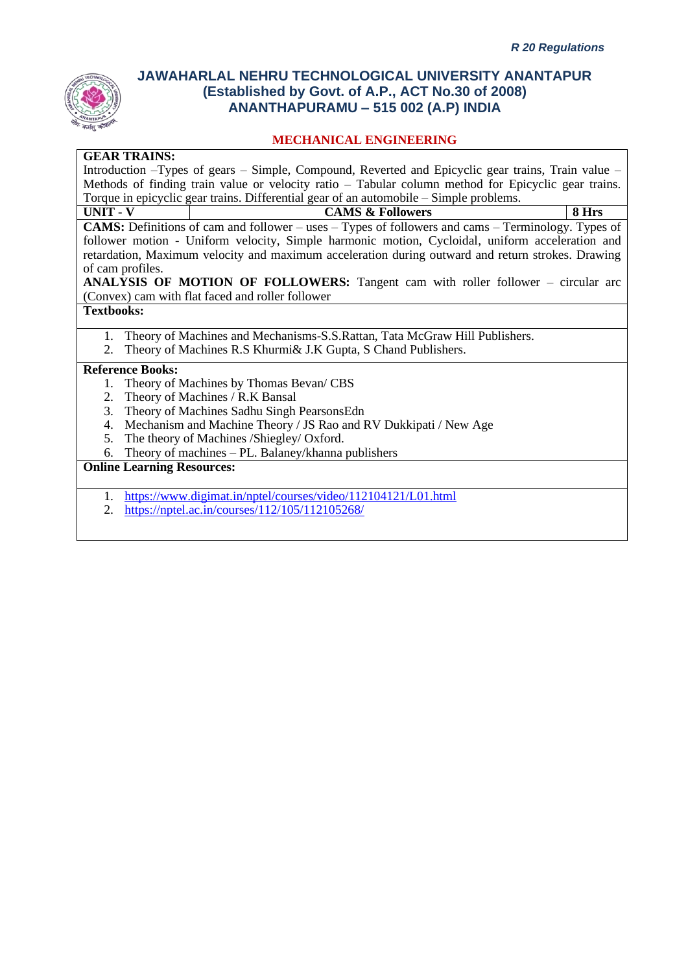

#### **MECHANICAL ENGINEERING**

#### **GEAR TRAINS:**

Introduction –Types of gears – Simple, Compound, Reverted and Epicyclic gear trains, Train value – Methods of finding train value or velocity ratio – Tabular column method for Epicyclic gear trains. Torque in epicyclic gear trains. Differential gear of an automobile – Simple problems.

**UNIT - V CAMS & Followers 8 Hrs CAMS:** Definitions of cam and follower – uses – Types of followers and cams – Terminology. Types of follower motion - Uniform velocity, Simple harmonic motion, Cycloidal, uniform acceleration and retardation, Maximum velocity and maximum acceleration during outward and return strokes. Drawing of cam profiles.

**ANALYSIS OF MOTION OF FOLLOWERS:** Tangent cam with roller follower – circular arc (Convex) cam with flat faced and roller follower

#### **Textbooks:**

- 1. Theory of Machines and Mechanisms-S.S.Rattan, Tata McGraw Hill Publishers.
- 2. Theory of Machines R.S Khurmi& J.K Gupta, S Chand Publishers.

#### **Reference Books:**

- 1. Theory of Machines by Thomas Bevan/ CBS
- 2. Theory of Machines / R.K Bansal
- 3. Theory of Machines Sadhu Singh PearsonsEdn
- 4. Mechanism and Machine Theory / JS Rao and RV Dukkipati / New Age
- 5. The theory of Machines /Shiegley/ Oxford.
- 6. Theory of machines PL. Balaney/khanna publishers

#### **Online Learning Resources:**

- 1. <https://www.digimat.in/nptel/courses/video/112104121/L01.html>
- 2. <https://nptel.ac.in/courses/112/105/112105268/>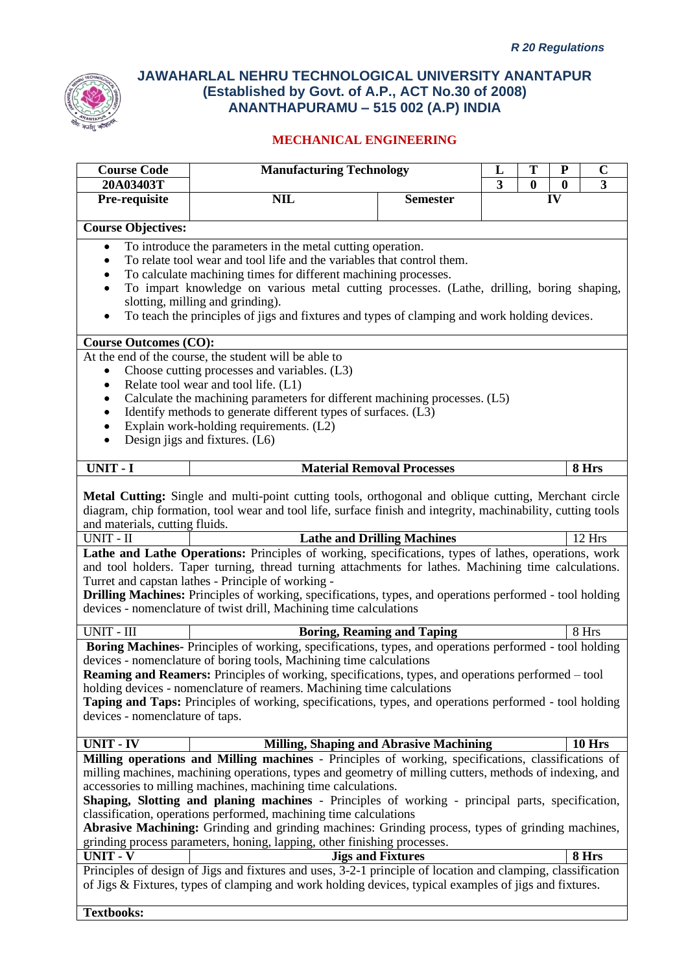

| <b>Course Code</b>              | <b>Manufacturing Technology</b>                                                                                                                                              |                                    | L              | T                | P            | $\mathbf C$             |
|---------------------------------|------------------------------------------------------------------------------------------------------------------------------------------------------------------------------|------------------------------------|----------------|------------------|--------------|-------------------------|
| 20A03403T                       |                                                                                                                                                                              |                                    | $\overline{3}$ | $\boldsymbol{0}$ | $\mathbf{0}$ | $\overline{\mathbf{3}}$ |
| Pre-requisite                   | <b>NIL</b>                                                                                                                                                                   | <b>Semester</b>                    |                |                  | IV           |                         |
| <b>Course Objectives:</b>       |                                                                                                                                                                              |                                    |                |                  |              |                         |
| $\bullet$                       | To introduce the parameters in the metal cutting operation.                                                                                                                  |                                    |                |                  |              |                         |
| ٠                               | To relate tool wear and tool life and the variables that control them.                                                                                                       |                                    |                |                  |              |                         |
|                                 | To calculate machining times for different machining processes.                                                                                                              |                                    |                |                  |              |                         |
|                                 | To impart knowledge on various metal cutting processes. (Lathe, drilling, boring shaping,                                                                                    |                                    |                |                  |              |                         |
| $\bullet$                       | slotting, milling and grinding).<br>To teach the principles of jigs and fixtures and types of clamping and work holding devices.                                             |                                    |                |                  |              |                         |
| <b>Course Outcomes (CO):</b>    |                                                                                                                                                                              |                                    |                |                  |              |                         |
|                                 | At the end of the course, the student will be able to                                                                                                                        |                                    |                |                  |              |                         |
|                                 | Choose cutting processes and variables. (L3)                                                                                                                                 |                                    |                |                  |              |                         |
| ٠                               | Relate tool wear and tool life. (L1)                                                                                                                                         |                                    |                |                  |              |                         |
|                                 | Calculate the machining parameters for different machining processes. (L5)                                                                                                   |                                    |                |                  |              |                         |
|                                 | Identify methods to generate different types of surfaces. (L3)                                                                                                               |                                    |                |                  |              |                         |
| ٠<br>$\bullet$                  | Explain work-holding requirements. (L2)<br>Design jigs and fixtures. (L6)                                                                                                    |                                    |                |                  |              |                         |
|                                 |                                                                                                                                                                              |                                    |                |                  |              |                         |
| <b>UNIT - I</b>                 |                                                                                                                                                                              | <b>Material Removal Processes</b>  |                |                  |              | 8 Hrs                   |
|                                 |                                                                                                                                                                              |                                    |                |                  |              |                         |
|                                 | Metal Cutting: Single and multi-point cutting tools, orthogonal and oblique cutting, Merchant circle                                                                         |                                    |                |                  |              |                         |
| and materials, cutting fluids.  | diagram, chip formation, tool wear and tool life, surface finish and integrity, machinability, cutting tools                                                                 |                                    |                |                  |              |                         |
| UNIT - II                       |                                                                                                                                                                              | <b>Lathe and Drilling Machines</b> |                |                  |              | 12 Hrs                  |
|                                 | Lathe and Lathe Operations: Principles of working, specifications, types of lathes, operations, work                                                                         |                                    |                |                  |              |                         |
|                                 | and tool holders. Taper turning, thread turning attachments for lathes. Machining time calculations.                                                                         |                                    |                |                  |              |                         |
|                                 | Turret and capstan lathes - Principle of working -                                                                                                                           |                                    |                |                  |              |                         |
|                                 | Drilling Machines: Principles of working, specifications, types, and operations performed - tool holding                                                                     |                                    |                |                  |              |                         |
|                                 | devices - nomenclature of twist drill, Machining time calculations                                                                                                           |                                    |                |                  |              |                         |
| UNIT - III                      |                                                                                                                                                                              | <b>Boring, Reaming and Taping</b>  |                |                  |              | 8 Hrs                   |
|                                 | Boring Machines- Principles of working, specifications, types, and operations performed - tool holding                                                                       |                                    |                |                  |              |                         |
|                                 | devices - nomenclature of boring tools, Machining time calculations                                                                                                          |                                    |                |                  |              |                         |
|                                 | Reaming and Reamers: Principles of working, specifications, types, and operations performed - tool<br>holding devices - nomenclature of reamers. Machining time calculations |                                    |                |                  |              |                         |
|                                 | Taping and Taps: Principles of working, specifications, types, and operations performed - tool holding                                                                       |                                    |                |                  |              |                         |
| devices - nomenclature of taps. |                                                                                                                                                                              |                                    |                |                  |              |                         |
|                                 |                                                                                                                                                                              |                                    |                |                  |              |                         |
| <b>UNIT - IV</b>                | <b>Milling, Shaping and Abrasive Machining</b>                                                                                                                               |                                    |                |                  |              | <b>10 Hrs</b>           |
|                                 | Milling operations and Milling machines - Principles of working, specifications, classifications of                                                                          |                                    |                |                  |              |                         |
|                                 | milling machines, machining operations, types and geometry of milling cutters, methods of indexing, and                                                                      |                                    |                |                  |              |                         |
|                                 | accessories to milling machines, machining time calculations.<br>Shaping, Slotting and planing machines - Principles of working - principal parts, specification,            |                                    |                |                  |              |                         |
|                                 | classification, operations performed, machining time calculations                                                                                                            |                                    |                |                  |              |                         |
|                                 | Abrasive Machining: Grinding and grinding machines: Grinding process, types of grinding machines,                                                                            |                                    |                |                  |              |                         |
|                                 | grinding process parameters, honing, lapping, other finishing processes.                                                                                                     |                                    |                |                  |              |                         |
| <b>UNIT - V</b>                 |                                                                                                                                                                              | <b>Jigs and Fixtures</b>           |                |                  |              | 8 Hrs                   |
|                                 | Principles of design of Jigs and fixtures and uses, 3-2-1 principle of location and clamping, classification                                                                 |                                    |                |                  |              |                         |
|                                 | of Jigs & Fixtures, types of clamping and work holding devices, typical examples of jigs and fixtures.                                                                       |                                    |                |                  |              |                         |
| <b>Textbooks:</b>               |                                                                                                                                                                              |                                    |                |                  |              |                         |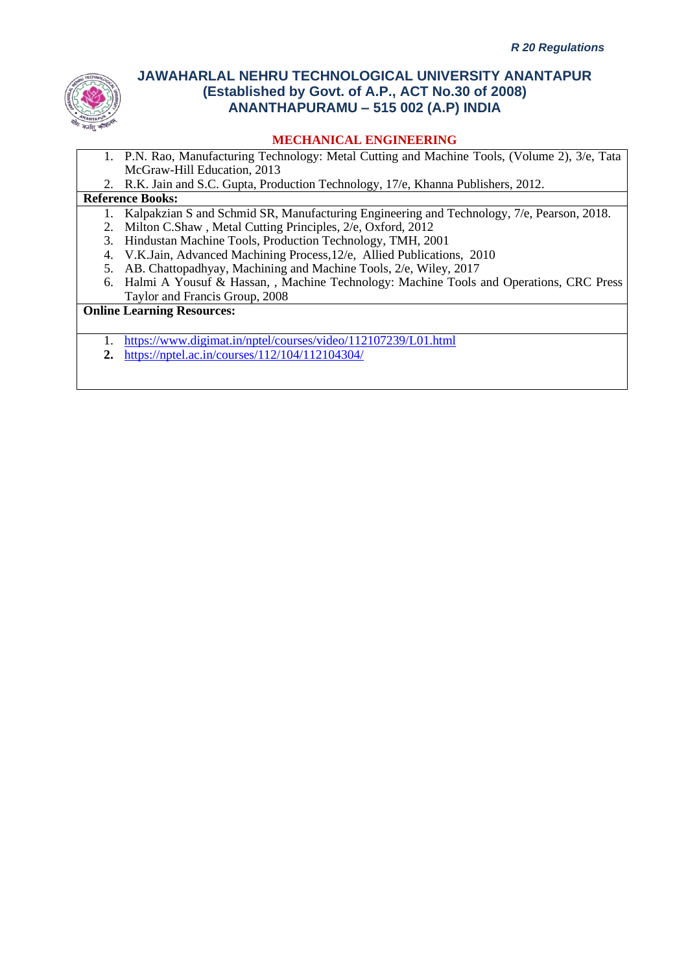

### **MECHANICAL ENGINEERING**

- 1. P.N. Rao, Manufacturing Technology: Metal Cutting and Machine Tools, (Volume 2), 3/e, Tata McGraw-Hill Education, 2013
- 2. R.K. Jain and S.C. Gupta, Production Technology, 17/e, Khanna Publishers, 2012.

#### **Reference Books:**

- 1. Kalpakzian S and Schmid SR, Manufacturing Engineering and Technology, 7/e, Pearson, 2018.
- 2. Milton C.Shaw , Metal Cutting Principles, 2/e, Oxford, 2012
- 3. Hindustan Machine Tools, Production Technology, TMH, 2001
- 4. V.K.Jain, Advanced Machining Process,12/e, Allied Publications, 2010
- 5. AB. Chattopadhyay, Machining and Machine Tools, 2/e, Wiley, 2017
- 6. Halmi A Yousuf & Hassan, , Machine Technology: Machine Tools and Operations, CRC Press Taylor and Francis Group, 2008

#### **Online Learning Resources:**

- 1. <https://www.digimat.in/nptel/courses/video/112107239/L01.html>
- **2.** <https://nptel.ac.in/courses/112/104/112104304/>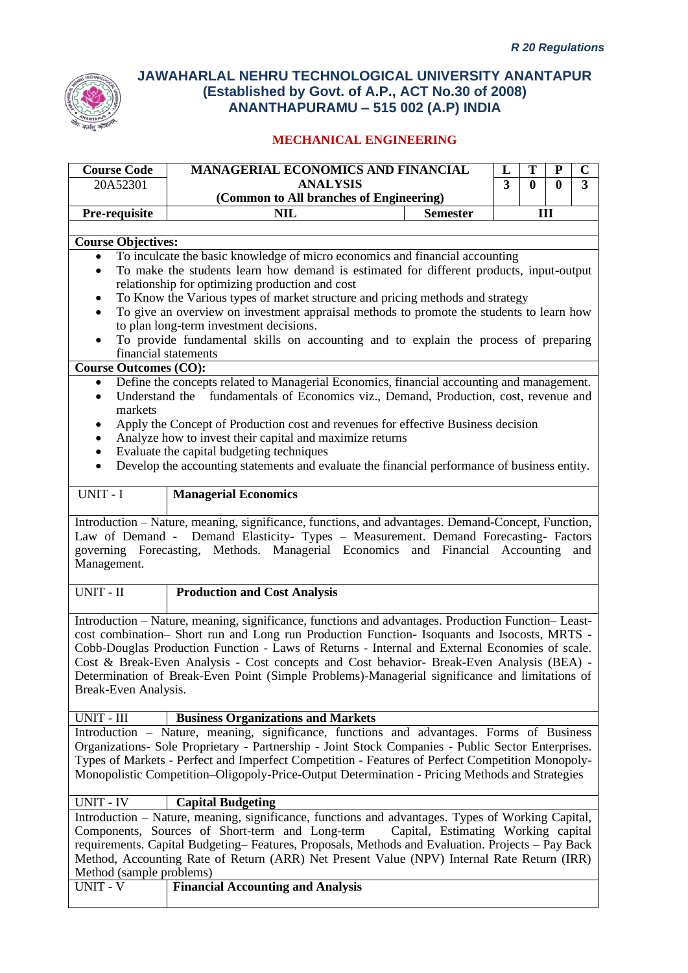

| <b>Course Code</b>           | MANAGERIAL ECONOMICS AND FINANCIAL                                                                                                                                                                                                                                             | L | Т            |              | $\mathbf C$    |
|------------------------------|--------------------------------------------------------------------------------------------------------------------------------------------------------------------------------------------------------------------------------------------------------------------------------|---|--------------|--------------|----------------|
| 20A52301                     | <b>ANALYSIS</b>                                                                                                                                                                                                                                                                | 3 | $\mathbf{0}$ | $\mathbf{0}$ | $\overline{3}$ |
|                              | (Common to All branches of Engineering)                                                                                                                                                                                                                                        |   |              |              |                |
| Pre-requisite                | <b>NIL</b><br><b>Semester</b>                                                                                                                                                                                                                                                  |   | III          |              |                |
|                              |                                                                                                                                                                                                                                                                                |   |              |              |                |
| <b>Course Objectives:</b>    |                                                                                                                                                                                                                                                                                |   |              |              |                |
| $\bullet$<br>$\bullet$       | To inculcate the basic knowledge of micro economics and financial accounting<br>To make the students learn how demand is estimated for different products, input-output                                                                                                        |   |              |              |                |
| $\bullet$                    | relationship for optimizing production and cost<br>To Know the Various types of market structure and pricing methods and strategy                                                                                                                                              |   |              |              |                |
| $\bullet$                    | To give an overview on investment appraisal methods to promote the students to learn how                                                                                                                                                                                       |   |              |              |                |
|                              | to plan long-term investment decisions.                                                                                                                                                                                                                                        |   |              |              |                |
| $\bullet$                    | To provide fundamental skills on accounting and to explain the process of preparing                                                                                                                                                                                            |   |              |              |                |
| financial statements         |                                                                                                                                                                                                                                                                                |   |              |              |                |
| <b>Course Outcomes (CO):</b> |                                                                                                                                                                                                                                                                                |   |              |              |                |
| ٠                            | Define the concepts related to Managerial Economics, financial accounting and management.                                                                                                                                                                                      |   |              |              |                |
| $\bullet$<br>markets         | Understand the fundamentals of Economics viz., Demand, Production, cost, revenue and                                                                                                                                                                                           |   |              |              |                |
|                              | Apply the Concept of Production cost and revenues for effective Business decision                                                                                                                                                                                              |   |              |              |                |
|                              | Analyze how to invest their capital and maximize returns                                                                                                                                                                                                                       |   |              |              |                |
|                              | Evaluate the capital budgeting techniques                                                                                                                                                                                                                                      |   |              |              |                |
| $\bullet$                    | Develop the accounting statements and evaluate the financial performance of business entity.                                                                                                                                                                                   |   |              |              |                |
|                              |                                                                                                                                                                                                                                                                                |   |              |              |                |
| UNIT - I                     | <b>Managerial Economics</b>                                                                                                                                                                                                                                                    |   |              |              |                |
| Management.                  | Introduction - Nature, meaning, significance, functions, and advantages. Demand-Concept, Function,<br>Law of Demand - Demand Elasticity- Types - Measurement. Demand Forecasting- Factors<br>governing Forecasting, Methods. Managerial Economics and Financial Accounting and |   |              |              |                |
| UNIT - II                    | <b>Production and Cost Analysis</b>                                                                                                                                                                                                                                            |   |              |              |                |
|                              | Introduction - Nature, meaning, significance, functions and advantages. Production Function-Least-                                                                                                                                                                             |   |              |              |                |
|                              | cost combination- Short run and Long run Production Function- Isoquants and Isocosts, MRTS -<br>Cobb-Douglas Production Function - Laws of Returns - Internal and External Economies of scale.                                                                                 |   |              |              |                |
|                              | Cost & Break-Even Analysis - Cost concepts and Cost behavior- Break-Even Analysis (BEA) -                                                                                                                                                                                      |   |              |              |                |
|                              | Determination of Break-Even Point (Simple Problems)-Managerial significance and limitations of                                                                                                                                                                                 |   |              |              |                |
| Break-Even Analysis.         |                                                                                                                                                                                                                                                                                |   |              |              |                |
|                              |                                                                                                                                                                                                                                                                                |   |              |              |                |
| UNIT - III                   | <b>Business Organizations and Markets</b>                                                                                                                                                                                                                                      |   |              |              |                |
|                              | Introduction – Nature, meaning, significance, functions and advantages. Forms of Business                                                                                                                                                                                      |   |              |              |                |
|                              | Organizations- Sole Proprietary - Partnership - Joint Stock Companies - Public Sector Enterprises.                                                                                                                                                                             |   |              |              |                |
|                              | Types of Markets - Perfect and Imperfect Competition - Features of Perfect Competition Monopoly-                                                                                                                                                                               |   |              |              |                |
|                              | Monopolistic Competition-Oligopoly-Price-Output Determination - Pricing Methods and Strategies                                                                                                                                                                                 |   |              |              |                |
|                              |                                                                                                                                                                                                                                                                                |   |              |              |                |
| <b>UNIT - IV</b>             | <b>Capital Budgeting</b>                                                                                                                                                                                                                                                       |   |              |              |                |
|                              | Introduction – Nature, meaning, significance, functions and advantages. Types of Working Capital,                                                                                                                                                                              |   |              |              |                |
|                              | Components, Sources of Short-term and Long-term<br>Capital, Estimating Working capital                                                                                                                                                                                         |   |              |              |                |
|                              | requirements. Capital Budgeting-Features, Proposals, Methods and Evaluation. Projects - Pay Back<br>Method, Accounting Rate of Return (ARR) Net Present Value (NPV) Internal Rate Return (IRR)                                                                                 |   |              |              |                |
|                              |                                                                                                                                                                                                                                                                                |   |              |              |                |

| <u>11001100 Gallipic procedure</u> |                                   |
|------------------------------------|-----------------------------------|
| UNIT - V                           | Financial Accounting and Analysis |
|                                    |                                   |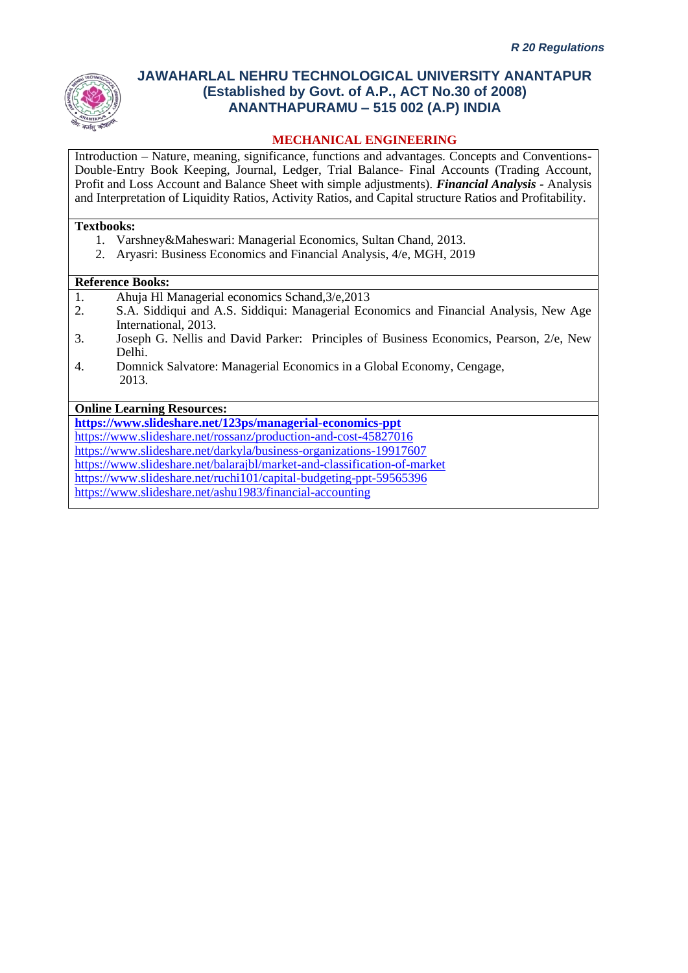

### **MECHANICAL ENGINEERING**

Introduction – Nature, meaning, significance, functions and advantages. Concepts and Conventions-Double-Entry Book Keeping, Journal, Ledger, Trial Balance- Final Accounts (Trading Account, Profit and Loss Account and Balance Sheet with simple adjustments). *Financial Analysis -* Analysis and Interpretation of Liquidity Ratios, Activity Ratios, and Capital structure Ratios and Profitability.

#### **Textbooks:**

- 1. Varshney&Maheswari: Managerial Economics, Sultan Chand, 2013.
- 2. Aryasri: Business Economics and Financial Analysis, 4/e, MGH, 2019

#### **Reference Books:**

- 1. Ahuja Hl Managerial economics Schand,3/e,2013
- 2. S.A. Siddiqui and A.S. Siddiqui: Managerial Economics and Financial Analysis, New Age International, 2013.
- 3. Joseph G. Nellis and David Parker: Principles of Business Economics, Pearson, 2/e, New Delhi.
- 4. Domnick Salvatore: Managerial Economics in a Global Economy, Cengage, 2013.

### **Online Learning Resources:**

**<https://www.slideshare.net/123ps/managerial-economics-ppt>** <https://www.slideshare.net/rossanz/production-and-cost-45827016> <https://www.slideshare.net/darkyla/business-organizations-19917607> <https://www.slideshare.net/balarajbl/market-and-classification-of-market> <https://www.slideshare.net/ruchi101/capital-budgeting-ppt-59565396> <https://www.slideshare.net/ashu1983/financial-accounting>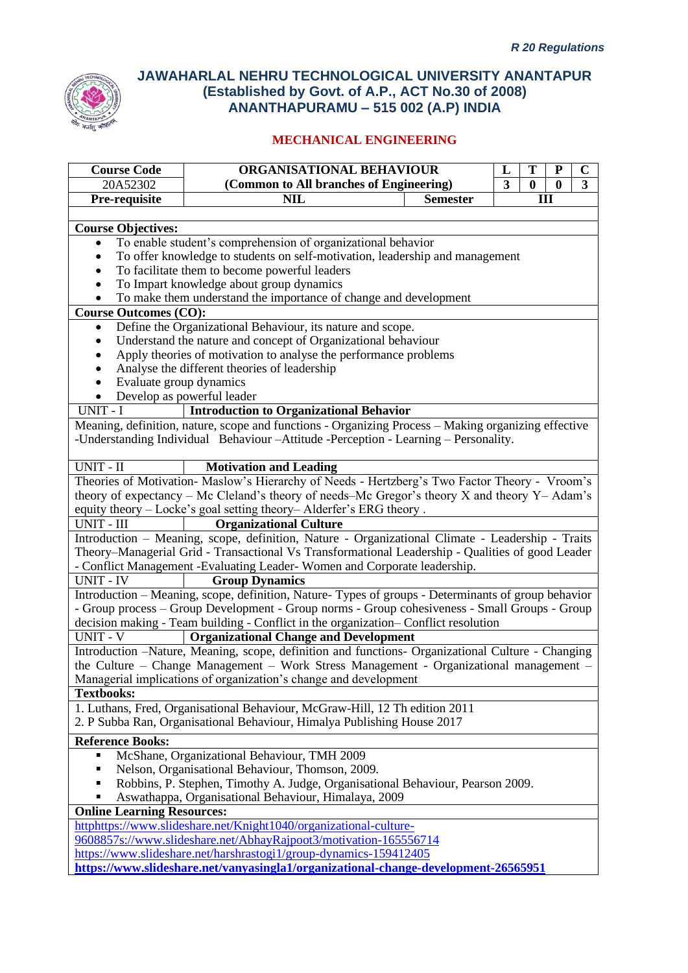

| <b>Course Code</b>                | ORGANISATIONAL BEHAVIOUR                                                                                  |                 | L                       | T        | ${\bf P}$        | $\mathbf C$             |
|-----------------------------------|-----------------------------------------------------------------------------------------------------------|-----------------|-------------------------|----------|------------------|-------------------------|
| 20A52302                          | (Common to All branches of Engineering)                                                                   |                 | $\overline{\mathbf{3}}$ | $\bf{0}$ | $\boldsymbol{0}$ | $\overline{\mathbf{3}}$ |
| Pre-requisite                     | <b>NIL</b>                                                                                                | <b>Semester</b> |                         |          | Ш                |                         |
|                                   |                                                                                                           |                 |                         |          |                  |                         |
| <b>Course Objectives:</b>         |                                                                                                           |                 |                         |          |                  |                         |
| $\bullet$                         | To enable student's comprehension of organizational behavior                                              |                 |                         |          |                  |                         |
|                                   | To offer knowledge to students on self-motivation, leadership and management                              |                 |                         |          |                  |                         |
|                                   | To facilitate them to become powerful leaders                                                             |                 |                         |          |                  |                         |
|                                   | To Impart knowledge about group dynamics                                                                  |                 |                         |          |                  |                         |
|                                   | To make them understand the importance of change and development                                          |                 |                         |          |                  |                         |
| <b>Course Outcomes (CO):</b>      |                                                                                                           |                 |                         |          |                  |                         |
| ٠                                 | Define the Organizational Behaviour, its nature and scope.                                                |                 |                         |          |                  |                         |
|                                   | Understand the nature and concept of Organizational behaviour                                             |                 |                         |          |                  |                         |
|                                   | Apply theories of motivation to analyse the performance problems                                          |                 |                         |          |                  |                         |
|                                   | Analyse the different theories of leadership                                                              |                 |                         |          |                  |                         |
| Evaluate group dynamics           |                                                                                                           |                 |                         |          |                  |                         |
|                                   | Develop as powerful leader                                                                                |                 |                         |          |                  |                         |
| UNIT - I                          | <b>Introduction to Organizational Behavior</b>                                                            |                 |                         |          |                  |                         |
|                                   | Meaning, definition, nature, scope and functions - Organizing Process - Making organizing effective       |                 |                         |          |                  |                         |
|                                   | -Understanding Individual Behaviour - Attitude - Perception - Learning - Personality.                     |                 |                         |          |                  |                         |
| UNIT - II                         | <b>Motivation and Leading</b>                                                                             |                 |                         |          |                  |                         |
|                                   | Theories of Motivation-Maslow's Hierarchy of Needs - Hertzberg's Two Factor Theory - Vroom's              |                 |                         |          |                  |                         |
|                                   | theory of expectancy – Mc Cleland's theory of needs–Mc Gregor's theory $X$ and theory $Y - \text{Adam's}$ |                 |                         |          |                  |                         |
|                                   | equity theory - Locke's goal setting theory-Alderfer's ERG theory.                                        |                 |                         |          |                  |                         |
| UNIT - III                        | <b>Organizational Culture</b>                                                                             |                 |                         |          |                  |                         |
|                                   | Introduction - Meaning, scope, definition, Nature - Organizational Climate - Leadership - Traits          |                 |                         |          |                  |                         |
|                                   | Theory-Managerial Grid - Transactional Vs Transformational Leadership - Qualities of good Leader          |                 |                         |          |                  |                         |
|                                   | - Conflict Management -Evaluating Leader-Women and Corporate leadership.                                  |                 |                         |          |                  |                         |
| <b>UNIT - IV</b>                  | <b>Group Dynamics</b>                                                                                     |                 |                         |          |                  |                         |
|                                   | Introduction – Meaning, scope, definition, Nature-Types of groups - Determinants of group behavior        |                 |                         |          |                  |                         |
|                                   | - Group process - Group Development - Group norms - Group cohesiveness - Small Groups - Group             |                 |                         |          |                  |                         |
|                                   | decision making - Team building - Conflict in the organization- Conflict resolution                       |                 |                         |          |                  |                         |
| <b>UNIT - V</b>                   | <b>Organizational Change and Development</b>                                                              |                 |                         |          |                  |                         |
|                                   | Introduction -Nature, Meaning, scope, definition and functions- Organizational Culture - Changing         |                 |                         |          |                  |                         |
|                                   | the Culture – Change Management – Work Stress Management - Organizational management –                    |                 |                         |          |                  |                         |
|                                   | Managerial implications of organization's change and development                                          |                 |                         |          |                  |                         |
| <b>Textbooks:</b>                 |                                                                                                           |                 |                         |          |                  |                         |
|                                   | 1. Luthans, Fred, Organisational Behaviour, McGraw-Hill, 12 Th edition 2011                               |                 |                         |          |                  |                         |
|                                   | 2. P Subba Ran, Organisational Behaviour, Himalya Publishing House 2017                                   |                 |                         |          |                  |                         |
| <b>Reference Books:</b>           |                                                                                                           |                 |                         |          |                  |                         |
|                                   | McShane, Organizational Behaviour, TMH 2009                                                               |                 |                         |          |                  |                         |
| п                                 | Nelson, Organisational Behaviour, Thomson, 2009.                                                          |                 |                         |          |                  |                         |
|                                   | Robbins, P. Stephen, Timothy A. Judge, Organisational Behaviour, Pearson 2009.                            |                 |                         |          |                  |                         |
|                                   | Aswathappa, Organisational Behaviour, Himalaya, 2009                                                      |                 |                         |          |                  |                         |
| <b>Online Learning Resources:</b> |                                                                                                           |                 |                         |          |                  |                         |
|                                   | httphttps://www.slideshare.net/Knight1040/organizational-culture-                                         |                 |                         |          |                  |                         |
|                                   | 9608857s://www.slideshare.net/AbhayRajpoot3/motivation-165556714                                          |                 |                         |          |                  |                         |
|                                   | https://www.slideshare.net/harshrastogi1/group-dynamics-159412405                                         |                 |                         |          |                  |                         |
|                                   | https://www.slideshare.net/vanyasingla1/organizational-change-development-26565951                        |                 |                         |          |                  |                         |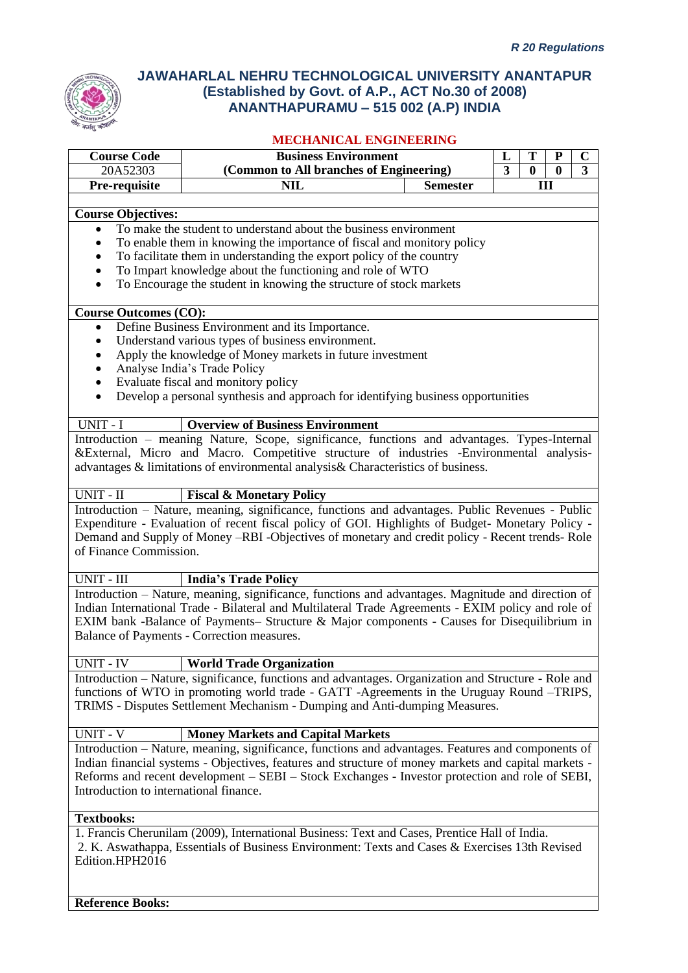

# **MECHANICAL ENGINEERING**

|                                        | MEUNANIUAL ENGINEEKING                                                                                                                                                                   |   |          |              |             |
|----------------------------------------|------------------------------------------------------------------------------------------------------------------------------------------------------------------------------------------|---|----------|--------------|-------------|
| <b>Course Code</b>                     | <b>Business Environment</b>                                                                                                                                                              | L | Т        |              | $\mathbf C$ |
| 20A52303                               | (Common to All branches of Engineering)                                                                                                                                                  | 3 | $\bf{0}$ | $\mathbf{0}$ | 3           |
| Pre-requisite                          | <b>NIL</b><br><b>Semester</b>                                                                                                                                                            |   |          | III          |             |
|                                        |                                                                                                                                                                                          |   |          |              |             |
| <b>Course Objectives:</b><br>$\bullet$ | To make the student to understand about the business environment                                                                                                                         |   |          |              |             |
|                                        | To enable them in knowing the importance of fiscal and monitory policy                                                                                                                   |   |          |              |             |
|                                        | To facilitate them in understanding the export policy of the country                                                                                                                     |   |          |              |             |
|                                        | To Impart knowledge about the functioning and role of WTO                                                                                                                                |   |          |              |             |
|                                        | To Encourage the student in knowing the structure of stock markets                                                                                                                       |   |          |              |             |
|                                        |                                                                                                                                                                                          |   |          |              |             |
| <b>Course Outcomes (CO):</b>           |                                                                                                                                                                                          |   |          |              |             |
|                                        | Define Business Environment and its Importance.                                                                                                                                          |   |          |              |             |
| ٠                                      | Understand various types of business environment.                                                                                                                                        |   |          |              |             |
|                                        | Apply the knowledge of Money markets in future investment                                                                                                                                |   |          |              |             |
|                                        | Analyse India's Trade Policy                                                                                                                                                             |   |          |              |             |
| ٠                                      | Evaluate fiscal and monitory policy                                                                                                                                                      |   |          |              |             |
| $\bullet$                              | Develop a personal synthesis and approach for identifying business opportunities                                                                                                         |   |          |              |             |
|                                        |                                                                                                                                                                                          |   |          |              |             |
| UNIT - I                               | <b>Overview of Business Environment</b>                                                                                                                                                  |   |          |              |             |
|                                        | Introduction - meaning Nature, Scope, significance, functions and advantages. Types-Internal<br>&External, Micro and Macro. Competitive structure of industries -Environmental analysis- |   |          |              |             |
|                                        | advantages & limitations of environmental analysis& Characteristics of business.                                                                                                         |   |          |              |             |
|                                        |                                                                                                                                                                                          |   |          |              |             |
| UNIT - II                              | <b>Fiscal &amp; Monetary Policy</b>                                                                                                                                                      |   |          |              |             |
|                                        | Introduction – Nature, meaning, significance, functions and advantages. Public Revenues - Public                                                                                         |   |          |              |             |
|                                        | Expenditure - Evaluation of recent fiscal policy of GOI. Highlights of Budget- Monetary Policy -                                                                                         |   |          |              |             |
|                                        | Demand and Supply of Money -- RBI -Objectives of monetary and credit policy - Recent trends- Role                                                                                        |   |          |              |             |
| of Finance Commission.                 |                                                                                                                                                                                          |   |          |              |             |
|                                        |                                                                                                                                                                                          |   |          |              |             |
| UNIT - III                             | <b>India's Trade Policy</b>                                                                                                                                                              |   |          |              |             |
|                                        | Introduction - Nature, meaning, significance, functions and advantages. Magnitude and direction of                                                                                       |   |          |              |             |
|                                        | Indian International Trade - Bilateral and Multilateral Trade Agreements - EXIM policy and role of                                                                                       |   |          |              |             |
|                                        | EXIM bank -Balance of Payments- Structure & Major components - Causes for Disequilibrium in                                                                                              |   |          |              |             |
|                                        | Balance of Payments - Correction measures.                                                                                                                                               |   |          |              |             |
| <b>UNIT - IV</b>                       | <b>World Trade Organization</b>                                                                                                                                                          |   |          |              |             |
|                                        | Introduction – Nature, significance, functions and advantages. Organization and Structure - Role and                                                                                     |   |          |              |             |
|                                        | functions of WTO in promoting world trade - GATT -Agreements in the Uruguay Round -TRIPS,                                                                                                |   |          |              |             |
|                                        | TRIMS - Disputes Settlement Mechanism - Dumping and Anti-dumping Measures.                                                                                                               |   |          |              |             |
|                                        |                                                                                                                                                                                          |   |          |              |             |
| UNIT - V                               | <b>Money Markets and Capital Markets</b>                                                                                                                                                 |   |          |              |             |
|                                        | Introduction – Nature, meaning, significance, functions and advantages. Features and components of                                                                                       |   |          |              |             |
|                                        | Indian financial systems - Objectives, features and structure of money markets and capital markets -                                                                                     |   |          |              |             |
|                                        | Reforms and recent development – SEBI – Stock Exchanges - Investor protection and role of SEBI,                                                                                          |   |          |              |             |
| Introduction to international finance. |                                                                                                                                                                                          |   |          |              |             |
|                                        |                                                                                                                                                                                          |   |          |              |             |
| <b>Textbooks:</b>                      |                                                                                                                                                                                          |   |          |              |             |
|                                        | 1. Francis Cherunilam (2009), International Business: Text and Cases, Prentice Hall of India.                                                                                            |   |          |              |             |
| Edition.HPH2016                        | 2. K. Aswathappa, Essentials of Business Environment: Texts and Cases & Exercises 13th Revised                                                                                           |   |          |              |             |
|                                        |                                                                                                                                                                                          |   |          |              |             |
|                                        |                                                                                                                                                                                          |   |          |              |             |

**Reference Books:**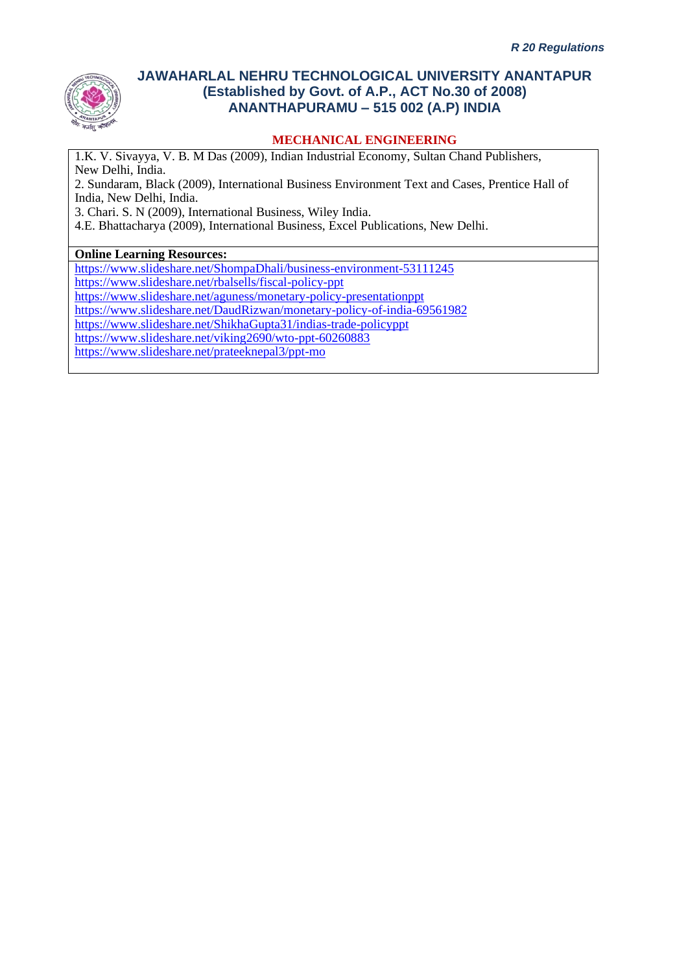

### **MECHANICAL ENGINEERING**

1.K. V. Sivayya, V. B. M Das (2009), Indian Industrial Economy, Sultan Chand Publishers, New Delhi, India.

2. Sundaram, Black (2009), International Business Environment Text and Cases, Prentice Hall of India, New Delhi, India.

3. Chari. S. N (2009), International Business, Wiley India.

4.E. Bhattacharya (2009), International Business, Excel Publications, New Delhi.

#### **Online Learning Resources:**

<https://www.slideshare.net/ShompaDhali/business-environment-53111245>

<https://www.slideshare.net/rbalsells/fiscal-policy-ppt>

<https://www.slideshare.net/aguness/monetary-policy-presentationppt>

<https://www.slideshare.net/DaudRizwan/monetary-policy-of-india-69561982>

<https://www.slideshare.net/ShikhaGupta31/indias-trade-policyppt>

<https://www.slideshare.net/viking2690/wto-ppt-60260883>

<https://www.slideshare.net/prateeknepal3/ppt-mo>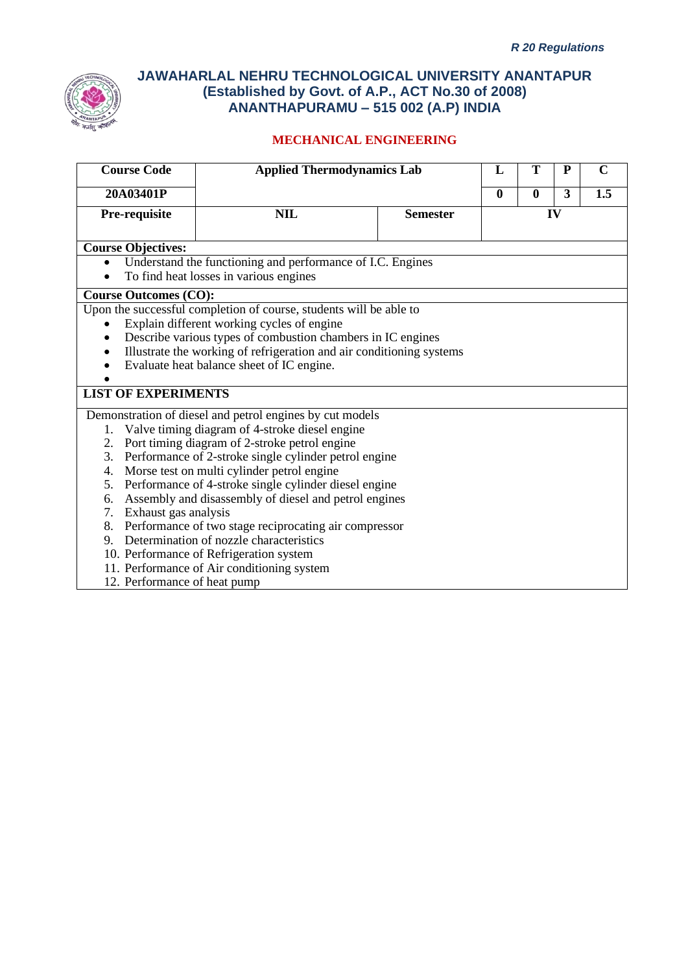

# **MECHANICAL ENGINEERING**

| <b>Course Code</b>           | <b>Applied Thermodynamics Lab</b>                                    |                 | L                                | Т | P  | $\mathbf C$ |  |
|------------------------------|----------------------------------------------------------------------|-----------------|----------------------------------|---|----|-------------|--|
| 20A03401P                    |                                                                      |                 | 3<br>1.5<br>$\bf{0}$<br>$\bf{0}$ |   |    |             |  |
| Pre-requisite                | <b>NIL</b>                                                           | <b>Semester</b> |                                  |   | IV |             |  |
|                              |                                                                      |                 |                                  |   |    |             |  |
| <b>Course Objectives:</b>    |                                                                      |                 |                                  |   |    |             |  |
| $\bullet$                    | Understand the functioning and performance of I.C. Engines           |                 |                                  |   |    |             |  |
|                              | To find heat losses in various engines                               |                 |                                  |   |    |             |  |
| <b>Course Outcomes (CO):</b> |                                                                      |                 |                                  |   |    |             |  |
|                              | Upon the successful completion of course, students will be able to   |                 |                                  |   |    |             |  |
|                              | Explain different working cycles of engine                           |                 |                                  |   |    |             |  |
|                              | Describe various types of combustion chambers in IC engines          |                 |                                  |   |    |             |  |
|                              | Illustrate the working of refrigeration and air conditioning systems |                 |                                  |   |    |             |  |
|                              | Evaluate heat balance sheet of IC engine.                            |                 |                                  |   |    |             |  |
|                              |                                                                      |                 |                                  |   |    |             |  |
| <b>LIST OF EXPERIMENTS</b>   |                                                                      |                 |                                  |   |    |             |  |
|                              | Demonstration of diesel and petrol engines by cut models             |                 |                                  |   |    |             |  |
| 1.                           | Valve timing diagram of 4-stroke diesel engine                       |                 |                                  |   |    |             |  |
| 2.                           | Port timing diagram of 2-stroke petrol engine                        |                 |                                  |   |    |             |  |
| 3.                           | Performance of 2-stroke single cylinder petrol engine                |                 |                                  |   |    |             |  |
| 4.                           | Morse test on multi cylinder petrol engine                           |                 |                                  |   |    |             |  |
| 5.                           | Performance of 4-stroke single cylinder diesel engine                |                 |                                  |   |    |             |  |
| 6.                           | Assembly and disassembly of diesel and petrol engines                |                 |                                  |   |    |             |  |
| 7. Exhaust gas analysis      |                                                                      |                 |                                  |   |    |             |  |
| 8.                           | Performance of two stage reciprocating air compressor                |                 |                                  |   |    |             |  |
|                              | 9. Determination of nozzle characteristics                           |                 |                                  |   |    |             |  |
|                              | 10. Performance of Refrigeration system                              |                 |                                  |   |    |             |  |
|                              | 11. Performance of Air conditioning system                           |                 |                                  |   |    |             |  |

12. Performance of heat pump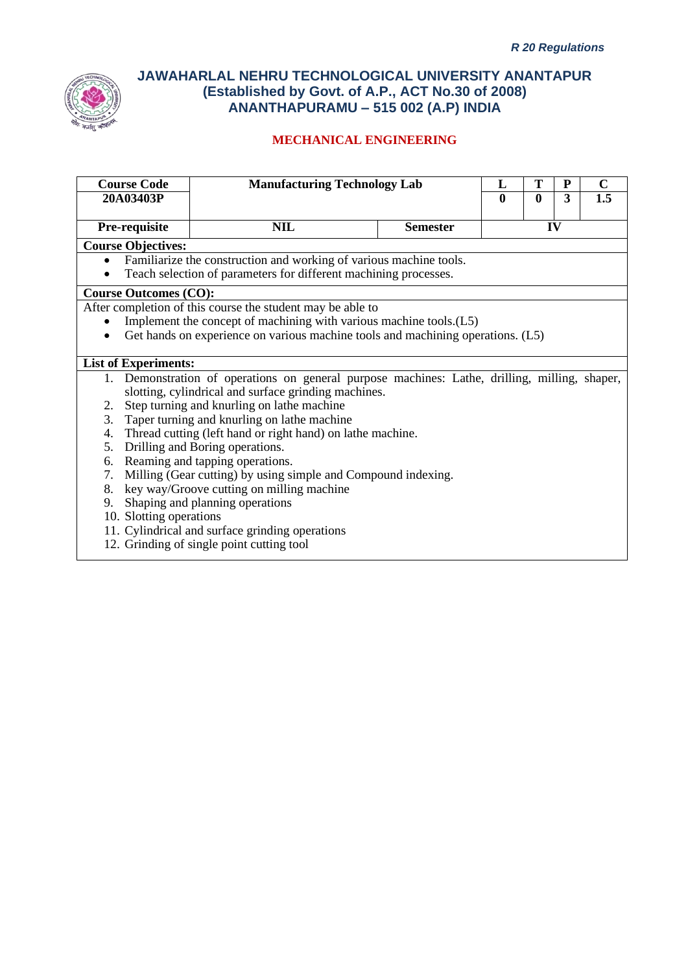

# **MECHANICAL ENGINEERING**

| <b>Course Code</b>           | <b>Manufacturing Technology Lab</b>                                                           |                 | L                | Т            | P | $\mathbf C$ |
|------------------------------|-----------------------------------------------------------------------------------------------|-----------------|------------------|--------------|---|-------------|
| 20A03403P                    |                                                                                               |                 | $\boldsymbol{0}$ | $\mathbf{0}$ | 3 | 1.5         |
| Pre-requisite                | <b>NIL</b>                                                                                    | <b>Semester</b> | IV               |              |   |             |
| <b>Course Objectives:</b>    |                                                                                               |                 |                  |              |   |             |
| $\bullet$                    | Familiarize the construction and working of various machine tools.                            |                 |                  |              |   |             |
| $\bullet$                    | Teach selection of parameters for different machining processes.                              |                 |                  |              |   |             |
| <b>Course Outcomes (CO):</b> |                                                                                               |                 |                  |              |   |             |
|                              | After completion of this course the student may be able to                                    |                 |                  |              |   |             |
|                              | Implement the concept of machining with various machine tools.(L5)                            |                 |                  |              |   |             |
|                              | Get hands on experience on various machine tools and machining operations. (L5)               |                 |                  |              |   |             |
|                              |                                                                                               |                 |                  |              |   |             |
| <b>List of Experiments:</b>  |                                                                                               |                 |                  |              |   |             |
|                              | 1. Demonstration of operations on general purpose machines: Lathe, drilling, milling, shaper, |                 |                  |              |   |             |
|                              | slotting, cylindrical and surface grinding machines.                                          |                 |                  |              |   |             |
| 2.                           | Step turning and knurling on lathe machine                                                    |                 |                  |              |   |             |
| 3.                           | Taper turning and knurling on lathe machine                                                   |                 |                  |              |   |             |
| 4.                           | Thread cutting (left hand or right hand) on lathe machine.                                    |                 |                  |              |   |             |
| 5.                           | Drilling and Boring operations.                                                               |                 |                  |              |   |             |
| 6.                           | Reaming and tapping operations.                                                               |                 |                  |              |   |             |
| 7.                           | Milling (Gear cutting) by using simple and Compound indexing.                                 |                 |                  |              |   |             |
| 8.                           | key way/Groove cutting on milling machine                                                     |                 |                  |              |   |             |
| 9.                           | Shaping and planning operations                                                               |                 |                  |              |   |             |
| 10. Slotting operations      |                                                                                               |                 |                  |              |   |             |
|                              | 11. Cylindrical and surface grinding operations                                               |                 |                  |              |   |             |
|                              | $12$ C $\sin \theta$ in $\cos \theta$ and $\sin \theta$ and $\sin \theta$ to $\sin \theta$    |                 |                  |              |   |             |

12. Grinding of single point cutting tool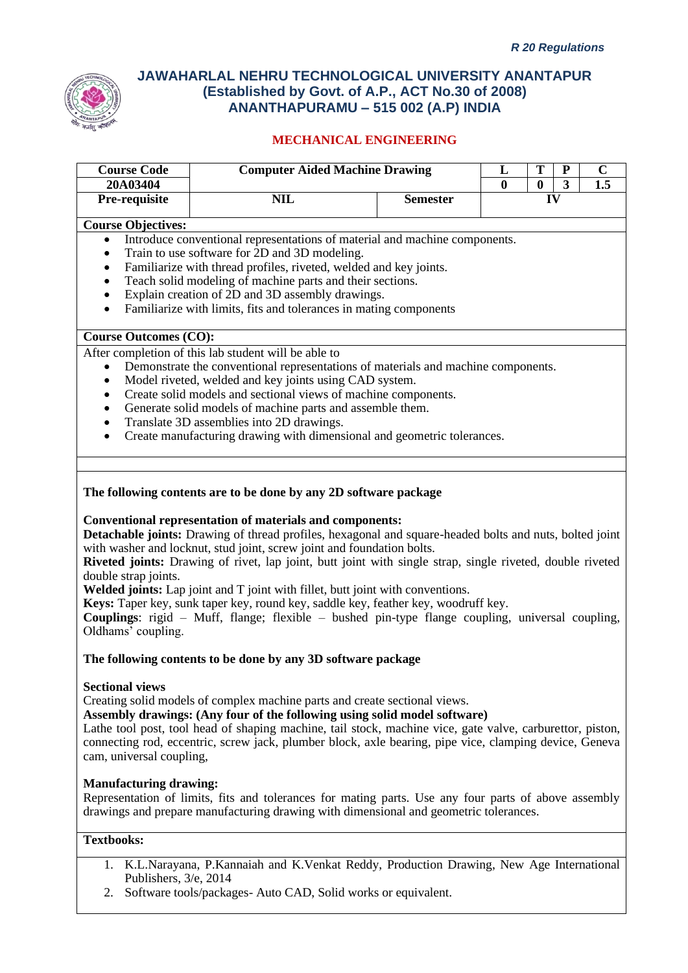

### **MECHANICAL ENGINEERING**

| <b>Course Code</b>           | <b>Computer Aided Machine Drawing</b>                                                                     |                 | T<br>$\mathbf P$<br>L |              |              | $\mathbf C$ |
|------------------------------|-----------------------------------------------------------------------------------------------------------|-----------------|-----------------------|--------------|--------------|-------------|
| 20A03404                     |                                                                                                           |                 | $\mathbf{0}$          | $\mathbf{0}$ | $\mathbf{3}$ | 1.5         |
| Pre-requisite                | <b>NIL</b>                                                                                                | <b>Semester</b> | IV                    |              |              |             |
| <b>Course Objectives:</b>    |                                                                                                           |                 |                       |              |              |             |
| $\bullet$                    | Introduce conventional representations of material and machine components.                                |                 |                       |              |              |             |
| $\bullet$                    | Train to use software for 2D and 3D modeling.                                                             |                 |                       |              |              |             |
| ٠                            | Familiarize with thread profiles, riveted, welded and key joints.                                         |                 |                       |              |              |             |
| $\bullet$                    | Teach solid modeling of machine parts and their sections.                                                 |                 |                       |              |              |             |
| $\bullet$                    | Explain creation of 2D and 3D assembly drawings.                                                          |                 |                       |              |              |             |
| $\bullet$                    | Familiarize with limits, fits and tolerances in mating components                                         |                 |                       |              |              |             |
| <b>Course Outcomes (CO):</b> |                                                                                                           |                 |                       |              |              |             |
|                              | After completion of this lab student will be able to                                                      |                 |                       |              |              |             |
| $\bullet$                    | Demonstrate the conventional representations of materials and machine components.                         |                 |                       |              |              |             |
|                              | Model riveted, welded and key joints using CAD system.                                                    |                 |                       |              |              |             |
|                              | Create solid models and sectional views of machine components.                                            |                 |                       |              |              |             |
|                              | Generate solid models of machine parts and assemble them.                                                 |                 |                       |              |              |             |
| $\bullet$                    | Translate 3D assemblies into 2D drawings.                                                                 |                 |                       |              |              |             |
| $\bullet$                    | Create manufacturing drawing with dimensional and geometric tolerances.                                   |                 |                       |              |              |             |
|                              |                                                                                                           |                 |                       |              |              |             |
|                              | The following contents are to be done by any 2D software package                                          |                 |                       |              |              |             |
|                              | <b>Conventional representation of materials and components:</b>                                           |                 |                       |              |              |             |
|                              | Detachable joints: Drawing of thread profiles, hexagonal and square-headed bolts and nuts, bolted joint   |                 |                       |              |              |             |
|                              | with washer and locknut, stud joint, screw joint and foundation bolts.                                    |                 |                       |              |              |             |
|                              | Riveted joints: Drawing of rivet, lap joint, butt joint with single strap, single riveted, double riveted |                 |                       |              |              |             |
| double strap joints.         |                                                                                                           |                 |                       |              |              |             |
|                              | Welded joints: Lap joint and T joint with fillet, butt joint with conventions.                            |                 |                       |              |              |             |
|                              | Keys: Taper key, sunk taper key, round key, saddle key, feather key, woodruff key.                        |                 |                       |              |              |             |
|                              | <b>Couplings:</b> rigid – Muff, flange; flexible – bushed pin-type flange coupling, universal coupling,   |                 |                       |              |              |             |

Oldhams' coupling.

#### **The following contents to be done by any 3D software package**

#### **Sectional views**

Creating solid models of complex machine parts and create sectional views.

**Assembly drawings: (Any four of the following using solid model software)**

Lathe tool post, tool head of shaping machine, tail stock, machine vice, gate valve, carburettor, piston, connecting rod, eccentric, screw jack, plumber block, axle bearing, pipe vice, clamping device, Geneva cam, universal coupling,

#### **Manufacturing drawing:**

Representation of limits, fits and tolerances for mating parts. Use any four parts of above assembly drawings and prepare manufacturing drawing with dimensional and geometric tolerances.

#### **Textbooks:**

- 1. K.L.Narayana, P.Kannaiah and K.Venkat Reddy, Production Drawing, New Age International Publishers, 3/e, 2014
- 2. Software tools/packages- Auto CAD, Solid works or equivalent.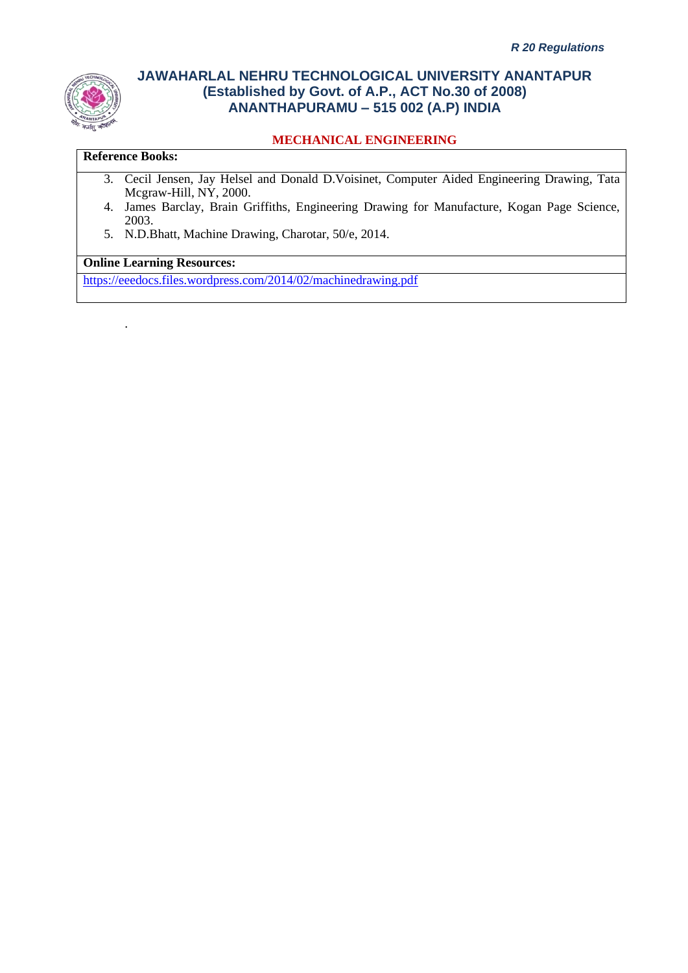

### **MECHANICAL ENGINEERING**

#### **Reference Books:**

.

- 3. Cecil Jensen, Jay Helsel and Donald D.Voisinet, Computer Aided Engineering Drawing, Tata Mcgraw-Hill, NY, 2000.
- 4. James Barclay, Brain Griffiths, Engineering Drawing for Manufacture, Kogan Page Science, 2003.
- 5. N.D.Bhatt, Machine Drawing, Charotar, 50/e, 2014.

### **Online Learning Resources:**

<https://eeedocs.files.wordpress.com/2014/02/machinedrawing.pdf>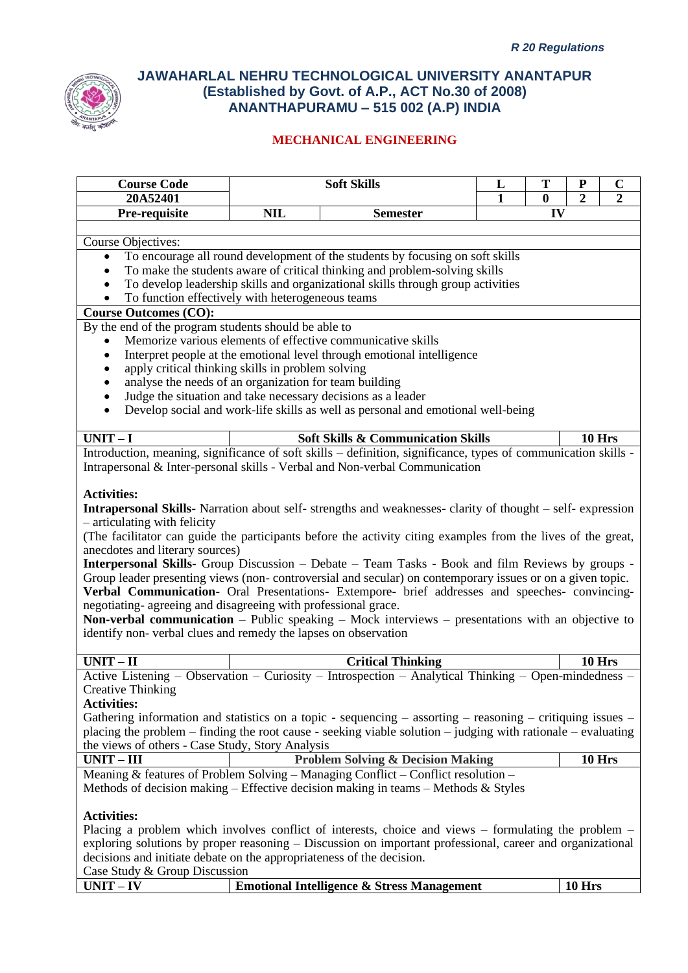

| <b>Course Code</b>                                                                                                                                                                                                    | <b>Soft Skills</b>                                                                                     |                                                                                                                                                  | L | T              | ${\bf P}$<br>$\overline{2}$ | $\mathbf C$    |  |
|-----------------------------------------------------------------------------------------------------------------------------------------------------------------------------------------------------------------------|--------------------------------------------------------------------------------------------------------|--------------------------------------------------------------------------------------------------------------------------------------------------|---|----------------|-----------------------------|----------------|--|
| 20A52401<br>Pre-requisite                                                                                                                                                                                             | <b>NIL</b><br><b>Semester</b>                                                                          |                                                                                                                                                  | 1 | $\bf{0}$<br>IV |                             | $\overline{2}$ |  |
|                                                                                                                                                                                                                       |                                                                                                        |                                                                                                                                                  |   |                |                             |                |  |
| Course Objectives:                                                                                                                                                                                                    |                                                                                                        |                                                                                                                                                  |   |                |                             |                |  |
| $\bullet$                                                                                                                                                                                                             |                                                                                                        | To encourage all round development of the students by focusing on soft skills                                                                    |   |                |                             |                |  |
| $\bullet$                                                                                                                                                                                                             |                                                                                                        | To make the students aware of critical thinking and problem-solving skills                                                                       |   |                |                             |                |  |
| $\bullet$                                                                                                                                                                                                             |                                                                                                        | To develop leadership skills and organizational skills through group activities                                                                  |   |                |                             |                |  |
| To function effectively with heterogeneous teams                                                                                                                                                                      |                                                                                                        |                                                                                                                                                  |   |                |                             |                |  |
| <b>Course Outcomes (CO):</b>                                                                                                                                                                                          |                                                                                                        |                                                                                                                                                  |   |                |                             |                |  |
| By the end of the program students should be able to                                                                                                                                                                  |                                                                                                        |                                                                                                                                                  |   |                |                             |                |  |
|                                                                                                                                                                                                                       |                                                                                                        | Memorize various elements of effective communicative skills                                                                                      |   |                |                             |                |  |
| $\bullet$                                                                                                                                                                                                             |                                                                                                        | Interpret people at the emotional level through emotional intelligence                                                                           |   |                |                             |                |  |
| apply critical thinking skills in problem solving<br>$\bullet$                                                                                                                                                        |                                                                                                        |                                                                                                                                                  |   |                |                             |                |  |
| analyse the needs of an organization for team building<br>$\bullet$                                                                                                                                                   |                                                                                                        |                                                                                                                                                  |   |                |                             |                |  |
| $\bullet$                                                                                                                                                                                                             |                                                                                                        | Judge the situation and take necessary decisions as a leader<br>Develop social and work-life skills as well as personal and emotional well-being |   |                |                             |                |  |
| $\bullet$                                                                                                                                                                                                             |                                                                                                        |                                                                                                                                                  |   |                |                             |                |  |
| $UNIT - \overline{I}$                                                                                                                                                                                                 |                                                                                                        | <b>Soft Skills &amp; Communication Skills</b>                                                                                                    |   |                |                             | <b>10 Hrs</b>  |  |
|                                                                                                                                                                                                                       |                                                                                                        | Introduction, meaning, significance of soft skills - definition, significance, types of communication skills -                                   |   |                |                             |                |  |
|                                                                                                                                                                                                                       |                                                                                                        | Intrapersonal & Inter-personal skills - Verbal and Non-verbal Communication                                                                      |   |                |                             |                |  |
|                                                                                                                                                                                                                       |                                                                                                        |                                                                                                                                                  |   |                |                             |                |  |
| <b>Activities:</b>                                                                                                                                                                                                    |                                                                                                        |                                                                                                                                                  |   |                |                             |                |  |
|                                                                                                                                                                                                                       |                                                                                                        | Intrapersonal Skills- Narration about self- strengths and weaknesses- clarity of thought - self- expression                                      |   |                |                             |                |  |
| - articulating with felicity                                                                                                                                                                                          |                                                                                                        |                                                                                                                                                  |   |                |                             |                |  |
|                                                                                                                                                                                                                       |                                                                                                        | (The facilitator can guide the participants before the activity citing examples from the lives of the great,                                     |   |                |                             |                |  |
| anecdotes and literary sources)                                                                                                                                                                                       |                                                                                                        |                                                                                                                                                  |   |                |                             |                |  |
|                                                                                                                                                                                                                       |                                                                                                        | Interpersonal Skills- Group Discussion - Debate - Team Tasks - Book and film Reviews by groups -                                                 |   |                |                             |                |  |
|                                                                                                                                                                                                                       |                                                                                                        | Group leader presenting views (non-controversial and secular) on contemporary issues or on a given topic.                                        |   |                |                             |                |  |
|                                                                                                                                                                                                                       |                                                                                                        | Verbal Communication- Oral Presentations- Extempore- brief addresses and speeches- convincing-                                                   |   |                |                             |                |  |
| negotiating- agreeing and disagreeing with professional grace.                                                                                                                                                        |                                                                                                        |                                                                                                                                                  |   |                |                             |                |  |
| <b>Non-verbal communication</b> – Public speaking – Mock interviews – presentations with an objective to<br>identify non-verbal clues and remedy the lapses on observation                                            |                                                                                                        |                                                                                                                                                  |   |                |                             |                |  |
|                                                                                                                                                                                                                       |                                                                                                        |                                                                                                                                                  |   |                |                             |                |  |
| $UNIT - II$                                                                                                                                                                                                           |                                                                                                        | <b>Critical Thinking</b>                                                                                                                         |   |                |                             | 10 Hrs         |  |
|                                                                                                                                                                                                                       |                                                                                                        | Active Listening - Observation - Curiosity - Introspection - Analytical Thinking - Open-mindedness -                                             |   |                |                             |                |  |
| <b>Creative Thinking</b>                                                                                                                                                                                              |                                                                                                        |                                                                                                                                                  |   |                |                             |                |  |
| <b>Activities:</b>                                                                                                                                                                                                    |                                                                                                        |                                                                                                                                                  |   |                |                             |                |  |
| Gathering information and statistics on a topic - sequencing $-$ assorting $-$ reasoning $-$ critiquing issues $-$                                                                                                    |                                                                                                        |                                                                                                                                                  |   |                |                             |                |  |
| placing the problem – finding the root cause - seeking viable solution – judging with rationale – evaluating                                                                                                          |                                                                                                        |                                                                                                                                                  |   |                |                             |                |  |
| the views of others - Case Study, Story Analysis                                                                                                                                                                      |                                                                                                        |                                                                                                                                                  |   |                |                             |                |  |
| $UNIT - III$                                                                                                                                                                                                          |                                                                                                        | <b>Problem Solving &amp; Decision Making</b>                                                                                                     |   |                |                             | <b>10 Hrs</b>  |  |
|                                                                                                                                                                                                                       | Meaning & features of Problem Solving - Managing Conflict - Conflict resolution -                      |                                                                                                                                                  |   |                |                             |                |  |
| Methods of decision making – Effective decision making in teams – Methods & Styles                                                                                                                                    |                                                                                                        |                                                                                                                                                  |   |                |                             |                |  |
|                                                                                                                                                                                                                       |                                                                                                        |                                                                                                                                                  |   |                |                             |                |  |
| <b>Activities:</b>                                                                                                                                                                                                    |                                                                                                        |                                                                                                                                                  |   |                |                             |                |  |
| Placing a problem which involves conflict of interests, choice and views $-$ formulating the problem $-$<br>exploring solutions by proper reasoning – Discussion on important professional, career and organizational |                                                                                                        |                                                                                                                                                  |   |                |                             |                |  |
|                                                                                                                                                                                                                       |                                                                                                        |                                                                                                                                                  |   |                |                             |                |  |
|                                                                                                                                                                                                                       | decisions and initiate debate on the appropriateness of the decision.<br>Case Study & Group Discussion |                                                                                                                                                  |   |                |                             |                |  |
| $UNIT - IV$                                                                                                                                                                                                           |                                                                                                        | <b>Emotional Intelligence &amp; Stress Management</b>                                                                                            |   |                | <b>10 Hrs</b>               |                |  |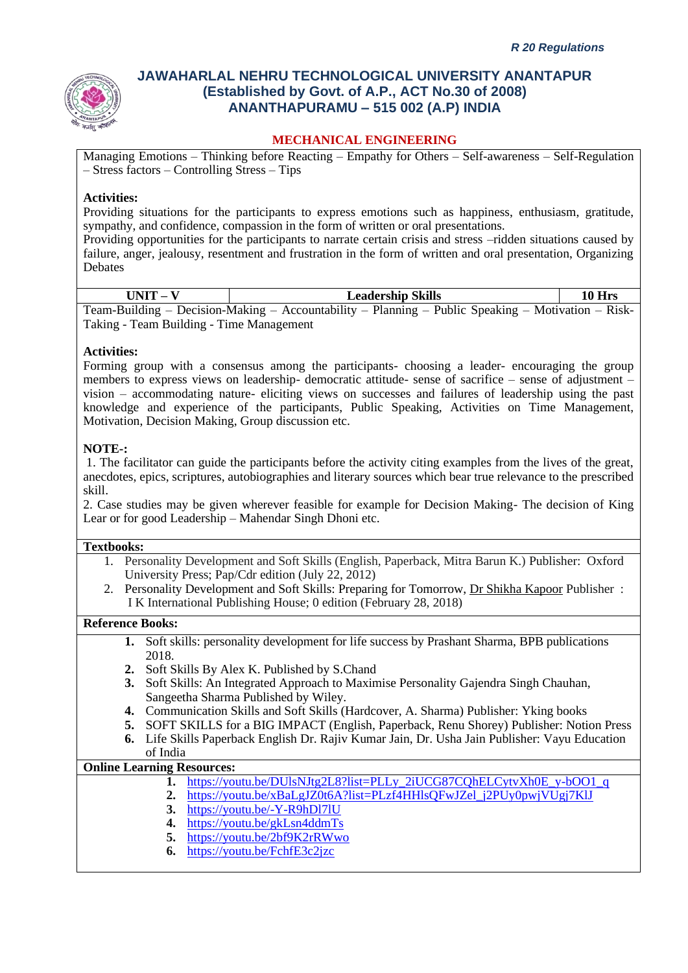

#### **MECHANICAL ENGINEERING**

Managing Emotions – Thinking before Reacting – Empathy for Others – Self-awareness – Self-Regulation – Stress factors – Controlling Stress – Tips

#### **Activities:**

Providing situations for the participants to express emotions such as happiness, enthusiasm, gratitude, sympathy, and confidence, compassion in the form of written or oral presentations.

Providing opportunities for the participants to narrate certain crisis and stress –ridden situations caused by failure, anger, jealousy, resentment and frustration in the form of written and oral presentation, Organizing Debates

| $UNIT - V$                               | <b>Leadership Skills</b>                                                                           | 10 Hrs |
|------------------------------------------|----------------------------------------------------------------------------------------------------|--------|
|                                          | Team-Building – Decision-Making – Accountability – Planning – Public Speaking – Motivation – Risk- |        |
| Taking - Team Building - Time Management |                                                                                                    |        |

#### **Activities:**

Forming group with a consensus among the participants- choosing a leader- encouraging the group members to express views on leadership- democratic attitude- sense of sacrifice – sense of adjustment – vision – accommodating nature- eliciting views on successes and failures of leadership using the past knowledge and experience of the participants, Public Speaking, Activities on Time Management, Motivation, Decision Making, Group discussion etc.

#### **NOTE-:**

1. The facilitator can guide the participants before the activity citing examples from the lives of the great, anecdotes, epics, scriptures, autobiographies and literary sources which bear true relevance to the prescribed skill.

2. Case studies may be given wherever feasible for example for Decision Making- The decision of King Lear or for good Leadership – Mahendar Singh Dhoni etc.

#### **Textbooks:**

- 1. Personality Development and Soft Skills (English, Paperback, Mitra Barun K.) Publisher: Oxford University Press; Pap/Cdr edition (July 22, 2012)
- 2. Personality Development and Soft Skills: Preparing for Tomorrow, [Dr Shikha Kapoor](https://www.ikbooks.com/author-details/dr-shikhakapoor/1099) Publisher : I K International Publishing House; 0 edition (February 28, 2018)

#### **Reference Books:**

- **1.** Soft skills: personality development for life success by Prashant Sharma, BPB publications 2018.
- **2.** Soft Skills By Alex K. Published by S.Chand
- **3.** Soft Skills: An Integrated Approach to Maximise Personality Gajendra Singh Chauhan, Sangeetha Sharma Published by Wiley.
- **4.** Communication Skills and Soft Skills (Hardcover, A. Sharma) Publisher: Yking books
- **5.** SOFT SKILLS for a BIG IMPACT (English, Paperback, Renu Shorey) Publisher: Notion Press
- **6.** Life Skills Paperback English Dr. Rajiv Kumar Jain, Dr. Usha Jain Publisher: Vayu Education of India

#### **Online Learning Resources:**

- **1.** [https://youtu.be/DUlsNJtg2L8?list=PLLy\\_2iUCG87CQhELCytvXh0E\\_y-bOO1\\_q](https://youtu.be/DUlsNJtg2L8?list=PLLy_2iUCG87CQhELCytvXh0E_y-bOO1_q)
- **2.** [https://youtu.be/xBaLgJZ0t6A?list=PLzf4HHlsQFwJZel\\_j2PUy0pwjVUgj7KlJ](https://youtu.be/xBaLgJZ0t6A?list=PLzf4HHlsQFwJZel_j2PUy0pwjVUgj7KlJ)
- **3.** <https://youtu.be/-Y-R9hDl7lU>
- **4.** <https://youtu.be/gkLsn4ddmTs>
- **5.** <https://youtu.be/2bf9K2rRWwo>
- **6.** <https://youtu.be/FchfE3c2jzc>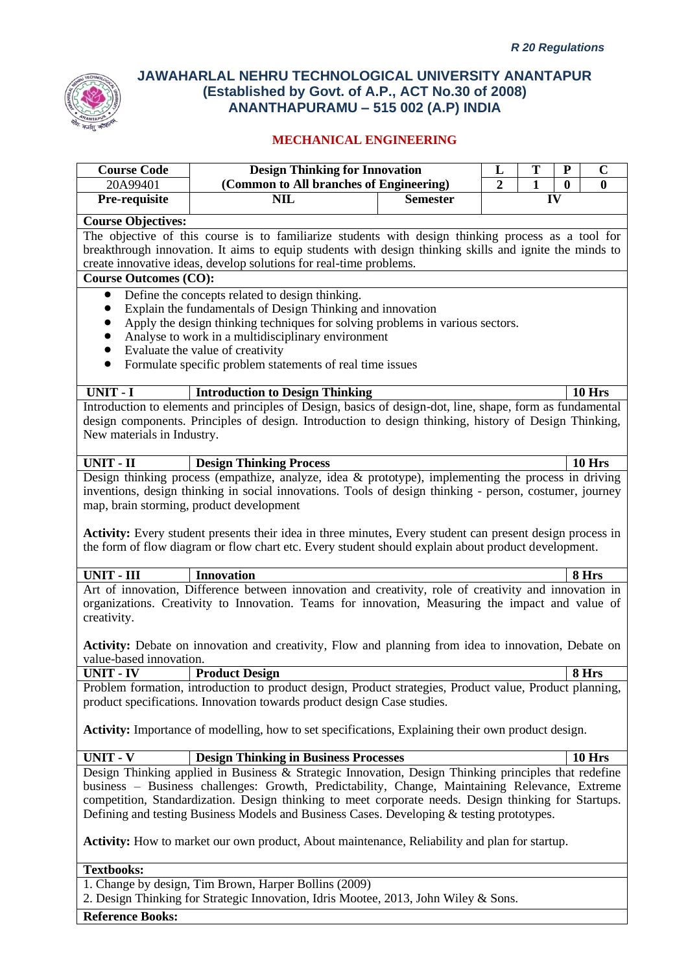

| <b>Course Code</b>                                                                                                                                                                                                                                                                                                                                                                                                                                                                                                  | <b>Design Thinking for Innovation</b>                                                                  |                                         | L | T            | ${\bf P}$        | $\mathbf C$  |  |  |
|---------------------------------------------------------------------------------------------------------------------------------------------------------------------------------------------------------------------------------------------------------------------------------------------------------------------------------------------------------------------------------------------------------------------------------------------------------------------------------------------------------------------|--------------------------------------------------------------------------------------------------------|-----------------------------------------|---|--------------|------------------|--------------|--|--|
| 20A99401                                                                                                                                                                                                                                                                                                                                                                                                                                                                                                            |                                                                                                        | (Common to All branches of Engineering) |   | $\mathbf{1}$ | $\boldsymbol{0}$ | $\mathbf{0}$ |  |  |
| Pre-requisite                                                                                                                                                                                                                                                                                                                                                                                                                                                                                                       | <b>NIL</b>                                                                                             | <b>Semester</b>                         |   |              | IV               |              |  |  |
| <b>Course Objectives:</b>                                                                                                                                                                                                                                                                                                                                                                                                                                                                                           |                                                                                                        |                                         |   |              |                  |              |  |  |
|                                                                                                                                                                                                                                                                                                                                                                                                                                                                                                                     | The objective of this course is to familiarize students with design thinking process as a tool for     |                                         |   |              |                  |              |  |  |
|                                                                                                                                                                                                                                                                                                                                                                                                                                                                                                                     | breakthrough innovation. It aims to equip students with design thinking skills and ignite the minds to |                                         |   |              |                  |              |  |  |
|                                                                                                                                                                                                                                                                                                                                                                                                                                                                                                                     | create innovative ideas, develop solutions for real-time problems.                                     |                                         |   |              |                  |              |  |  |
| <b>Course Outcomes (CO):</b>                                                                                                                                                                                                                                                                                                                                                                                                                                                                                        |                                                                                                        |                                         |   |              |                  |              |  |  |
| Define the concepts related to design thinking.<br>$\bullet$<br>Explain the fundamentals of Design Thinking and innovation<br>$\bullet$<br>Apply the design thinking techniques for solving problems in various sectors.<br>Analyse to work in a multidisciplinary environment<br>$\bullet$<br>Evaluate the value of creativity<br>$\bullet$<br>Formulate specific problem statements of real time issues<br>$\bullet$                                                                                              |                                                                                                        |                                         |   |              |                  |              |  |  |
| <b>UNIT - I</b>                                                                                                                                                                                                                                                                                                                                                                                                                                                                                                     | <b>Introduction to Design Thinking</b>                                                                 |                                         |   |              |                  | 10 Hrs       |  |  |
| Introduction to elements and principles of Design, basics of design-dot, line, shape, form as fundamental<br>design components. Principles of design. Introduction to design thinking, history of Design Thinking,<br>New materials in Industry.                                                                                                                                                                                                                                                                    |                                                                                                        |                                         |   |              |                  |              |  |  |
| <b>UNIT - II</b>                                                                                                                                                                                                                                                                                                                                                                                                                                                                                                    | <b>Design Thinking Process</b>                                                                         |                                         |   |              |                  | 10 Hrs       |  |  |
| Design thinking process (empathize, analyze, idea & prototype), implementing the process in driving<br>inventions, design thinking in social innovations. Tools of design thinking - person, costumer, journey<br>map, brain storming, product development<br><b>Activity:</b> Every student presents their idea in three minutes, Every student can present design process in<br>the form of flow diagram or flow chart etc. Every student should explain about product development.                               |                                                                                                        |                                         |   |              |                  |              |  |  |
| <b>UNIT - III</b>                                                                                                                                                                                                                                                                                                                                                                                                                                                                                                   | <b>Innovation</b>                                                                                      |                                         |   |              |                  | 8 Hrs        |  |  |
| Art of innovation, Difference between innovation and creativity, role of creativity and innovation in<br>organizations. Creativity to Innovation. Teams for innovation, Measuring the impact and value of<br>creativity.<br>Activity: Debate on innovation and creativity, Flow and planning from idea to innovation, Debate on                                                                                                                                                                                     |                                                                                                        |                                         |   |              |                  |              |  |  |
| value-based innovation.<br>8 Hrs                                                                                                                                                                                                                                                                                                                                                                                                                                                                                    |                                                                                                        |                                         |   |              |                  |              |  |  |
| <b>UNIT - IV</b>                                                                                                                                                                                                                                                                                                                                                                                                                                                                                                    | <b>Product Design</b>                                                                                  |                                         |   |              |                  |              |  |  |
| Problem formation, introduction to product design, Product strategies, Product value, Product planning,<br>product specifications. Innovation towards product design Case studies.<br><b>Activity:</b> Importance of modelling, how to set specifications, Explaining their own product design.                                                                                                                                                                                                                     |                                                                                                        |                                         |   |              |                  |              |  |  |
| <b>UNIT - V</b>                                                                                                                                                                                                                                                                                                                                                                                                                                                                                                     | <b>Design Thinking in Business Processes</b>                                                           |                                         |   |              |                  | 10 Hrs       |  |  |
| Design Thinking applied in Business & Strategic Innovation, Design Thinking principles that redefine<br>business - Business challenges: Growth, Predictability, Change, Maintaining Relevance, Extreme<br>competition, Standardization. Design thinking to meet corporate needs. Design thinking for Startups.<br>Defining and testing Business Models and Business Cases. Developing & testing prototypes.<br><b>Activity:</b> How to market our own product, About maintenance, Reliability and plan for startup. |                                                                                                        |                                         |   |              |                  |              |  |  |
|                                                                                                                                                                                                                                                                                                                                                                                                                                                                                                                     |                                                                                                        |                                         |   |              |                  |              |  |  |
| <b>Textbooks:</b>                                                                                                                                                                                                                                                                                                                                                                                                                                                                                                   |                                                                                                        |                                         |   |              |                  |              |  |  |
| 1. Change by design, Tim Brown, Harper Bollins (2009)<br>2. Design Thinking for Strategic Innovation, Idris Mootee, 2013, John Wiley & Sons.                                                                                                                                                                                                                                                                                                                                                                        |                                                                                                        |                                         |   |              |                  |              |  |  |
| <b>Reference Books:</b>                                                                                                                                                                                                                                                                                                                                                                                                                                                                                             |                                                                                                        |                                         |   |              |                  |              |  |  |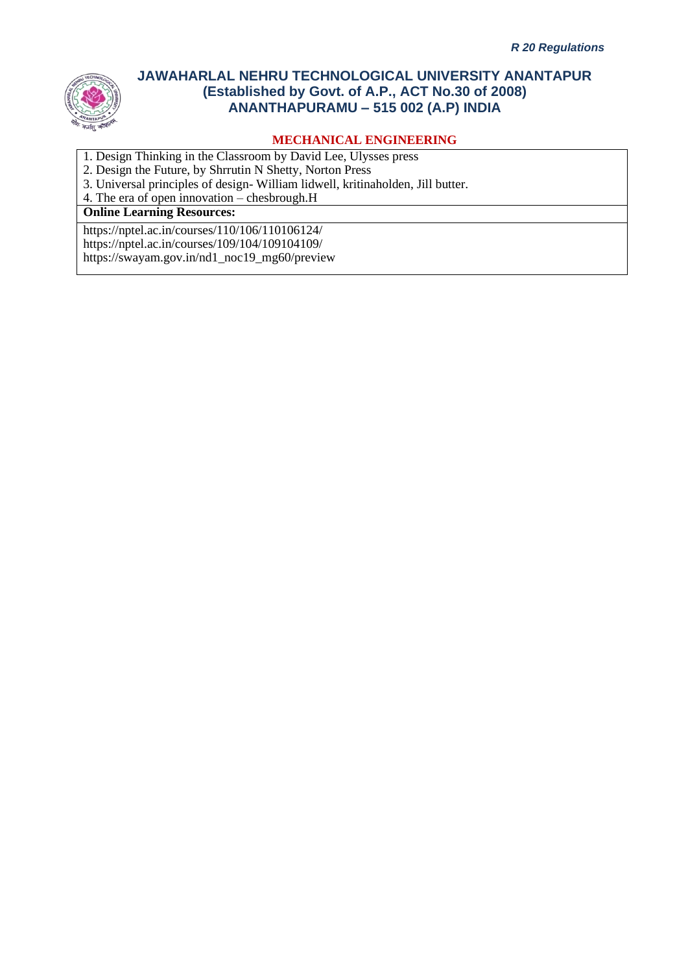

### **MECHANICAL ENGINEERING**

- 1. Design Thinking in the Classroom by David Lee, Ulysses press
- 2. Design the Future, by Shrrutin N Shetty, Norton Press
- 3. Universal principles of design- William lidwell, kritinaholden, Jill butter.
- 4. The era of open innovation chesbrough.H

### **Online Learning Resources:**

https://nptel.ac.in/courses/110/106/110106124/ https://nptel.ac.in/courses/109/104/109104109/ https://swayam.gov.in/nd1\_noc19\_mg60/preview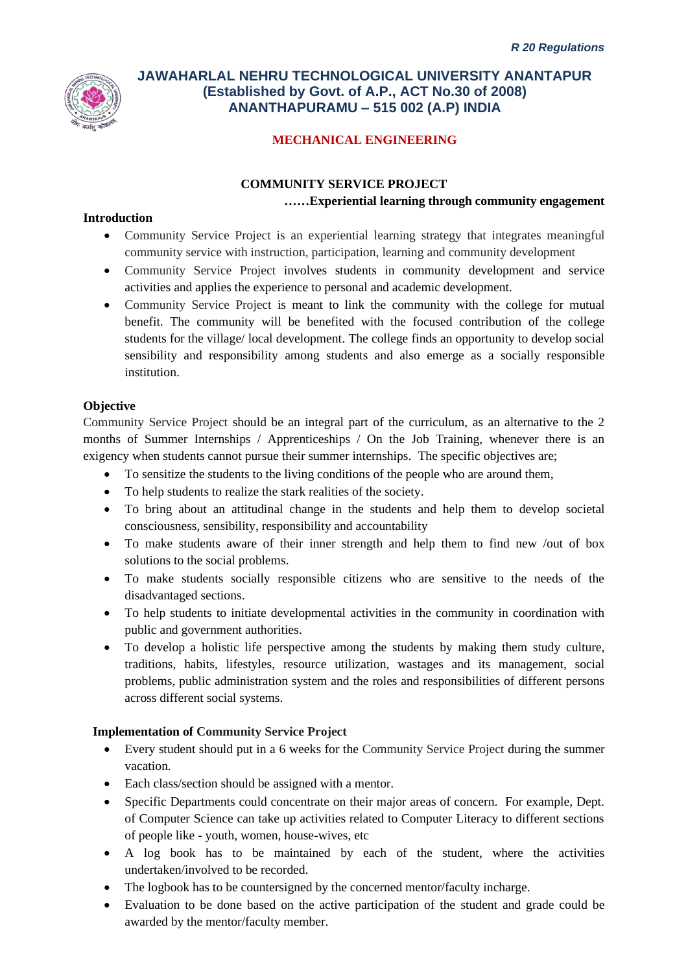

# **MECHANICAL ENGINEERING**

### **COMMUNITY SERVICE PROJECT ……Experiential learning through community engagement**

#### **Introduction**

- Community Service Project is an experiential learning strategy that integrates meaningful community service with instruction, participation, learning and community development
- Community Service Project involves students in community development and service activities and applies the experience to personal and academic development.
- Community Service Project is meant to link the community with the college for mutual benefit. The community will be benefited with the focused contribution of the college students for the village/ local development. The college finds an opportunity to develop social sensibility and responsibility among students and also emerge as a socially responsible institution.

#### **Objective**

Community Service Project should be an integral part of the curriculum, as an alternative to the 2 months of Summer Internships / Apprenticeships / On the Job Training, whenever there is an exigency when students cannot pursue their summer internships. The specific objectives are;

- To sensitize the students to the living conditions of the people who are around them,
- To help students to realize the stark realities of the society.
- To bring about an attitudinal change in the students and help them to develop societal consciousness, sensibility, responsibility and accountability
- To make students aware of their inner strength and help them to find new /out of box solutions to the social problems.
- To make students socially responsible citizens who are sensitive to the needs of the disadvantaged sections.
- To help students to initiate developmental activities in the community in coordination with public and government authorities.
- To develop a holistic life perspective among the students by making them study culture, traditions, habits, lifestyles, resource utilization, wastages and its management, social problems, public administration system and the roles and responsibilities of different persons across different social systems.

### **Implementation of Community Service Project**

- Every student should put in a 6 weeks for the Community Service Project during the summer vacation.
- Each class/section should be assigned with a mentor.
- Specific Departments could concentrate on their major areas of concern. For example, Dept. of Computer Science can take up activities related to Computer Literacy to different sections of people like - youth, women, house-wives, etc
- A log book has to be maintained by each of the student, where the activities undertaken/involved to be recorded.
- The logbook has to be countersigned by the concerned mentor/faculty incharge.
- Evaluation to be done based on the active participation of the student and grade could be awarded by the mentor/faculty member.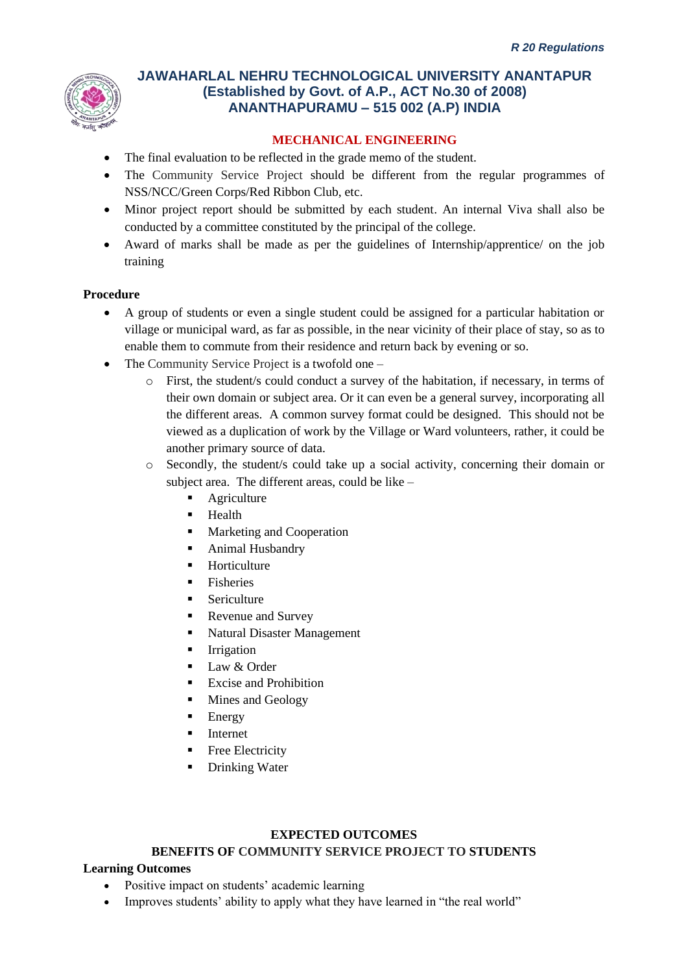

### **MECHANICAL ENGINEERING**

- The final evaluation to be reflected in the grade memo of the student.
- The Community Service Project should be different from the regular programmes of NSS/NCC/Green Corps/Red Ribbon Club, etc.
- Minor project report should be submitted by each student. An internal Viva shall also be conducted by a committee constituted by the principal of the college.
- Award of marks shall be made as per the guidelines of Internship/apprentice/ on the job training

#### **Procedure**

- A group of students or even a single student could be assigned for a particular habitation or village or municipal ward, as far as possible, in the near vicinity of their place of stay, so as to enable them to commute from their residence and return back by evening or so.
- The Community Service Project is a twofold one
	- o First, the student/s could conduct a survey of the habitation, if necessary, in terms of their own domain or subject area. Or it can even be a general survey, incorporating all the different areas. A common survey format could be designed. This should not be viewed as a duplication of work by the Village or Ward volunteers, rather, it could be another primary source of data.
	- o Secondly, the student/s could take up a social activity, concerning their domain or subject area. The different areas, could be like –
		- Agriculture
		- Health
		- Marketing and Cooperation
		- Animal Husbandry
		- Horticulture
		- Fisheries
		- **Exerciculture**
		- Revenue and Survey
		- Natural Disaster Management
		- **Irrigation**
		- $\blacksquare$  Law & Order
		- Excise and Prohibition
		- Mines and Geology
		- **Energy**
		- **Internet**
		- Free Electricity
		- Drinking Water

#### **EXPECTED OUTCOMES**

#### **BENEFITS OF COMMUNITY SERVICE PROJECT TO STUDENTS**

#### **Learning Outcomes**

- Positive impact on students' academic learning
- Improves students' ability to apply what they have learned in "the real world"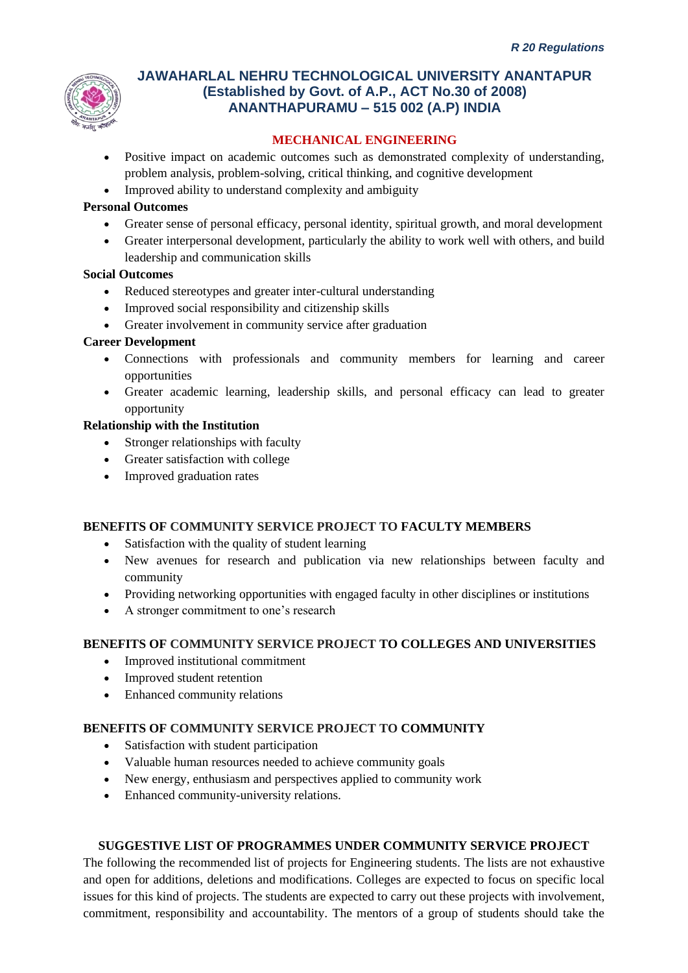

# **MECHANICAL ENGINEERING**

- Positive impact on academic outcomes such as demonstrated complexity of understanding, problem analysis, problem-solving, critical thinking, and cognitive development
- Improved ability to understand complexity and ambiguity

#### **Personal Outcomes**

- Greater sense of personal efficacy, personal identity, spiritual growth, and moral development
- Greater interpersonal development, particularly the ability to work well with others, and build leadership and communication skills

#### **Social Outcomes**

- Reduced stereotypes and greater inter-cultural understanding
- Improved social responsibility and citizenship skills
- Greater involvement in community service after graduation

### **Career Development**

- Connections with professionals and community members for learning and career opportunities
- Greater academic learning, leadership skills, and personal efficacy can lead to greater opportunity

#### **Relationship with the Institution**

- Stronger relationships with faculty
- Greater satisfaction with college
- Improved graduation rates

#### **BENEFITS OF COMMUNITY SERVICE PROJECT TO FACULTY MEMBERS**

- Satisfaction with the quality of student learning
- New avenues for research and publication via new relationships between faculty and community
- Providing networking opportunities with engaged faculty in other disciplines or institutions
- A stronger commitment to one's research

### **BENEFITS OF COMMUNITY SERVICE PROJECT TO COLLEGES AND UNIVERSITIES**

- Improved institutional commitment
- Improved student retention
- Enhanced community relations

# **BENEFITS OF COMMUNITY SERVICE PROJECT TO COMMUNITY**

- Satisfaction with student participation
- Valuable human resources needed to achieve community goals
- New energy, enthusiasm and perspectives applied to community work
- Enhanced community-university relations.

#### **SUGGESTIVE LIST OF PROGRAMMES UNDER COMMUNITY SERVICE PROJECT**

The following the recommended list of projects for Engineering students. The lists are not exhaustive and open for additions, deletions and modifications. Colleges are expected to focus on specific local issues for this kind of projects. The students are expected to carry out these projects with involvement, commitment, responsibility and accountability. The mentors of a group of students should take the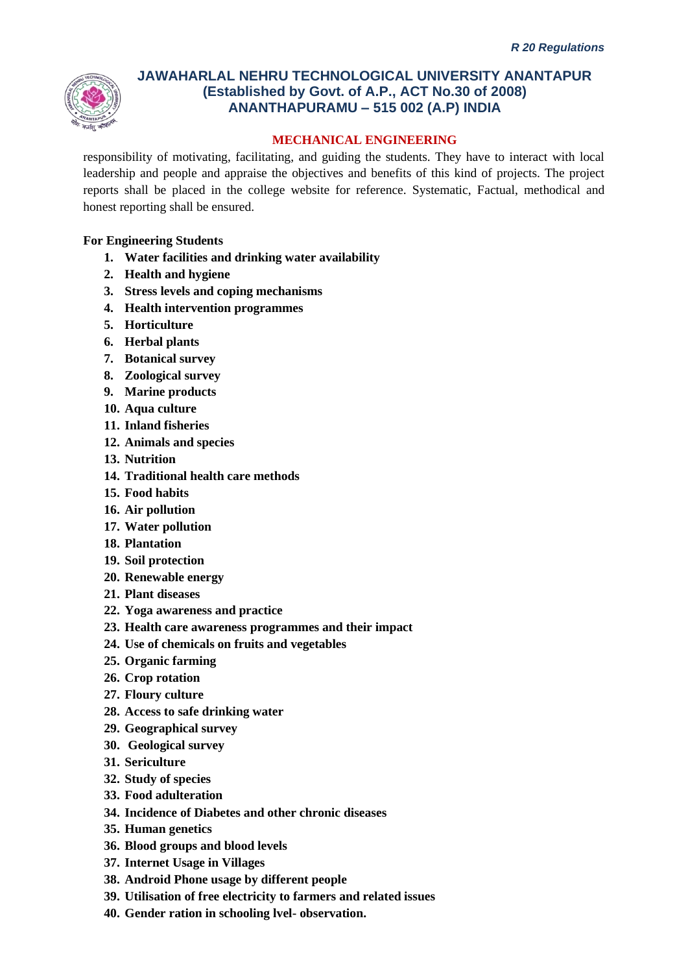

### **MECHANICAL ENGINEERING**

responsibility of motivating, facilitating, and guiding the students. They have to interact with local leadership and people and appraise the objectives and benefits of this kind of projects. The project reports shall be placed in the college website for reference. Systematic, Factual, methodical and honest reporting shall be ensured.

### **For Engineering Students**

- **1. Water facilities and drinking water availability**
- **2. Health and hygiene**
- **3. Stress levels and coping mechanisms**
- **4. Health intervention programmes**
- **5. Horticulture**
- **6. Herbal plants**
- **7. Botanical survey**
- **8. Zoological survey**
- **9. Marine products**
- **10. Aqua culture**
- **11. Inland fisheries**
- **12. Animals and species**
- **13. Nutrition**
- **14. Traditional health care methods**
- **15. Food habits**
- **16. Air pollution**
- **17. Water pollution**
- **18. Plantation**
- **19. Soil protection**
- **20. Renewable energy**
- **21. Plant diseases**
- **22. Yoga awareness and practice**
- **23. Health care awareness programmes and their impact**
- **24. Use of chemicals on fruits and vegetables**
- **25. Organic farming**
- **26. Crop rotation**
- **27. Floury culture**
- **28. Access to safe drinking water**
- **29. Geographical survey**
- **30. Geological survey**
- **31. Sericulture**
- **32. Study of species**
- **33. Food adulteration**
- **34. Incidence of Diabetes and other chronic diseases**
- **35. Human genetics**
- **36. Blood groups and blood levels**
- **37. Internet Usage in Villages**
- **38. Android Phone usage by different people**
- **39. Utilisation of free electricity to farmers and related issues**
- **40. Gender ration in schooling lvel- observation.**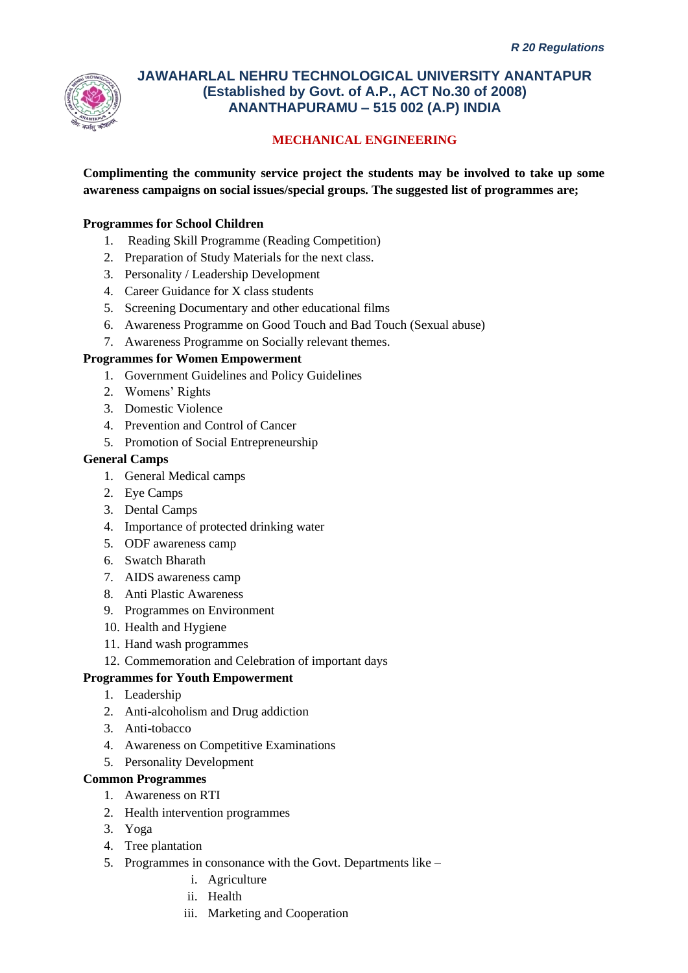

# **MECHANICAL ENGINEERING**

**Complimenting the community service project the students may be involved to take up some awareness campaigns on social issues/special groups. The suggested list of programmes are;**

### **Programmes for School Children**

- 1. Reading Skill Programme (Reading Competition)
- 2. Preparation of Study Materials for the next class.
- 3. Personality / Leadership Development
- 4. Career Guidance for X class students
- 5. Screening Documentary and other educational films
- 6. Awareness Programme on Good Touch and Bad Touch (Sexual abuse)
- 7. Awareness Programme on Socially relevant themes.

#### **Programmes for Women Empowerment**

- 1. Government Guidelines and Policy Guidelines
- 2. Womens' Rights
- 3. Domestic Violence
- 4. Prevention and Control of Cancer
- 5. Promotion of Social Entrepreneurship

#### **General Camps**

- 1. General Medical camps
- 2. Eye Camps
- 3. Dental Camps
- 4. Importance of protected drinking water
- 5. ODF awareness camp
- 6. Swatch Bharath
- 7. AIDS awareness camp
- 8. Anti Plastic Awareness
- 9. Programmes on Environment
- 10. Health and Hygiene
- 11. Hand wash programmes
- 12. Commemoration and Celebration of important days

#### **Programmes for Youth Empowerment**

- 1. Leadership
- 2. Anti-alcoholism and Drug addiction
- 3. Anti-tobacco
- 4. Awareness on Competitive Examinations
- 5. Personality Development

#### **Common Programmes**

- 1. Awareness on RTI
- 2. Health intervention programmes
- 3. Yoga
- 4. Tree plantation
- 5. Programmes in consonance with the Govt. Departments like
	- i. Agriculture
	- ii. Health
	- iii. Marketing and Cooperation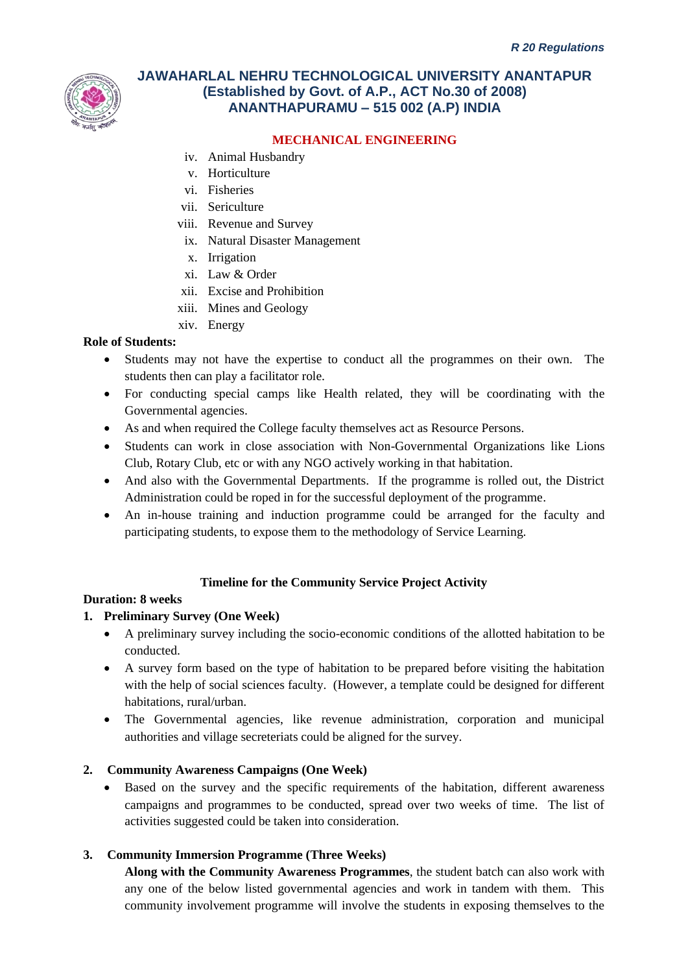

### **MECHANICAL ENGINEERING**

- iv. Animal Husbandry
- v. Horticulture
- vi. Fisheries
- vii. Sericulture
- viii. Revenue and Survey
	- ix. Natural Disaster Management
- x. Irrigation
- xi. Law & Order
- xii. Excise and Prohibition
- xiii. Mines and Geology
- xiv. Energy

#### **Role of Students:**

- Students may not have the expertise to conduct all the programmes on their own. The students then can play a facilitator role.
- For conducting special camps like Health related, they will be coordinating with the Governmental agencies.
- As and when required the College faculty themselves act as Resource Persons.
- Students can work in close association with Non-Governmental Organizations like Lions Club, Rotary Club, etc or with any NGO actively working in that habitation.
- And also with the Governmental Departments. If the programme is rolled out, the District Administration could be roped in for the successful deployment of the programme.
- An in-house training and induction programme could be arranged for the faculty and participating students, to expose them to the methodology of Service Learning.

#### **Timeline for the Community Service Project Activity**

#### **Duration: 8 weeks**

#### **1. Preliminary Survey (One Week)**

- A preliminary survey including the socio-economic conditions of the allotted habitation to be conducted.
- A survey form based on the type of habitation to be prepared before visiting the habitation with the help of social sciences faculty. (However, a template could be designed for different habitations, rural/urban.
- The Governmental agencies, like revenue administration, corporation and municipal authorities and village secreteriats could be aligned for the survey.

#### **2. Community Awareness Campaigns (One Week)**

Based on the survey and the specific requirements of the habitation, different awareness campaigns and programmes to be conducted, spread over two weeks of time. The list of activities suggested could be taken into consideration.

#### **3. Community Immersion Programme (Three Weeks)**

**Along with the Community Awareness Programmes**, the student batch can also work with any one of the below listed governmental agencies and work in tandem with them. This community involvement programme will involve the students in exposing themselves to the